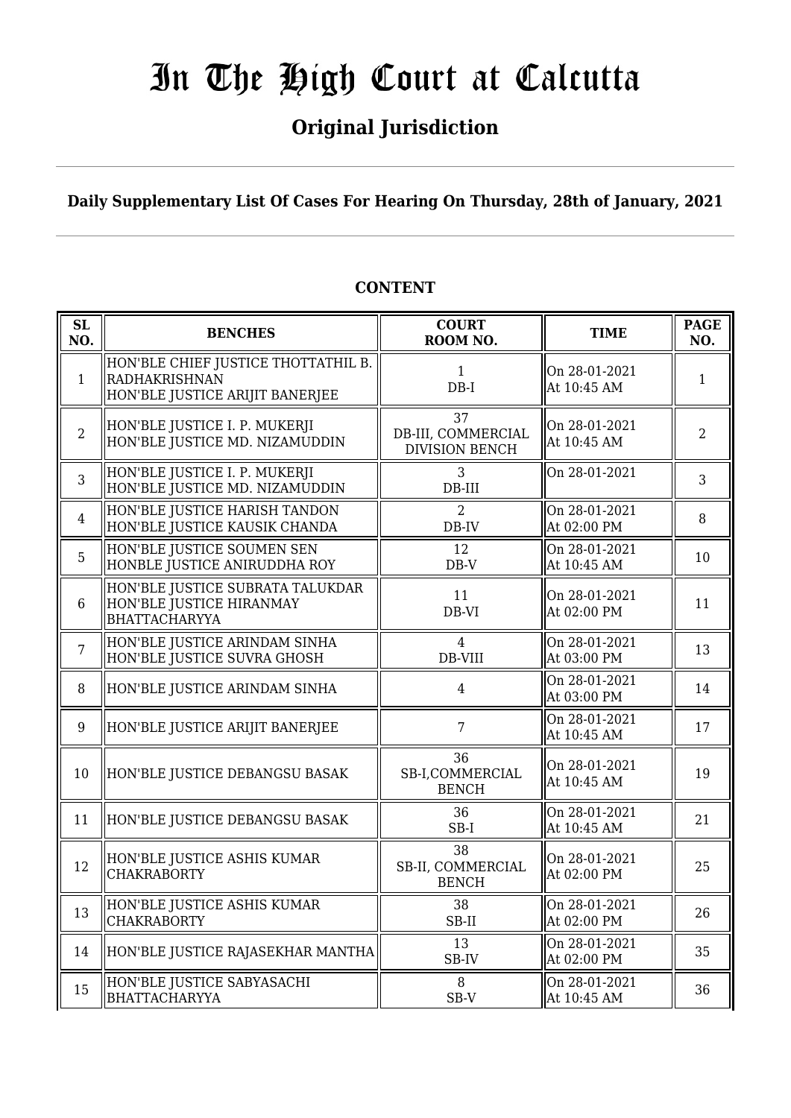### **Original Jurisdiction**

**Daily Supplementary List Of Cases For Hearing On Thursday, 28th of January, 2021**

#### **SL SL BENCHES COURT**<br> **NO. BENCHES COURT ROOM NO. TIME PAGE**<br>**ROOM NO. TIME PAGE NO.** 1 HON'BLE CHIEF JUSTICE THOTTATHIL B. RADHAKRISHNAN HON'BLE JUSTICE ARIJIT BANERJEE 1 DB-I On 28-01-2021  $\left[\begin{array}{cc} \n\text{OH 20-01-2021} \\
\text{At 10:45 AM} \\
\end{array}\right]$  1 2 HON'BLE JUSTICE I. P. MUKERJI HON'BLE JUSTICE MD. NIZAMUDDIN 37 DB-III, COMMERCIAL DIVISION BENCH On 28-01-2021  $\begin{array}{|c|c|c|c|c|}\n\hline\n\text{At 10:45 AM} & & 2\n\end{array}$ 3 HON'BLE JUSTICE I. P. MUKERJI HON'BLE JUSTICE MD. NIZAMUDDIN 3 DB-III On 28-01-2021 <sup>3</sup> 4 HON'BLE JUSTICE HARISH TANDON HON'BLE JUSTICE KAUSIK CHANDA  $\overline{2}$ DB-IV On 28-01-2021  $\begin{array}{|c|c|c|c|c|} \hline \text{Out 20-01-2021} & & & 8 \\ \hline \text{At 02:00 PM} & & & \end{array}$ 5 HON'BLE JUSTICE SOUMEN SEN HONBLE JUSTICE ANIRUDDHA ROY 12 DB-V On 28-01-2021  $\begin{array}{|c|c|c|c|c|c|} \hline \text{At 10:45 AM} & & 10 \ \hline \end{array}$ 6 HON'BLE JUSTICE SUBRATA TALUKDAR HON'BLE JUSTICE HIRANMAY BHATTACHARYYA 11 DB-VI On 28-01-2021  $\begin{array}{|c|c|c|c|c|c|c|c|} \hline \text{Out 20-01-2021} & & 11 \ \hline \text{At 02:00 PM} & & 11 \hline \end{array}$ 7 HON'BLE JUSTICE ARINDAM SINHA HON'BLE JUSTICE SUVRA GHOSH 4 DB-VIII On 28-01-2021  $\begin{array}{|c|c|c|c|c|c|} \hline \text{Out 20-01-2021} & & 13 \\ \text{At 03:00 PM} & & 13 \\\hline \end{array}$ 8 HON'BLE JUSTICE ARINDAM SINHA | 4 On 28-01-2021  $\begin{array}{|c|c|c|c|c|} \hline \text{Out 20-01-2021} & & 14 \\ \text{At 03:00 PM} & & 14 \\\hline \end{array}$ 9 HON'BLE JUSTICE ARIJIT BANERJEE | 7 On 28-01-2021  $\begin{array}{|c|c|c|c|c|c|c|c|} \hline \text{Out 20-01-2021} & & & 17 \\ \hline \text{At 10:45 AM} & & & 17 \hline \end{array}$ 10 HON'BLE JUSTICE DEBANGSU BASAK 36 SB-I,COMMERCIAL BENCH On 28-01-2021  $\begin{array}{|c|c|c|c|c|c|c|c|} \hline \text{Out 20-01-2021} & & 19 \\ \hline \text{At 10:45 AM} & & 19 \end{array}$ 11 HON'BLE JUSTICE DEBANGSU BASAK  $\parallel$  36 SB-I On 28-01-2021  $\begin{array}{|c|c|c|c|c|c|} \hline \text{At 10:45 AM} & & 21 \end{array}$ 12 HON'BLE JUSTICE ASHIS KUMAR CHAKRABORTY 38 SB-II, COMMERCIAL **BENCH** On 28-01-2021  $\begin{array}{|c|c|c|c|c|} \hline \text{Un 28-01-2021} & & 25 \\ \text{At 02:00 PM} & & \text{25} \end{array}$  $\parallel$ 13 HON'BLE JUSTICE ASHIS KUMAR CHAKRABORTY 38 SB-II On 28-01-2021  $\begin{array}{|c|c|c|c|c|c|c|} \hline \text{Out 20-01-2021} & & 26 \\ \text{At 02:00 PM} & & 26 \hline \end{array}$ 14 HON'BLE JUSTICE RAJASEKHAR MANTHA SB-IV On 28-01-2021  $\begin{array}{|c|c|c|c|c|} \hline \text{Out 20-01-2021} & & 35 \\ \text{At 02:00 PM} & & 35 \\ \hline \end{array}$ 15 HON'BLE JUSTICE SABYASACHI BHATTACHARYYA  $\overline{8}$ SB-V On 28-01-2021  $\begin{array}{|c|c|c|c|c|c|} \hline \text{Out 20-01-2021} & & 36 \\ \text{At 10:45 AM} & & 36 \\\hline \end{array}$

### **CONTENT**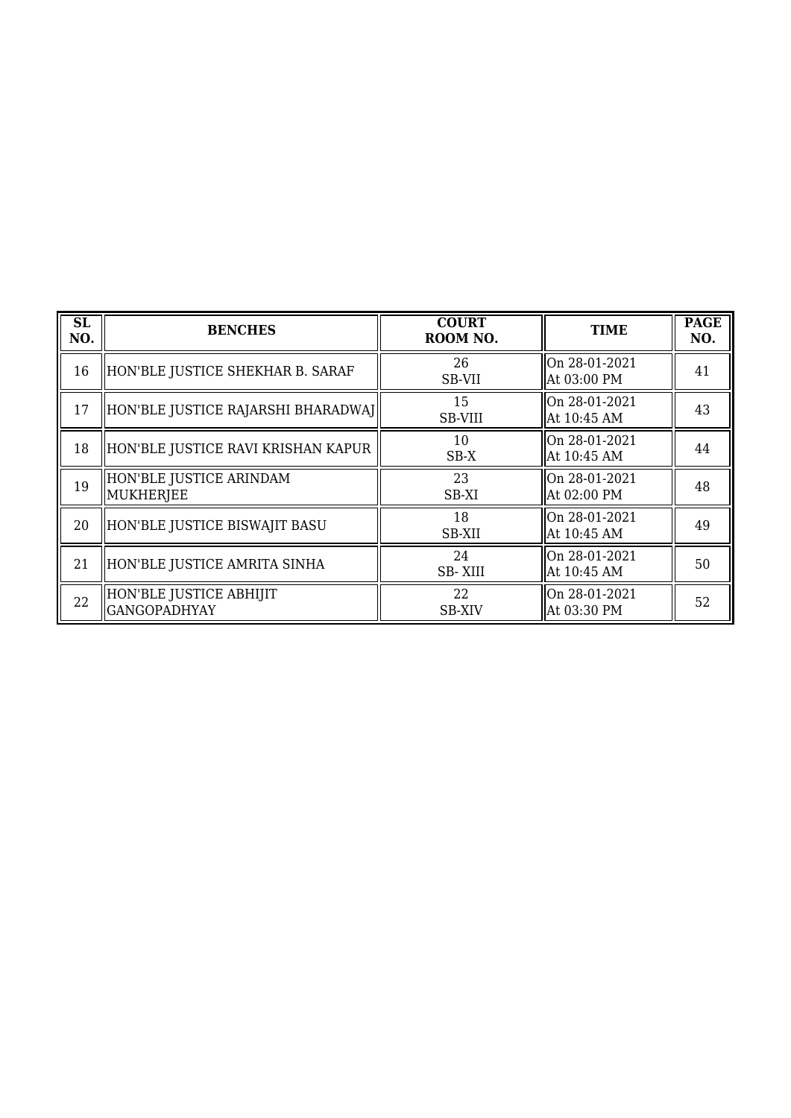| SL<br>NO. | <b>BENCHES</b>                                 | <b>COURT</b><br>ROOM NO. | <b>TIME</b>                  | <b>PAGE</b><br>NO. |
|-----------|------------------------------------------------|--------------------------|------------------------------|--------------------|
| 16        | HON'BLE JUSTICE SHEKHAR B. SARAF               | 26<br>SB-VII             | On 28-01-2021<br>At 03:00 PM | 41                 |
| 17        | HON'BLE JUSTICE RAJARSHI BHARADWAJ             | 15<br>SB-VIII            | On 28-01-2021<br>At 10:45 AM | 43                 |
| 18        | HON'BLE JUSTICE RAVI KRISHAN KAPUR             | 10<br>$SB-X$             | On 28-01-2021<br>At 10:45 AM | 44                 |
| 19        | HON'BLE JUSTICE ARINDAM<br>MUKHERJEE           | 23<br>SB-XI              | On 28-01-2021<br>At 02:00 PM | 48                 |
| 20        | HON'BLE JUSTICE BISWAJIT BASU                  | 18<br>SB-XII             | On 28-01-2021<br>At 10:45 AM | 49                 |
| 21        | HON'BLE JUSTICE AMRITA SINHA                   | 24<br><b>SB-XIII</b>     | On 28-01-2021<br>At 10:45 AM | 50                 |
| 22        | HON'BLE JUSTICE ABHIJIT<br><b>GANGOPADHYAY</b> | 22<br><b>SB-XIV</b>      | On 28-01-2021<br>At 03:30 PM | 52                 |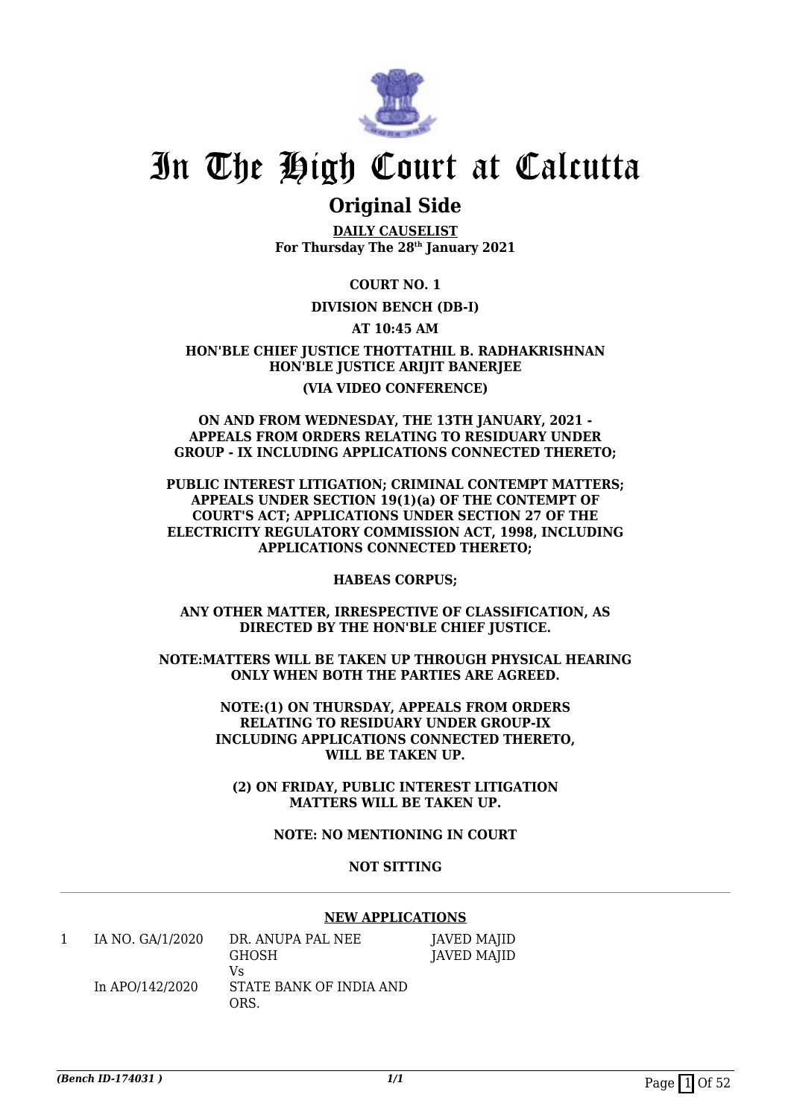

### **Original Side**

**DAILY CAUSELIST For Thursday The 28th January 2021**

**COURT NO. 1**

### **DIVISION BENCH (DB-I)**

**AT 10:45 AM**

**HON'BLE CHIEF JUSTICE THOTTATHIL B. RADHAKRISHNAN HON'BLE JUSTICE ARIJIT BANERJEE (VIA VIDEO CONFERENCE)**

#### **ON AND FROM WEDNESDAY, THE 13TH JANUARY, 2021 - APPEALS FROM ORDERS RELATING TO RESIDUARY UNDER GROUP - IX INCLUDING APPLICATIONS CONNECTED THERETO;**

**PUBLIC INTEREST LITIGATION; CRIMINAL CONTEMPT MATTERS; APPEALS UNDER SECTION 19(1)(a) OF THE CONTEMPT OF COURT'S ACT; APPLICATIONS UNDER SECTION 27 OF THE ELECTRICITY REGULATORY COMMISSION ACT, 1998, INCLUDING APPLICATIONS CONNECTED THERETO;**

**HABEAS CORPUS;**

**ANY OTHER MATTER, IRRESPECTIVE OF CLASSIFICATION, AS DIRECTED BY THE HON'BLE CHIEF JUSTICE.**

**NOTE:MATTERS WILL BE TAKEN UP THROUGH PHYSICAL HEARING ONLY WHEN BOTH THE PARTIES ARE AGREED.**

> **NOTE:(1) ON THURSDAY, APPEALS FROM ORDERS RELATING TO RESIDUARY UNDER GROUP-IX INCLUDING APPLICATIONS CONNECTED THERETO, WILL BE TAKEN UP.**

**(2) ON FRIDAY, PUBLIC INTEREST LITIGATION MATTERS WILL BE TAKEN UP.**

**NOTE: NO MENTIONING IN COURT**

### **NOT SITTING**

### **NEW APPLICATIONS**

| IA NO. GA/1/2020 | DR. ANUPA PAL NEE<br><b>GHOSH</b>     | JAVED MAJID<br>JAVED MAJID |
|------------------|---------------------------------------|----------------------------|
| In APO/142/2020  | V۹<br>STATE BANK OF INDIA AND<br>ORS. |                            |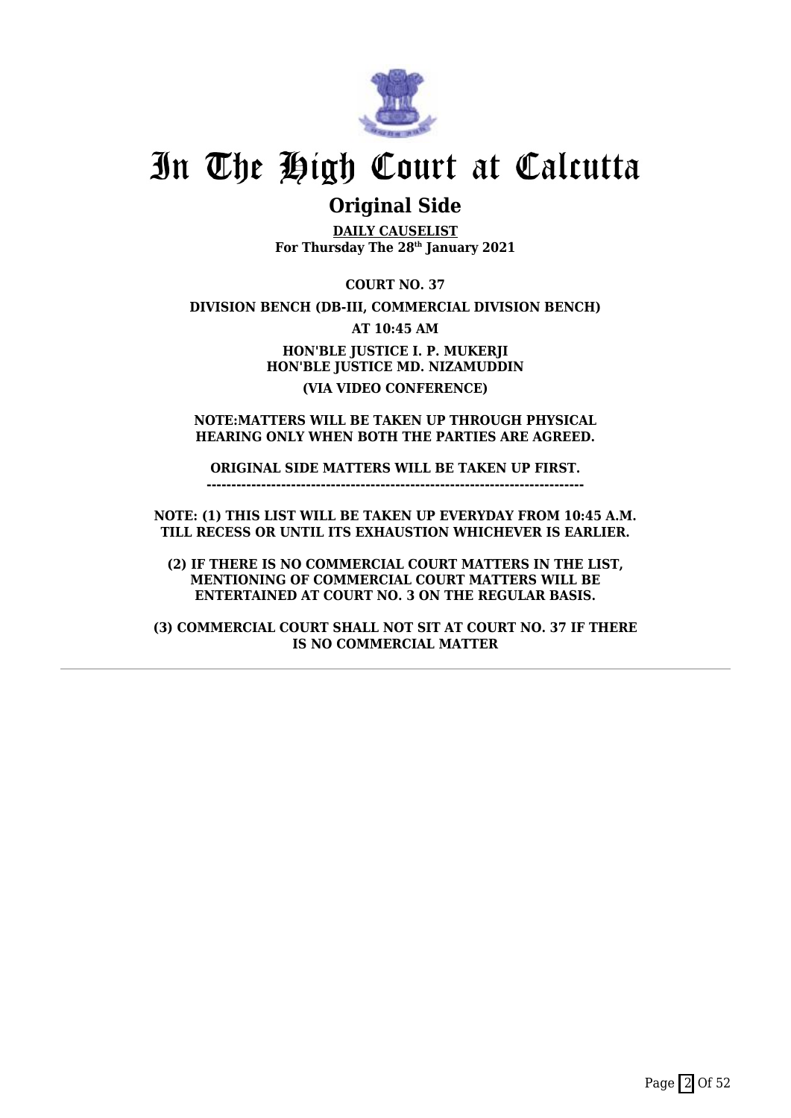

### **Original Side**

**DAILY CAUSELIST For Thursday The 28th January 2021**

**COURT NO. 37**

**DIVISION BENCH (DB-III, COMMERCIAL DIVISION BENCH)**

**AT 10:45 AM**

**HON'BLE JUSTICE I. P. MUKERJI HON'BLE JUSTICE MD. NIZAMUDDIN (VIA VIDEO CONFERENCE)**

**NOTE:MATTERS WILL BE TAKEN UP THROUGH PHYSICAL HEARING ONLY WHEN BOTH THE PARTIES ARE AGREED.**

**ORIGINAL SIDE MATTERS WILL BE TAKEN UP FIRST. ----------------------------------------------------------------------------**

**NOTE: (1) THIS LIST WILL BE TAKEN UP EVERYDAY FROM 10:45 A.M. TILL RECESS OR UNTIL ITS EXHAUSTION WHICHEVER IS EARLIER.**

**(2) IF THERE IS NO COMMERCIAL COURT MATTERS IN THE LIST, MENTIONING OF COMMERCIAL COURT MATTERS WILL BE ENTERTAINED AT COURT NO. 3 ON THE REGULAR BASIS.**

**(3) COMMERCIAL COURT SHALL NOT SIT AT COURT NO. 37 IF THERE IS NO COMMERCIAL MATTER**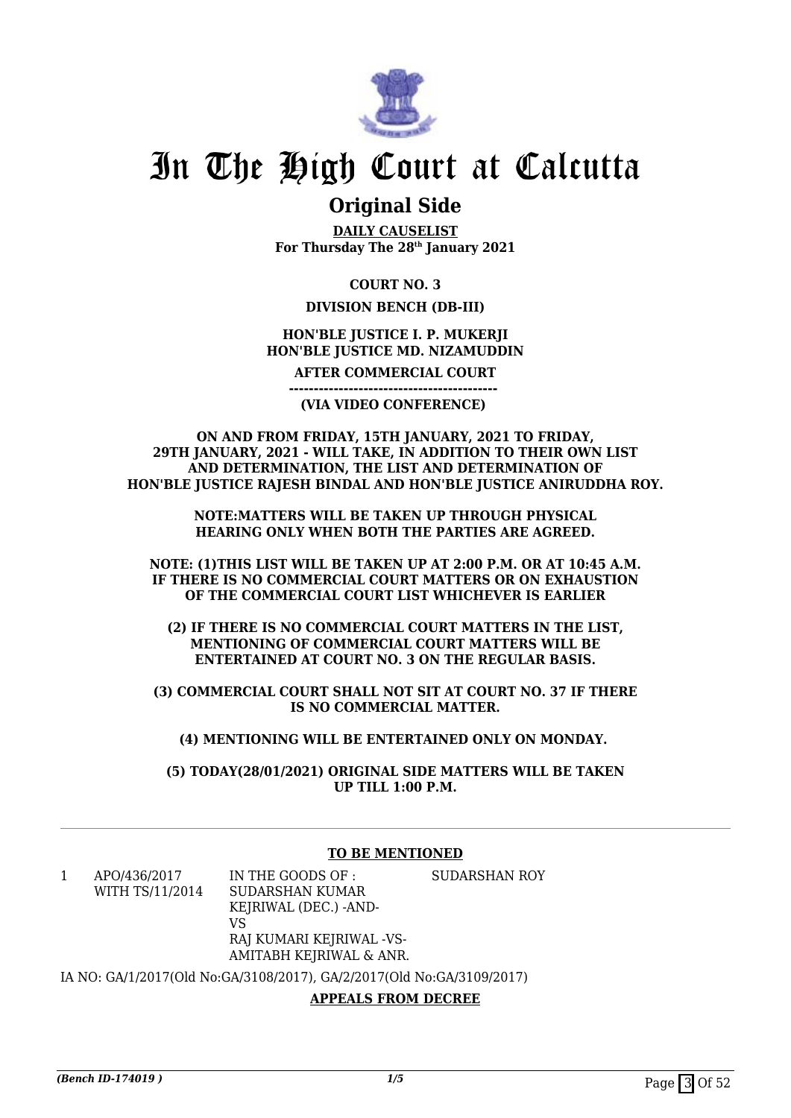

### **Original Side**

**DAILY CAUSELIST For Thursday The 28th January 2021**

**COURT NO. 3**

### **DIVISION BENCH (DB-III)**

### **HON'BLE JUSTICE I. P. MUKERJI HON'BLE JUSTICE MD. NIZAMUDDIN**

**AFTER COMMERCIAL COURT**

**(VIA VIDEO CONFERENCE)** 

**------------------------------------------** 

#### **ON AND FROM FRIDAY, 15TH JANUARY, 2021 TO FRIDAY, 29TH JANUARY, 2021 - WILL TAKE, IN ADDITION TO THEIR OWN LIST AND DETERMINATION, THE LIST AND DETERMINATION OF HON'BLE JUSTICE RAJESH BINDAL AND HON'BLE JUSTICE ANIRUDDHA ROY.**

**NOTE:MATTERS WILL BE TAKEN UP THROUGH PHYSICAL HEARING ONLY WHEN BOTH THE PARTIES ARE AGREED.**

**NOTE: (1)THIS LIST WILL BE TAKEN UP AT 2:00 P.M. OR AT 10:45 A.M. IF THERE IS NO COMMERCIAL COURT MATTERS OR ON EXHAUSTION OF THE COMMERCIAL COURT LIST WHICHEVER IS EARLIER**

**(2) IF THERE IS NO COMMERCIAL COURT MATTERS IN THE LIST, MENTIONING OF COMMERCIAL COURT MATTERS WILL BE ENTERTAINED AT COURT NO. 3 ON THE REGULAR BASIS.**

**(3) COMMERCIAL COURT SHALL NOT SIT AT COURT NO. 37 IF THERE IS NO COMMERCIAL MATTER.**

**(4) MENTIONING WILL BE ENTERTAINED ONLY ON MONDAY.** 

**(5) TODAY(28/01/2021) ORIGINAL SIDE MATTERS WILL BE TAKEN UP TILL 1:00 P.M.**

### **TO BE MENTIONED**

1 APO/436/2017 WITH TS/11/2014 IN THE GOODS OF : SUDARSHAN KUMAR KEJRIWAL (DEC.) -AND-VS RAJ KUMARI KEJRIWAL -VS-AMITABH KEJRIWAL & ANR. SUDARSHAN ROY

IA NO: GA/1/2017(Old No:GA/3108/2017), GA/2/2017(Old No:GA/3109/2017)

**APPEALS FROM DECREE**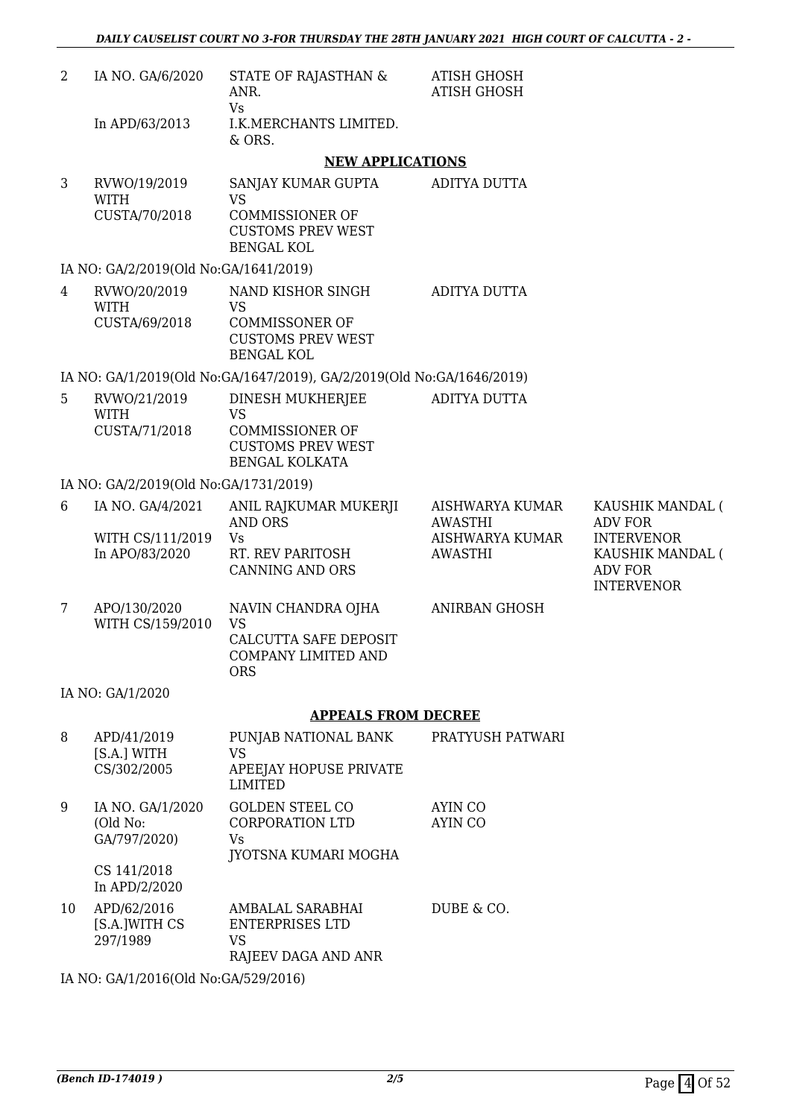| 2              | IA NO. GA/6/2020                                       | STATE OF RAJASTHAN &<br>ANR.                                                                                 | <b>ATISH GHOSH</b><br><b>ATISH GHOSH</b>                               |                                                                                                                    |
|----------------|--------------------------------------------------------|--------------------------------------------------------------------------------------------------------------|------------------------------------------------------------------------|--------------------------------------------------------------------------------------------------------------------|
|                | In APD/63/2013                                         | <b>Vs</b><br>I.K.MERCHANTS LIMITED.<br>& ORS.                                                                |                                                                        |                                                                                                                    |
|                |                                                        | <b>NEW APPLICATIONS</b>                                                                                      |                                                                        |                                                                                                                    |
| 3              | RVWO/19/2019<br><b>WITH</b><br>CUSTA/70/2018           | SANJAY KUMAR GUPTA<br><b>VS</b><br><b>COMMISSIONER OF</b><br><b>CUSTOMS PREV WEST</b><br><b>BENGAL KOL</b>   | ADITYA DUTTA                                                           |                                                                                                                    |
|                | IA NO: GA/2/2019(Old No:GA/1641/2019)                  |                                                                                                              |                                                                        |                                                                                                                    |
| $\overline{4}$ | RVWO/20/2019<br><b>WITH</b><br>CUSTA/69/2018           | NAND KISHOR SINGH<br><b>VS</b><br><b>COMMISSONER OF</b><br><b>CUSTOMS PREV WEST</b><br><b>BENGAL KOL</b>     | <b>ADITYA DUTTA</b>                                                    |                                                                                                                    |
|                |                                                        | IA NO: GA/1/2019(Old No:GA/1647/2019), GA/2/2019(Old No:GA/1646/2019)                                        |                                                                        |                                                                                                                    |
| 5              | RVWO/21/2019<br><b>WITH</b><br>CUSTA/71/2018           | DINESH MUKHERJEE<br><b>VS</b><br><b>COMMISSIONER OF</b><br><b>CUSTOMS PREV WEST</b><br><b>BENGAL KOLKATA</b> | ADITYA DUTTA                                                           |                                                                                                                    |
|                | IA NO: GA/2/2019(Old No:GA/1731/2019)                  |                                                                                                              |                                                                        |                                                                                                                    |
| 6              | IA NO. GA/4/2021<br>WITH CS/111/2019<br>In APO/83/2020 | ANIL RAJKUMAR MUKERJI<br><b>AND ORS</b><br>Vs<br>RT. REV PARITOSH<br><b>CANNING AND ORS</b>                  | AISHWARYA KUMAR<br><b>AWASTHI</b><br>AISHWARYA KUMAR<br><b>AWASTHI</b> | KAUSHIK MANDAL (<br><b>ADV FOR</b><br><b>INTERVENOR</b><br>KAUSHIK MANDAL (<br><b>ADV FOR</b><br><b>INTERVENOR</b> |
| 7              | APO/130/2020<br>WITH CS/159/2010                       | NAVIN CHANDRA OJHA<br><b>VS</b><br>CALCUTTA SAFE DEPOSIT<br>COMPANY LIMITED AND<br><b>ORS</b>                | <b>ANIRBAN GHOSH</b>                                                   |                                                                                                                    |
|                | IA NO: GA/1/2020                                       |                                                                                                              |                                                                        |                                                                                                                    |
|                |                                                        | <b>APPEALS FROM DECREE</b>                                                                                   |                                                                        |                                                                                                                    |
| 8              | APD/41/2019<br>[S.A.] WITH<br>CS/302/2005              | PUNJAB NATIONAL BANK<br><b>VS</b><br>APEEJAY HOPUSE PRIVATE<br><b>LIMITED</b>                                | PRATYUSH PATWARI                                                       |                                                                                                                    |
| 9              | IA NO. GA/1/2020<br>(Old No:<br>GA/797/2020)           | <b>GOLDEN STEEL CO</b><br>CORPORATION LTD<br>Vs<br>JYOTSNA KUMARI MOGHA                                      | AYIN CO<br>AYIN CO                                                     |                                                                                                                    |
|                | CS 141/2018<br>In APD/2/2020                           |                                                                                                              |                                                                        |                                                                                                                    |
| 10             | APD/62/2016<br>[S.A.]WITH CS<br>297/1989               | AMBALAL SARABHAI<br><b>ENTERPRISES LTD</b><br><b>VS</b><br>RAJEEV DAGA AND ANR                               | DUBE & CO.                                                             |                                                                                                                    |

IA NO: GA/1/2016(Old No:GA/529/2016)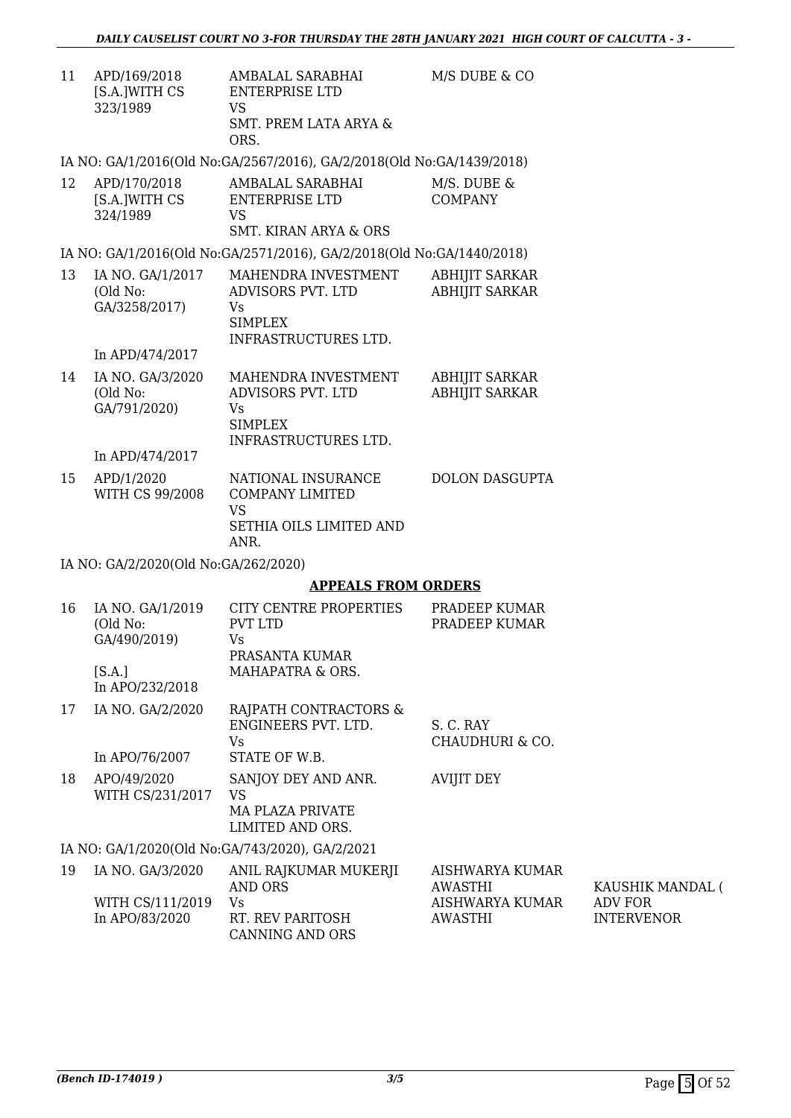| 11 | APD/169/2018  | AMBALAL SARABHAI      | M/S DUBE & CO |
|----|---------------|-----------------------|---------------|
|    | [S.A.]WITH CS | ENTERPRISE LTD        |               |
|    | 323/1989      | VS                    |               |
|    |               | SMT. PREM LATA ARYA & |               |
|    |               | ORS.                  |               |

IA NO: GA/1/2016(Old No:GA/2567/2016), GA/2/2018(Old No:GA/1439/2018)

| APD/170/2018  | AMBALAL SARABHAI      | M/S. DUBE & |
|---------------|-----------------------|-------------|
| [S.A.]WITH CS | ENTERPRISE LTD        | COMPANY     |
| 324/1989      | VS.                   |             |
|               | SMT, KIRAN ARYA & ORS |             |

IA NO: GA/1/2016(Old No:GA/2571/2016), GA/2/2018(Old No:GA/1440/2018)

| 13 | IA NO. GA/1/2017<br>(Old No:<br>GA/3258/2017) | MAHENDRA INVESTMENT<br>ADVISORS PVT. LTD<br>Vs. | <b>ABHIJIT SARKAR</b><br><b>ABHIJIT SARKAR</b> |
|----|-----------------------------------------------|-------------------------------------------------|------------------------------------------------|
|    |                                               | SIMPLEX<br>INFRASTRUCTURES LTD.                 |                                                |
|    | In APD/474/2017                               |                                                 |                                                |

| 14 | IA NO. GA/3/2020<br>(Old No: | MAHENDRA INVESTMENT<br>ADVISORS PVT. LTD | ABHIJIT SARKAR<br><b>ABHIJIT SARKAR</b> |
|----|------------------------------|------------------------------------------|-----------------------------------------|
|    |                              |                                          |                                         |
|    | GA/791/2020)                 | Vs                                       |                                         |
|    |                              | SIMPLEX                                  |                                         |
|    |                              | INFRASTRUCTURES LTD.                     |                                         |
|    | In APD/474/2017              |                                          |                                         |

| 15 | APD/1/2020      | NATIONAL INSURANCE      | DOLON DASGUPTA |
|----|-----------------|-------------------------|----------------|
|    | WITH CS 99/2008 | COMPANY LIMITED         |                |
|    |                 | VS                      |                |
|    |                 | SETHIA OILS LIMITED AND |                |
|    |                 | ANR.                    |                |

CANNING AND ORS

IA NO: GA/2/2020(Old No:GA/262/2020)

### **APPEALS FROM ORDERS**

| 16 | IA NO. GA/1/2019<br>(Old No:<br>GA/490/2019) | CITY CENTRE PROPERTIES<br>PVT LTD<br>Vs.<br>PRASANTA KUMAR                      | PRADEEP KUMAR<br>PRADEEP KUMAR |                              |
|----|----------------------------------------------|---------------------------------------------------------------------------------|--------------------------------|------------------------------|
|    | [S.A.]<br>In APO/232/2018                    | MAHAPATRA & ORS.                                                                |                                |                              |
| 17 | IA NO. GA/2/2020                             | RAJPATH CONTRACTORS &<br>ENGINEERS PVT. LTD.<br>Vs.                             | S. C. RAY<br>CHAUDHURI & CO.   |                              |
|    | In APO/76/2007                               | STATE OF W.B.                                                                   |                                |                              |
| 18 | APO/49/2020<br>WITH CS/231/2017              | SANJOY DEY AND ANR.<br><b>VS</b><br><b>MA PLAZA PRIVATE</b><br>LIMITED AND ORS. | <b>AVIJIT DEY</b>              |                              |
|    |                                              | IA NO: GA/1/2020(Old No:GA/743/2020), GA/2/2021                                 |                                |                              |
| 19 | IA NO. GA/3/2020                             | ANIL RAJKUMAR MUKERJI<br>AND ORS                                                | AISHWARYA KUMAR<br>AWASTHI     | KAUSHIK MANDAL (             |
|    | WITH CS/111/2019<br>In APO/83/2020           | Vs.<br>RT. REV PARITOSH                                                         | AISHWARYA KUMAR<br>AWASTHI     | ADV FOR<br><b>INTERVENOR</b> |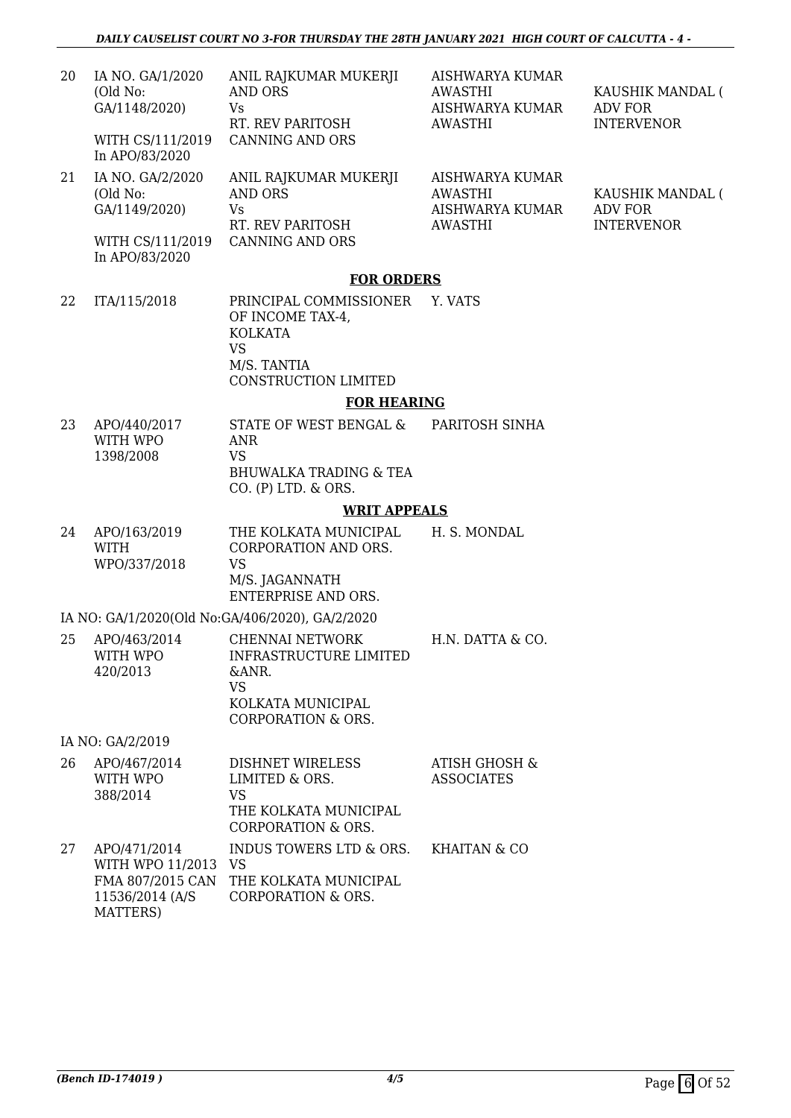| 20 | IA NO. GA/1/2020<br>(Old No:<br>GA/1148/2020)<br>WITH CS/111/2019<br>In APO/83/2020 | ANIL RAJKUMAR MUKERJI<br>AND ORS<br>Vs.<br>RT. REV PARITOSH<br>CANNING AND ORS | AISHWARYA KUMAR<br>AWASTHI<br><b>AISHWARYA KUMAR</b><br>AWASTHI | KAUSHIK MANDAL (<br>ADV FOR<br><b>INTERVENOR</b>        |  |
|----|-------------------------------------------------------------------------------------|--------------------------------------------------------------------------------|-----------------------------------------------------------------|---------------------------------------------------------|--|
| 21 | IA NO. GA/2/2020<br>(Old No:<br>GA/1149/2020)<br>WITH CS/111/2019<br>In APO/83/2020 | ANIL RAJKUMAR MUKERJI<br>AND ORS<br>Vs.<br>RT. REV PARITOSH<br>CANNING AND ORS | AISHWARYA KUMAR<br>AWASTHI<br>AISHWARYA KUMAR<br>AWASTHI        | KAUSHIK MANDAL (<br><b>ADV FOR</b><br><b>INTERVENOR</b> |  |
|    | EAD ADDEDC                                                                          |                                                                                |                                                                 |                                                         |  |

#### **FOR ORDERS**

22 ITA/115/2018 PRINCIPAL COMMISSIONER Y. VATS OF INCOME TAX-4, KOLKATA VS M/S. TANTIA CONSTRUCTION LIMITED

#### **FOR HEARING**

23 APO/440/2017 WITH WPO 1398/2008 STATE OF WEST BENGAL & ANR VS BHUWALKA TRADING & TEA CO. (P) LTD. & ORS. PARITOSH SINHA

#### **WRIT APPEALS**

24 APO/163/2019 WITH WPO/337/2018 THE KOLKATA MUNICIPAL CORPORATION AND ORS. VS M/S. JAGANNATH ENTERPRISE AND ORS. H. S. MONDAL

### IA NO: GA/1/2020(Old No:GA/406/2020), GA/2/2020

25 APO/463/2014 WITH WPO 420/2013 CHENNAI NETWORK INFRASTRUCTURE LIMITED &ANR. VS KOLKATA MUNICIPAL CORPORATION & ORS. H.N. DATTA & CO.

IA NO: GA/2/2019

| 26 | APO/467/2014     | DISHNET WIRELESS                       | ATISH GHOSH &           |
|----|------------------|----------------------------------------|-------------------------|
|    | WITH WPO         | LIMITED & ORS.                         | ASSOCIATES              |
|    | 388/2014         | VS                                     |                         |
|    |                  | THE KOLKATA MUNICIPAL                  |                         |
|    |                  | <b>CORPORATION &amp; ORS.</b>          |                         |
| 27 | APO/471/2014     | INDUS TOWERS LTD & ORS.                | <b>KHAITAN &amp; CO</b> |
|    | WITH WPO 11/2013 | VS                                     |                         |
|    |                  | FMA 807/2015 CAN THE KOLKATA MUNICIPAL |                         |
|    | 11.5000011110    | $\sim$                                 |                         |

11536/2014 (A/S MATTERS) CORPORATION & ORS.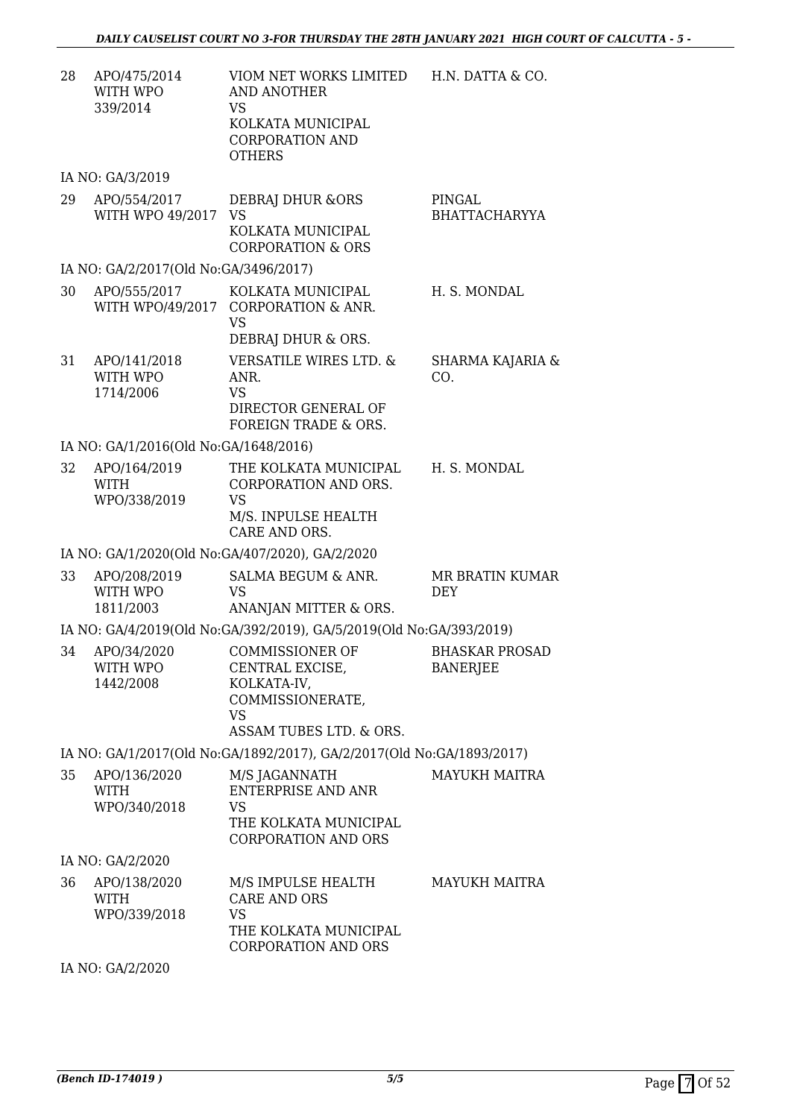| 28 | APO/475/2014<br>WITH WPO<br>339/2014        | VIOM NET WORKS LIMITED<br>AND ANOTHER<br>VS<br>KOLKATA MUNICIPAL<br><b>CORPORATION AND</b><br><b>OTHERS</b>          | H.N. DATTA & CO.                         |
|----|---------------------------------------------|----------------------------------------------------------------------------------------------------------------------|------------------------------------------|
|    | IA NO: GA/3/2019                            |                                                                                                                      |                                          |
| 29 | APO/554/2017<br>WITH WPO 49/2017 VS         | DEBRAJ DHUR & ORS<br>KOLKATA MUNICIPAL<br><b>CORPORATION &amp; ORS</b>                                               | PINGAL<br><b>BHATTACHARYYA</b>           |
|    | IA NO: GA/2/2017(Old No:GA/3496/2017)       |                                                                                                                      |                                          |
| 30 | APO/555/2017<br>WITH WPO/49/2017            | KOLKATA MUNICIPAL<br><b>CORPORATION &amp; ANR.</b><br><b>VS</b><br>DEBRAJ DHUR & ORS.                                | H. S. MONDAL                             |
| 31 | APO/141/2018<br>WITH WPO<br>1714/2006       | <b>VERSATILE WIRES LTD. &amp;</b><br>ANR.<br><b>VS</b><br>DIRECTOR GENERAL OF<br><b>FOREIGN TRADE &amp; ORS.</b>     | SHARMA KAJARIA &<br>CO.                  |
|    | IA NO: GA/1/2016(Old No:GA/1648/2016)       |                                                                                                                      |                                          |
| 32 | APO/164/2019<br><b>WITH</b><br>WPO/338/2019 | THE KOLKATA MUNICIPAL<br>CORPORATION AND ORS.<br><b>VS</b><br>M/S. INPULSE HEALTH<br>CARE AND ORS.                   | H. S. MONDAL                             |
|    |                                             | IA NO: GA/1/2020(Old No:GA/407/2020), GA/2/2020                                                                      |                                          |
| 33 | APO/208/2019<br>WITH WPO<br>1811/2003       | SALMA BEGUM & ANR.<br><b>VS</b><br>ANANJAN MITTER & ORS.                                                             | MR BRATIN KUMAR<br><b>DEY</b>            |
|    |                                             | IA NO: GA/4/2019(Old No:GA/392/2019), GA/5/2019(Old No:GA/393/2019)                                                  |                                          |
| 34 | APO/34/2020<br>WITH WPO<br>1442/2008        | <b>COMMISSIONER OF</b><br>CENTRAL EXCISE,<br>KOLKATA-IV,<br>COMMISSIONERATE,<br><b>VS</b><br>ASSAM TUBES LTD. & ORS. | <b>BHASKAR PROSAD</b><br><b>BANERJEE</b> |
|    |                                             | IA NO: GA/1/2017(Old No:GA/1892/2017), GA/2/2017(Old No:GA/1893/2017)                                                |                                          |
| 35 | APO/136/2020<br>WITH<br>WPO/340/2018        | M/S JAGANNATH<br><b>ENTERPRISE AND ANR</b><br>VS<br>THE KOLKATA MUNICIPAL<br>CORPORATION AND ORS                     | <b>MAYUKH MAITRA</b>                     |
|    | IA NO: GA/2/2020                            |                                                                                                                      |                                          |
| 36 | APO/138/2020<br>WITH<br>WPO/339/2018        | M/S IMPULSE HEALTH<br>CARE AND ORS<br><b>VS</b><br>THE KOLKATA MUNICIPAL<br><b>CORPORATION AND ORS</b>               | <b>MAYUKH MAITRA</b>                     |
|    | IA NO: GA/2/2020                            |                                                                                                                      |                                          |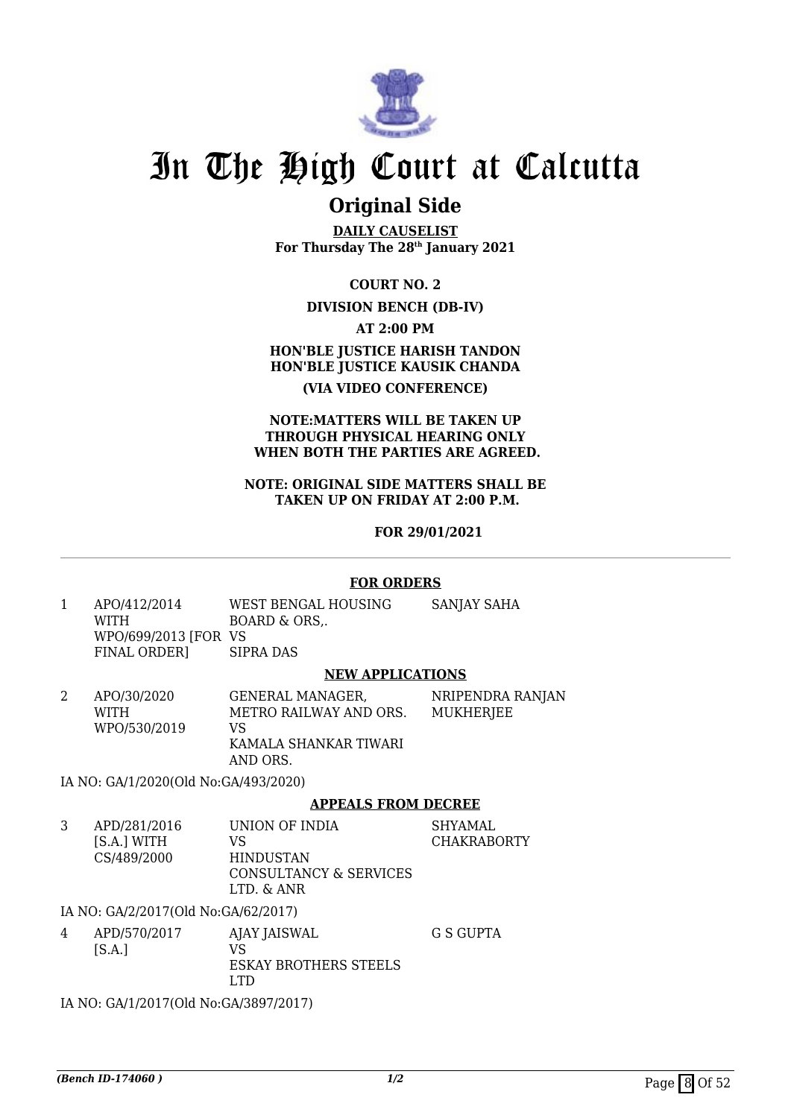

### **Original Side**

**DAILY CAUSELIST For Thursday The 28th January 2021**

**COURT NO. 2**

### **DIVISION BENCH (DB-IV)**

**AT 2:00 PM**

**HON'BLE JUSTICE HARISH TANDON HON'BLE JUSTICE KAUSIK CHANDA (VIA VIDEO CONFERENCE)**

### **NOTE:MATTERS WILL BE TAKEN UP THROUGH PHYSICAL HEARING ONLY WHEN BOTH THE PARTIES ARE AGREED.**

#### **NOTE: ORIGINAL SIDE MATTERS SHALL BE TAKEN UP ON FRIDAY AT 2:00 P.M.**

 **FOR 29/01/2021**

### **FOR ORDERS**

1 APO/412/2014 WITH WPO/699/2013 [FOR VS FINAL ORDER] WEST BENGAL HOUSING BOARD & ORS,. SIPRA DAS SANJAY SAHA

### **NEW APPLICATIONS**

2 APO/30/2020 WITH WPO/530/2019 GENERAL MANAGER, METRO RAILWAY AND ORS. VS KAMALA SHANKAR TIWARI AND ORS. NRIPENDRA RANJAN MUKHERJEE

IA NO: GA/1/2020(Old No:GA/493/2020)

### **APPEALS FROM DECREE**

3 APD/281/2016 [S.A.] WITH CS/489/2000 UNION OF INDIA VS HINDUSTAN CONSULTANCY & SERVICES LTD. & ANR SHYAMAL CHAKRABORTY

IA NO: GA/2/2017(Old No:GA/62/2017)

4 APD/570/2017  $[S.A.]$ AJAY JAISWAL VS ESKAY BROTHERS STEELS LTD G S GUPTA

IA NO: GA/1/2017(Old No:GA/3897/2017)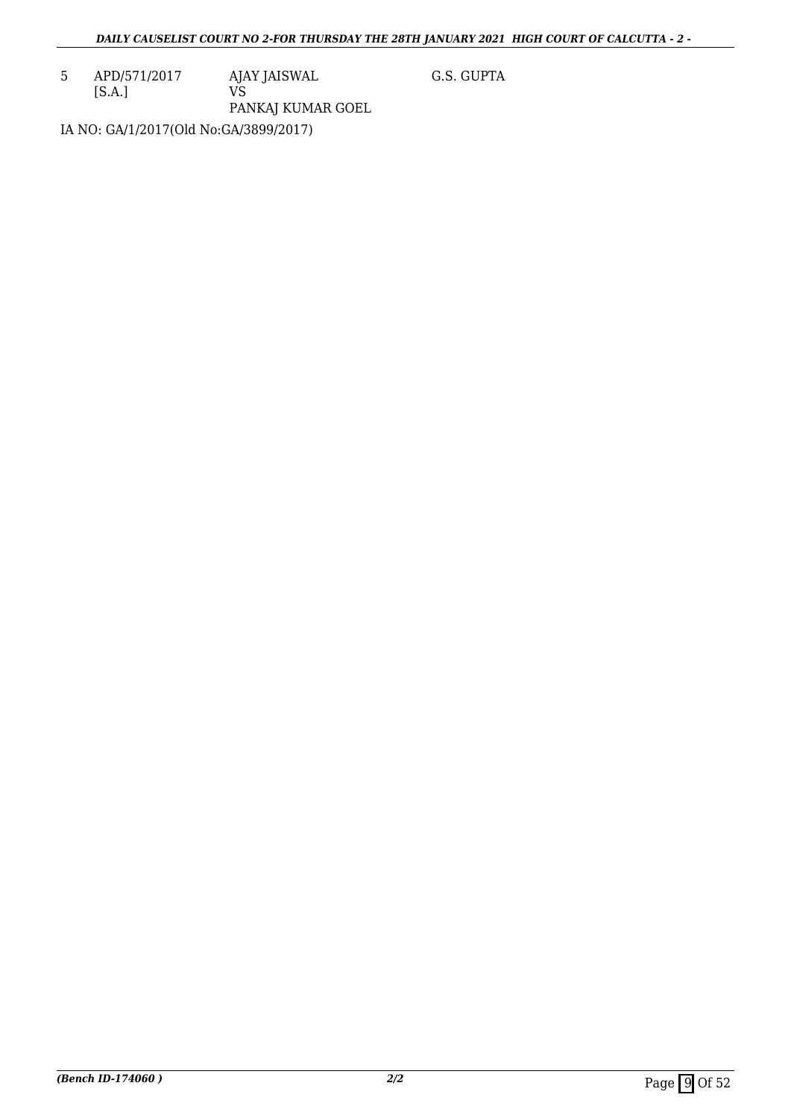5 APD/571/2017 [S.A.] AJAY JAISWAL VS PANKAJ KUMAR GOEL G.S. GUPTA

IA NO: GA/1/2017(Old No:GA/3899/2017)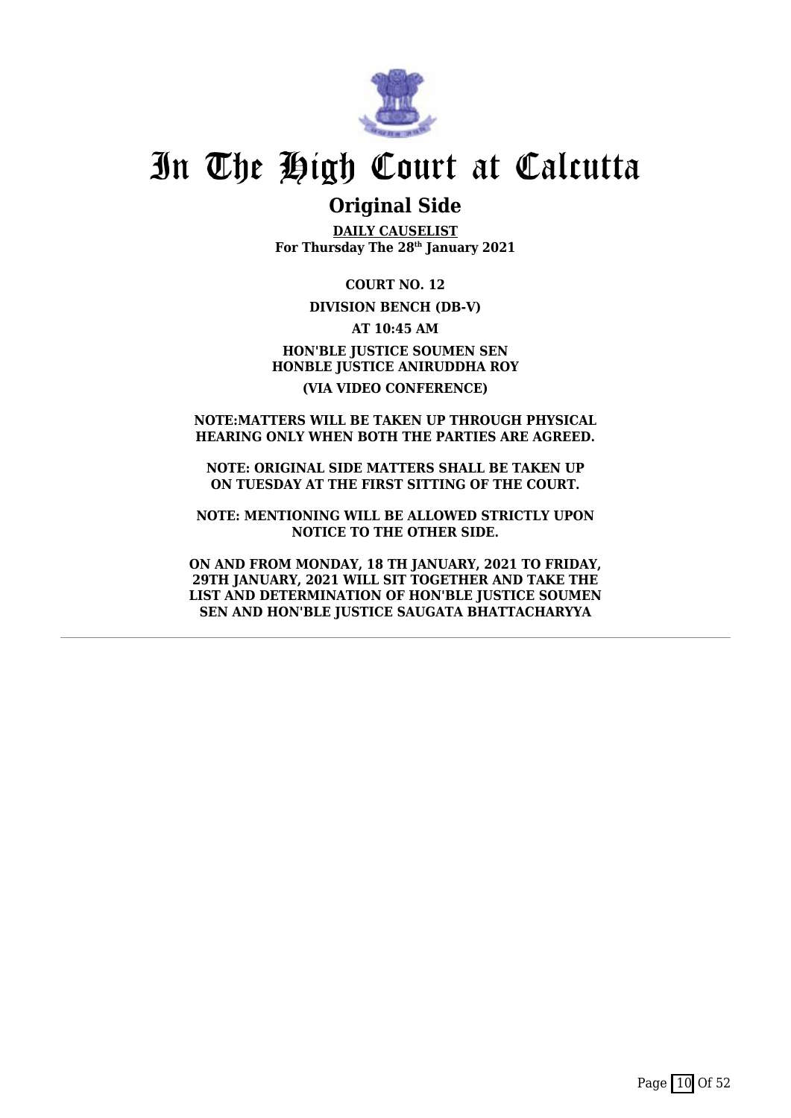

### **Original Side**

**DAILY CAUSELIST For Thursday The 28th January 2021**

**COURT NO. 12**

### **DIVISION BENCH (DB-V)**

**AT 10:45 AM HON'BLE JUSTICE SOUMEN SEN HONBLE JUSTICE ANIRUDDHA ROY (VIA VIDEO CONFERENCE)**

### **NOTE:MATTERS WILL BE TAKEN UP THROUGH PHYSICAL HEARING ONLY WHEN BOTH THE PARTIES ARE AGREED.**

**NOTE: ORIGINAL SIDE MATTERS SHALL BE TAKEN UP ON TUESDAY AT THE FIRST SITTING OF THE COURT.**

**NOTE: MENTIONING WILL BE ALLOWED STRICTLY UPON NOTICE TO THE OTHER SIDE.**

**ON AND FROM MONDAY, 18 TH JANUARY, 2021 TO FRIDAY, 29TH JANUARY, 2021 WILL SIT TOGETHER AND TAKE THE LIST AND DETERMINATION OF HON'BLE JUSTICE SOUMEN SEN AND HON'BLE JUSTICE SAUGATA BHATTACHARYYA**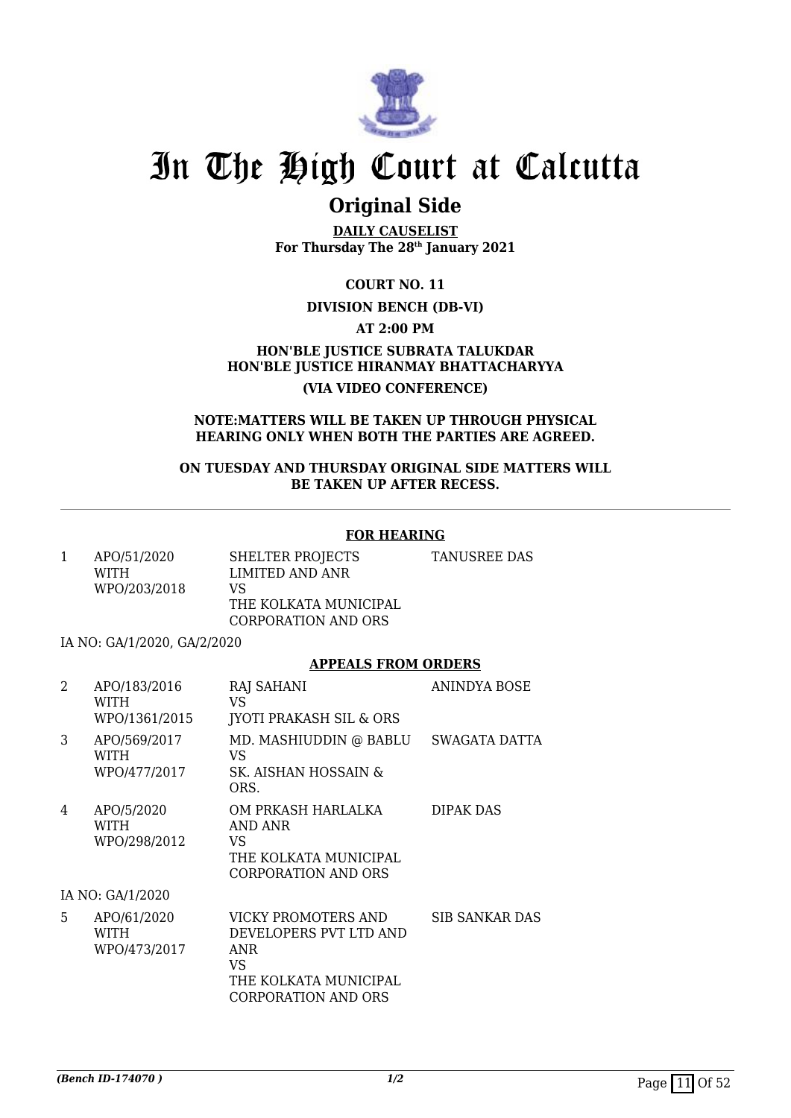

### **Original Side**

**DAILY CAUSELIST For Thursday The 28th January 2021**

**COURT NO. 11**

### **DIVISION BENCH (DB-VI)**

**AT 2:00 PM**

**HON'BLE JUSTICE SUBRATA TALUKDAR HON'BLE JUSTICE HIRANMAY BHATTACHARYYA (VIA VIDEO CONFERENCE)**

#### **NOTE:MATTERS WILL BE TAKEN UP THROUGH PHYSICAL HEARING ONLY WHEN BOTH THE PARTIES ARE AGREED.**

**ON TUESDAY AND THURSDAY ORIGINAL SIDE MATTERS WILL BE TAKEN UP AFTER RECESS.**

### **FOR HEARING**

| APO/51/2020<br><b>WITH</b> | SHELTER PROJECTS<br>LIMITED AND ANR                | TANUSREE DAS |
|----------------------------|----------------------------------------------------|--------------|
| WPO/203/2018               | VS<br>THE KOLKATA MUNICIPAL<br>CORPORATION AND ORS |              |

IA NO: GA/1/2020, GA/2/2020

### **APPEALS FROM ORDERS**

| 2 | APO/183/2016<br>WITH<br>WPO/1361/2015      | <b>RAJ SAHANI</b><br>VS.<br><b>JYOTI PRAKASH SIL &amp; ORS</b>                                                     | ANINDYA BOSE          |
|---|--------------------------------------------|--------------------------------------------------------------------------------------------------------------------|-----------------------|
| 3 | APO/569/2017<br>WITH<br>WPO/477/2017       | MD. MASHIUDDIN @ BABLU<br>VS.<br>SK. AISHAN HOSSAIN &<br>ORS.                                                      | SWAGATA DATTA         |
| 4 | APO/5/2020<br>WITH<br>WPO/298/2012         | OM PRKASH HARLALKA<br>AND ANR<br>VS.<br>THE KOLKATA MUNICIPAL<br><b>CORPORATION AND ORS</b>                        | DIPAK DAS             |
|   | IA NO: GA/1/2020                           |                                                                                                                    |                       |
| 5 | APO/61/2020<br><b>WITH</b><br>WPO/473/2017 | VICKY PROMOTERS AND<br>DEVELOPERS PVT LTD AND<br>ANR<br>VS.<br>THE KOLKATA MUNICIPAL<br><b>CORPORATION AND ORS</b> | <b>SIB SANKAR DAS</b> |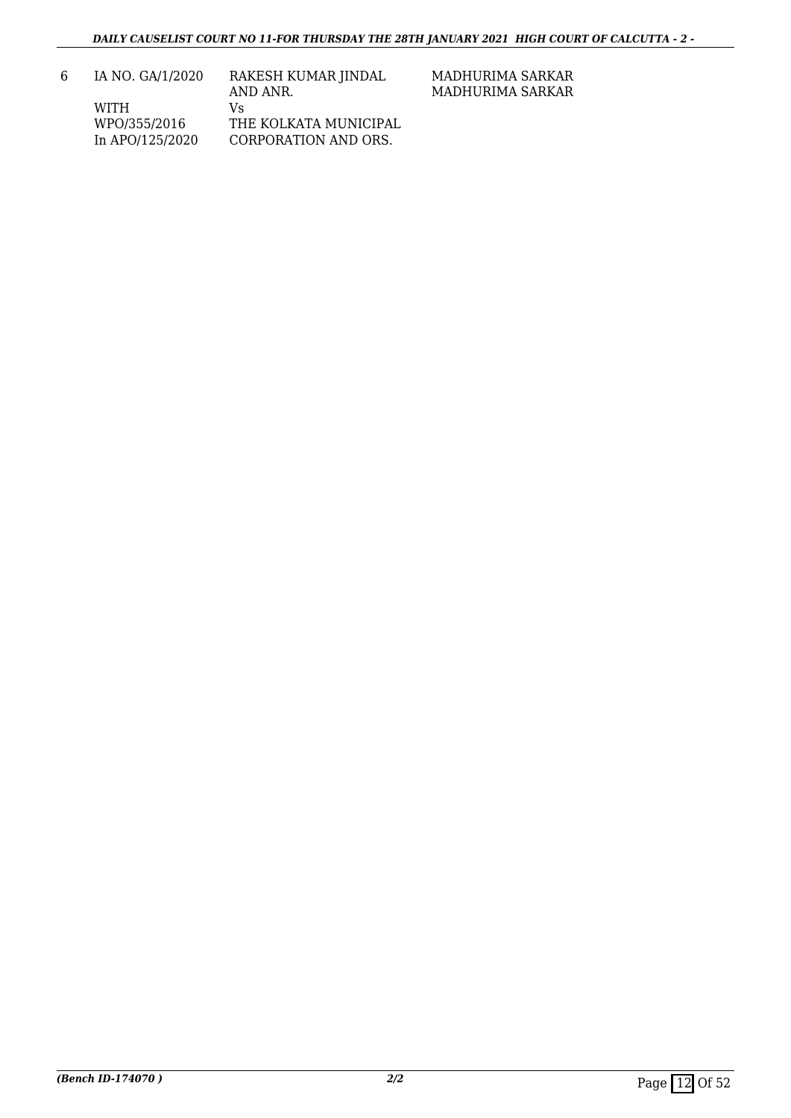MADHURIMA SARKAR MADHURIMA SARKAR

| 6. | IA NO. GA/1/2020 | RAKESH KUMAR JINDAL   |
|----|------------------|-----------------------|
|    |                  | AND ANR.              |
|    | WITH             | V۹                    |
|    | WPO/355/2016     | THE KOLKATA MUNICIPAL |
|    | In APO/125/2020  | CORPORATION AND ORS.  |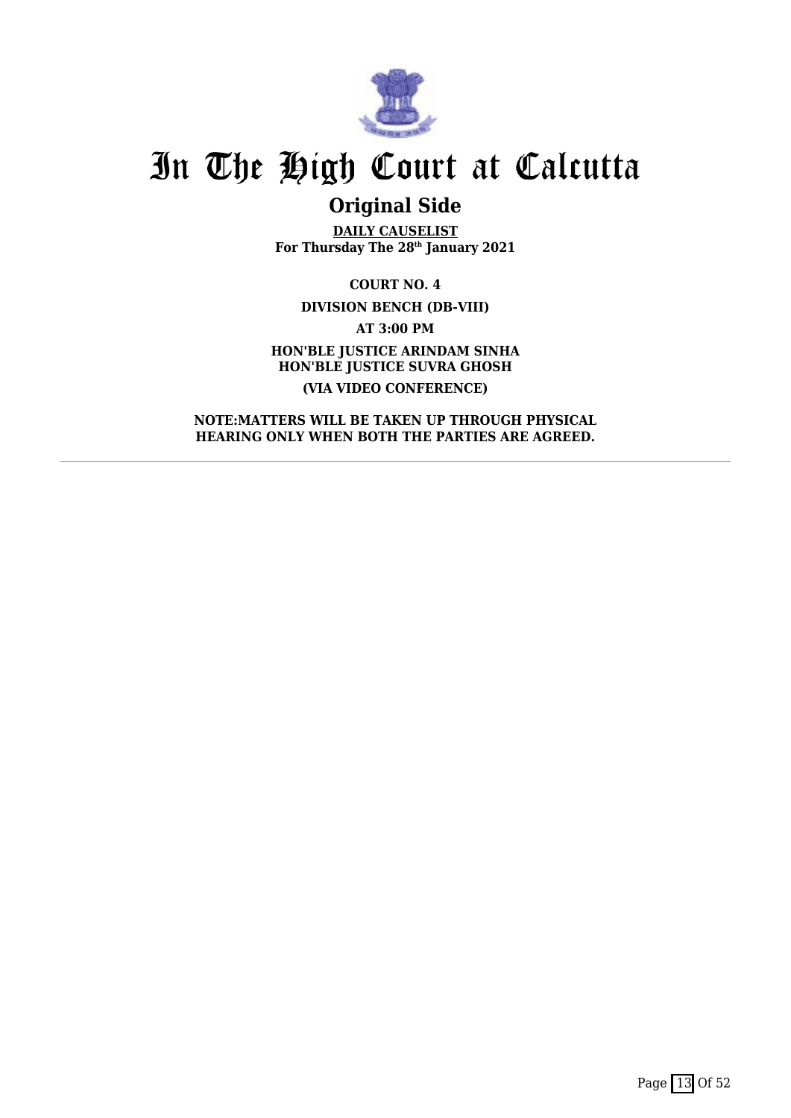

## **Original Side**

**DAILY CAUSELIST For Thursday The 28th January 2021**

**COURT NO. 4 DIVISION BENCH (DB-VIII) AT 3:00 PM HON'BLE JUSTICE ARINDAM SINHA HON'BLE JUSTICE SUVRA GHOSH (VIA VIDEO CONFERENCE)**

**NOTE:MATTERS WILL BE TAKEN UP THROUGH PHYSICAL HEARING ONLY WHEN BOTH THE PARTIES ARE AGREED.**

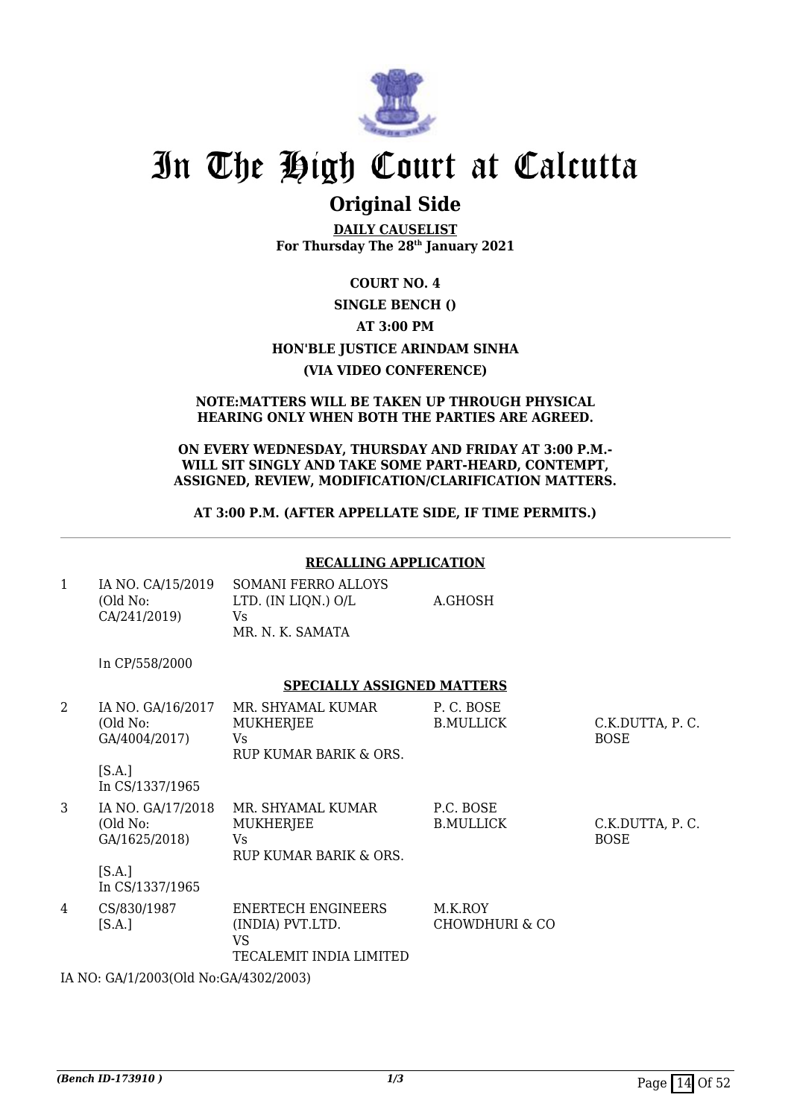

### **Original Side**

**DAILY CAUSELIST For Thursday The 28th January 2021**

### **COURT NO. 4**

### **SINGLE BENCH ()**

### **AT 3:00 PM**

### **HON'BLE JUSTICE ARINDAM SINHA**

### **(VIA VIDEO CONFERENCE)**

#### **NOTE:MATTERS WILL BE TAKEN UP THROUGH PHYSICAL HEARING ONLY WHEN BOTH THE PARTIES ARE AGREED.**

#### **ON EVERY WEDNESDAY, THURSDAY AND FRIDAY AT 3:00 P.M.- WILL SIT SINGLY AND TAKE SOME PART-HEARD, CONTEMPT, ASSIGNED, REVIEW, MODIFICATION/CLARIFICATION MATTERS.**

### **AT 3:00 P.M. (AFTER APPELLATE SIDE, IF TIME PERMITS.)**

### **RECALLING APPLICATION**

| IA NO. CA/15/2019<br>(Old No: | SOMANI FERRO ALLOYS<br>LTD. (IN LIQN.) O/L | A.GHOSH |
|-------------------------------|--------------------------------------------|---------|
| CA/241/2019)                  | Vs<br>MR. N. K. SAMATA                     |         |

In CP/558/2000

### **SPECIALLY ASSIGNED MATTERS**

| 2 | IA NO. GA/16/2017<br>(Old No:<br>GA/4004/2017)<br>[S.A.]<br>In CS/1337/1965 | MR. SHYAMAL KUMAR<br><b>MUKHERJEE</b><br>Vs<br>RUP KUMAR BARIK & ORS.          | P.C. BOSE<br><b>B.MULLICK</b> | C.K.DUTTA, P.C.<br><b>BOSE</b> |
|---|-----------------------------------------------------------------------------|--------------------------------------------------------------------------------|-------------------------------|--------------------------------|
| 3 | IA NO. GA/17/2018<br>(Old No:<br>GA/1625/2018)<br>[S.A.]<br>In CS/1337/1965 | MR. SHYAMAL KUMAR<br><b>MUKHERJEE</b><br>Vs.<br>RUP KUMAR BARIK & ORS.         | P.C. BOSE<br><b>B.MULLICK</b> | C.K.DUTTA, P.C.<br><b>BOSE</b> |
| 4 | CS/830/1987<br>[S.A.]                                                       | <b>ENERTECH ENGINEERS</b><br>(INDIA) PVT.LTD.<br>VS<br>TECALEMIT INDIA LIMITED | M.K.ROY<br>CHOWDHURI & CO     |                                |

IA NO: GA/1/2003(Old No:GA/4302/2003)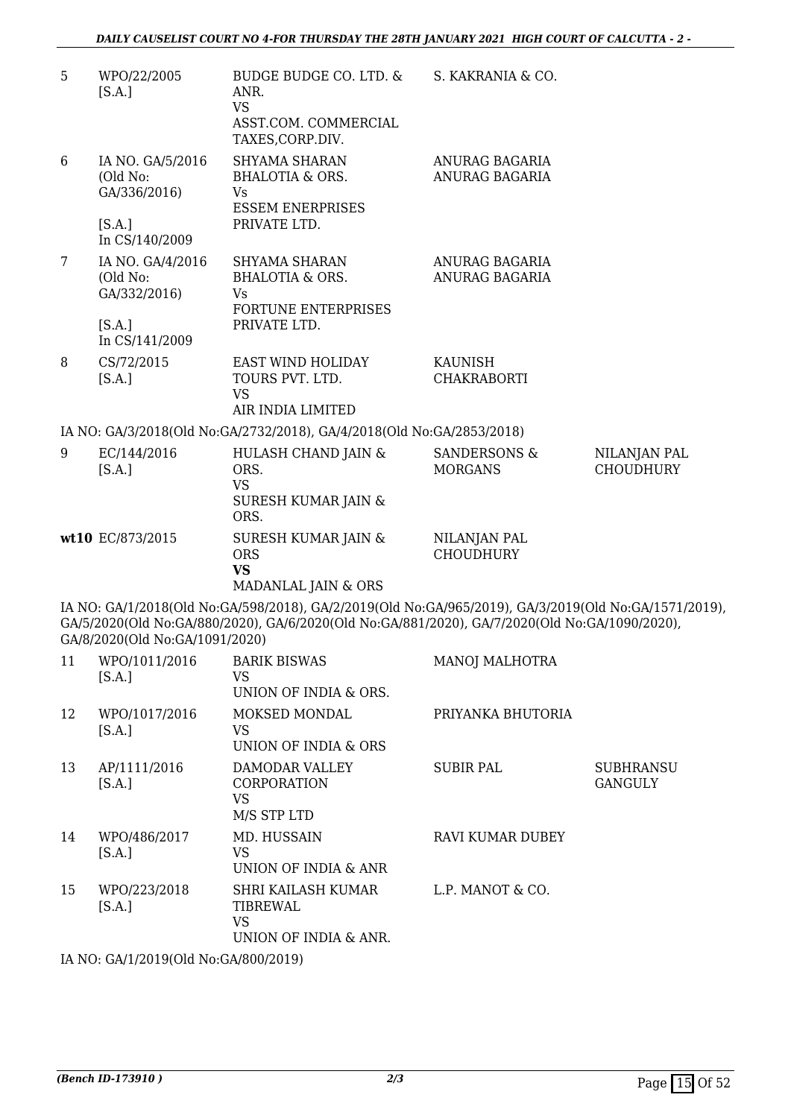| 5  | WPO/22/2005<br>[S.A.]                                  | BUDGE BUDGE CO. LTD. &<br>ANR.<br><b>VS</b><br>ASST.COM. COMMERCIAL<br>TAXES, CORP.DIV.                                                                                                               | S. KAKRANIA & CO.                |                                    |
|----|--------------------------------------------------------|-------------------------------------------------------------------------------------------------------------------------------------------------------------------------------------------------------|----------------------------------|------------------------------------|
| 6  | IA NO. GA/5/2016<br>(Old No:<br>GA/336/2016)<br>[S.A.] | SHYAMA SHARAN<br><b>BHALOTIA &amp; ORS.</b><br><b>Vs</b><br><b>ESSEM ENERPRISES</b><br>PRIVATE LTD.                                                                                                   | ANURAG BAGARIA<br>ANURAG BAGARIA |                                    |
|    | In CS/140/2009                                         |                                                                                                                                                                                                       |                                  |                                    |
| 7  | IA NO. GA/4/2016<br>(Old No:<br>GA/332/2016)<br>[S.A.] | SHYAMA SHARAN<br><b>BHALOTIA &amp; ORS.</b><br>Vs<br><b>FORTUNE ENTERPRISES</b><br>PRIVATE LTD.                                                                                                       | ANURAG BAGARIA<br>ANURAG BAGARIA |                                    |
|    | In CS/141/2009                                         |                                                                                                                                                                                                       |                                  |                                    |
| 8  | CS/72/2015<br>[S.A.]                                   | <b>EAST WIND HOLIDAY</b><br>TOURS PVT. LTD.<br><b>VS</b>                                                                                                                                              | KAUNISH<br><b>CHAKRABORTI</b>    |                                    |
|    |                                                        | AIR INDIA LIMITED                                                                                                                                                                                     |                                  |                                    |
|    |                                                        | IA NO: GA/3/2018(Old No:GA/2732/2018), GA/4/2018(Old No:GA/2853/2018)                                                                                                                                 |                                  |                                    |
| 9  | EC/144/2016<br>[S.A.]                                  | HULASH CHAND JAIN &<br>ORS.<br><b>VS</b><br><b>SURESH KUMAR JAIN &amp;</b><br>ORS.                                                                                                                    | SANDERSONS &<br><b>MORGANS</b>   | NILANJAN PAL<br><b>CHOUDHURY</b>   |
|    | wt10 EC/873/2015                                       | <b>SURESH KUMAR JAIN &amp;</b><br><b>ORS</b><br><b>VS</b><br>MADANLAL JAIN & ORS                                                                                                                      | NILANJAN PAL<br><b>CHOUDHURY</b> |                                    |
|    | GA/8/2020(Old No:GA/1091/2020)                         | IA NO: GA/1/2018(Old No:GA/598/2018), GA/2/2019(Old No:GA/965/2019), GA/3/2019(Old No:GA/1571/2019),<br>GA/5/2020(Old No:GA/880/2020), GA/6/2020(Old No:GA/881/2020), GA/7/2020(Old No:GA/1090/2020), |                                  |                                    |
| 11 | WPO/1011/2016<br>[S.A.]                                | <b>BARIK BISWAS</b><br><b>VS</b><br>UNION OF INDIA & ORS.                                                                                                                                             | MANOJ MALHOTRA                   |                                    |
| 12 | WPO/1017/2016<br>[S.A.]                                | MOKSED MONDAL<br><b>VS</b><br>UNION OF INDIA & ORS                                                                                                                                                    | PRIYANKA BHUTORIA                |                                    |
| 13 | AP/1111/2016<br>[S.A.]                                 | DAMODAR VALLEY<br>CORPORATION<br><b>VS</b><br>M/S STP LTD                                                                                                                                             | <b>SUBIR PAL</b>                 | <b>SUBHRANSU</b><br><b>GANGULY</b> |
| 14 | WPO/486/2017<br>[S.A.]                                 | MD. HUSSAIN<br><b>VS</b><br>UNION OF INDIA & ANR                                                                                                                                                      | RAVI KUMAR DUBEY                 |                                    |
| 15 | WPO/223/2018<br>[S.A.]                                 | SHRI KAILASH KUMAR<br>TIBREWAL<br><b>VS</b><br>UNION OF INDIA & ANR.                                                                                                                                  | L.P. MANOT & CO.                 |                                    |
|    |                                                        |                                                                                                                                                                                                       |                                  |                                    |

IA NO: GA/1/2019(Old No:GA/800/2019)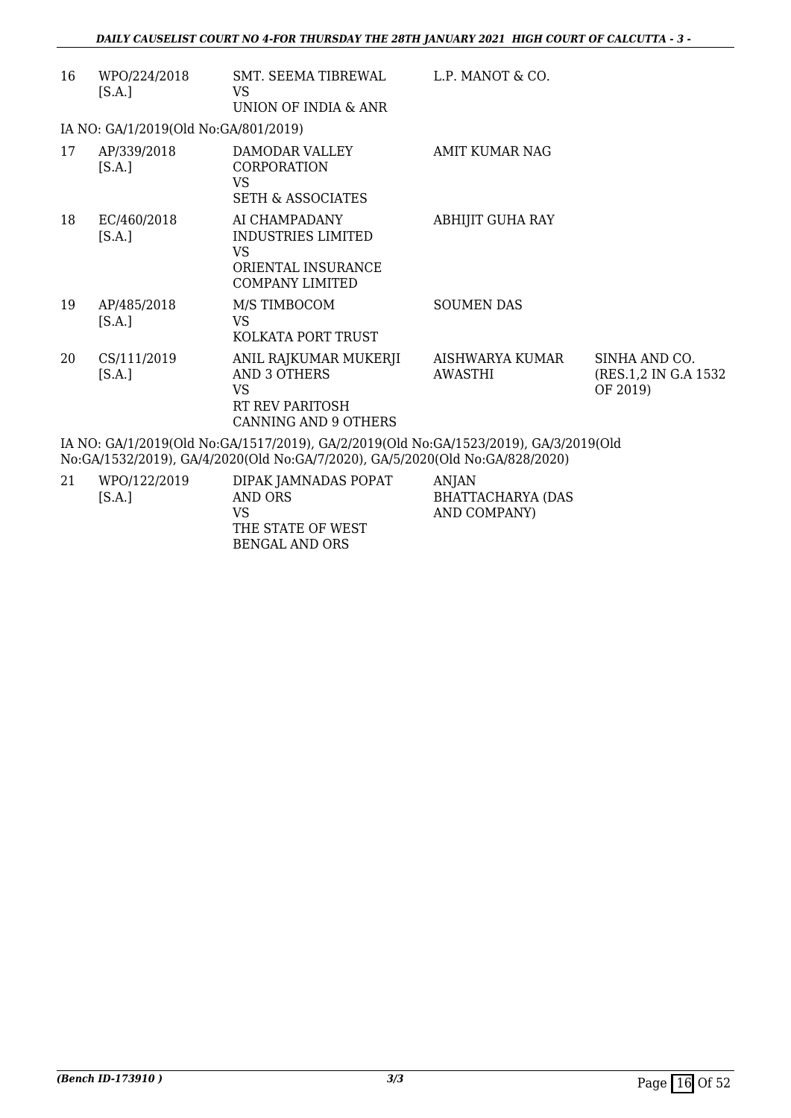| 16                                                                                                                                                                   | WPO/224/2018<br>[S.A.]               | SMT. SEEMA TIBREWAL<br>VS<br>UNION OF INDIA & ANR                                                           | L.P. MANOT & CO.           |                                                    |
|----------------------------------------------------------------------------------------------------------------------------------------------------------------------|--------------------------------------|-------------------------------------------------------------------------------------------------------------|----------------------------|----------------------------------------------------|
|                                                                                                                                                                      | IA NO: GA/1/2019(Old No:GA/801/2019) |                                                                                                             |                            |                                                    |
| 17                                                                                                                                                                   | AP/339/2018<br>[S.A.]                | DAMODAR VALLEY<br><b>CORPORATION</b><br>VS<br><b>SETH &amp; ASSOCIATES</b>                                  | AMIT KUMAR NAG             |                                                    |
| 18                                                                                                                                                                   | EC/460/2018<br>[S.A.]                | AI CHAMPADANY<br>INDUSTRIES LIMITED<br>VS<br>ORIENTAL INSURANCE<br><b>COMPANY LIMITED</b>                   | ABHIJIT GUHA RAY           |                                                    |
| 19                                                                                                                                                                   | AP/485/2018<br>[S.A.]                | M/S TIMBOCOM<br><b>VS</b><br>KOLKATA PORT TRUST                                                             | <b>SOUMEN DAS</b>          |                                                    |
| 20                                                                                                                                                                   | CS/111/2019<br>[S.A.]                | ANIL RAJKUMAR MUKERJI<br>AND 3 OTHERS<br><b>VS</b><br><b>RT REV PARITOSH</b><br><b>CANNING AND 9 OTHERS</b> | AISHWARYA KUMAR<br>AWASTHI | SINHA AND CO.<br>(RES.1,2 IN G.A 1532)<br>OF 2019) |
| IA NO: GA/1/2019(Old No:GA/1517/2019), GA/2/2019(Old No:GA/1523/2019), GA/3/2019(Old<br>No:GA/1532/2019), GA/4/2020(Old No:GA/7/2020), GA/5/2020(Old No:GA/828/2020) |                                      |                                                                                                             |                            |                                                    |

| 21 | WPO/122/2019<br>[S.A.] | DIPAK JAMNADAS POPAT<br>AND ORS<br>VS | ANIAN<br>BHATTACHARYA (DAS<br>AND COMPANY) |
|----|------------------------|---------------------------------------|--------------------------------------------|
|    |                        | THE STATE OF WEST                     |                                            |
|    |                        | BENGAL AND ORS                        |                                            |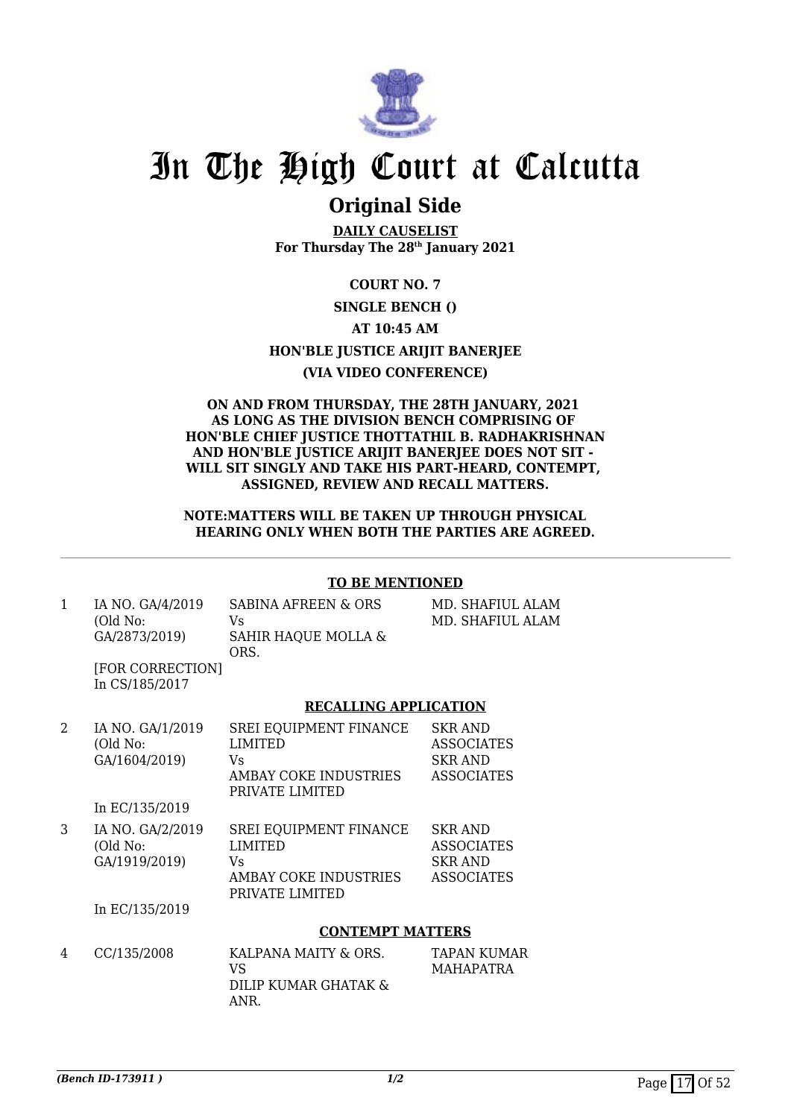

### **Original Side**

**DAILY CAUSELIST For Thursday The 28th January 2021**

**COURT NO. 7**

### **SINGLE BENCH ()**

**AT 10:45 AM**

**HON'BLE JUSTICE ARIJIT BANERJEE**

### **(VIA VIDEO CONFERENCE)**

#### **ON AND FROM THURSDAY, THE 28TH JANUARY, 2021 AS LONG AS THE DIVISION BENCH COMPRISING OF HON'BLE CHIEF JUSTICE THOTTATHIL B. RADHAKRISHNAN AND HON'BLE JUSTICE ARIJIT BANERJEE DOES NOT SIT - WILL SIT SINGLY AND TAKE HIS PART-HEARD, CONTEMPT, ASSIGNED, REVIEW AND RECALL MATTERS.**

### **NOTE:MATTERS WILL BE TAKEN UP THROUGH PHYSICAL HEARING ONLY WHEN BOTH THE PARTIES ARE AGREED.**

### **TO BE MENTIONED**

1 IA NO. GA/4/2019 (Old No: GA/2873/2019) SABINA AFREEN & ORS Vs SAHIR HAQUE MOLLA & ORS.

MD. SHAFIUL ALAM MD. SHAFIUL ALAM

[FOR CORRECTION] In CS/185/2017

### **RECALLING APPLICATION**

| 2 | IA NO. GA/1/2019<br>(Old No:<br>GA/1604/2019)<br>In EC/135/2019 | <b>SREI EQUIPMENT FINANCE</b><br><b>LIMITED</b><br>Vs<br>AMBAY COKE INDUSTRIES<br>PRIVATE LIMITED | <b>SKR AND</b><br><b>ASSOCIATES</b><br><b>SKR AND</b><br><b>ASSOCIATES</b> |
|---|-----------------------------------------------------------------|---------------------------------------------------------------------------------------------------|----------------------------------------------------------------------------|
|   |                                                                 |                                                                                                   |                                                                            |
| 3 | IA NO. GA/2/2019<br>(Old No:<br>GA/1919/2019)                   | <b>SREI EQUIPMENT FINANCE</b><br><b>LIMITED</b><br>Vs<br>AMBAY COKE INDUSTRIES<br>PRIVATE LIMITED | <b>SKR AND</b><br><b>ASSOCIATES</b><br><b>SKR AND</b><br><b>ASSOCIATES</b> |
|   | In EC/135/2019                                                  |                                                                                                   |                                                                            |
|   |                                                                 | <b>CONTEMPT MATTERS</b>                                                                           |                                                                            |

| 4 | CC/135/2008 | KALPANA MAITY & ORS.<br>VS   | TAPAN KUMAR<br><b>MAHAPATRA</b> |
|---|-------------|------------------------------|---------------------------------|
|   |             | DILIP KUMAR GHATAK &<br>ANR. |                                 |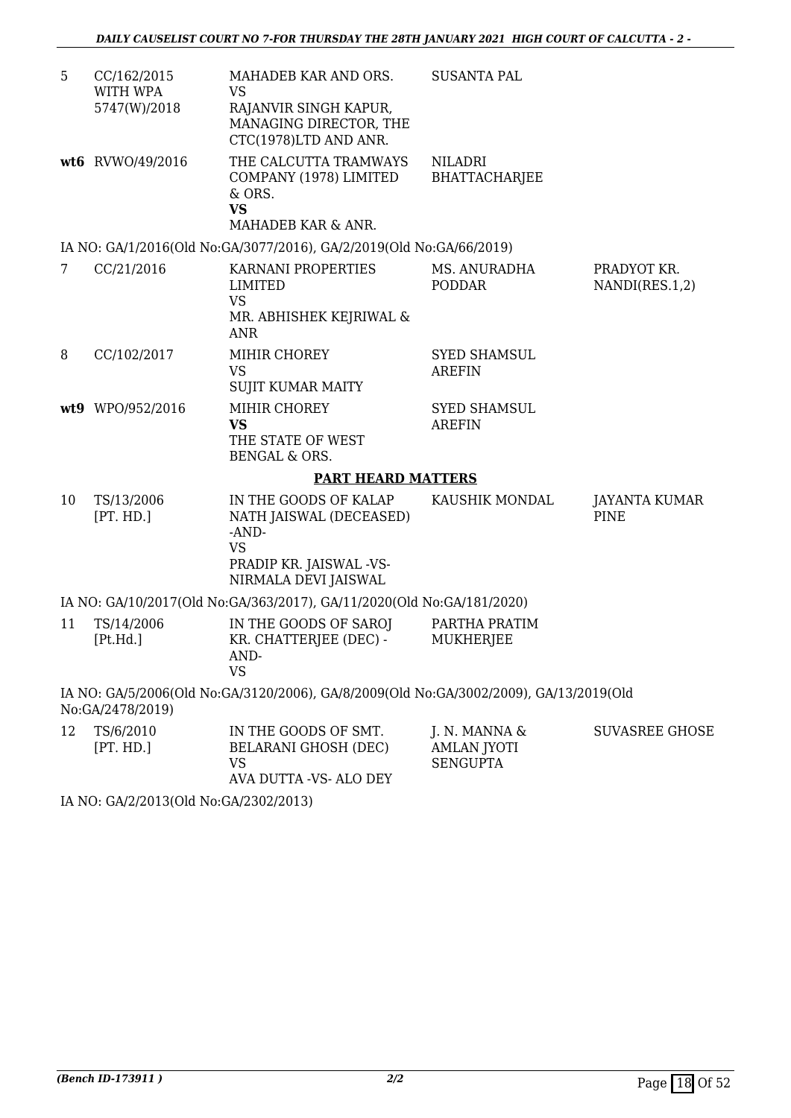| 5  | CC/162/2015<br>WITH WPA | MAHADEB KAR AND ORS.<br>VS                                                                                                | <b>SUSANTA PAL</b>                                     |                               |
|----|-------------------------|---------------------------------------------------------------------------------------------------------------------------|--------------------------------------------------------|-------------------------------|
|    | 5747(W)/2018            | RAJANVIR SINGH KAPUR,<br>MANAGING DIRECTOR, THE<br>CTC(1978)LTD AND ANR.                                                  |                                                        |                               |
|    | wt6 RVWO/49/2016        | THE CALCUTTA TRAMWAYS<br>COMPANY (1978) LIMITED<br>& ORS.<br><b>VS</b><br>MAHADEB KAR & ANR.                              | NILADRI<br>BHATTACHARJEE                               |                               |
|    |                         | IA NO: GA/1/2016(Old No:GA/3077/2016), GA/2/2019(Old No:GA/66/2019)                                                       |                                                        |                               |
| 7  | CC/21/2016              | KARNANI PROPERTIES<br><b>LIMITED</b><br><b>VS</b><br>MR. ABHISHEK KEJRIWAL &<br><b>ANR</b>                                | MS. ANURADHA<br><b>PODDAR</b>                          | PRADYOT KR.<br>NANDI(RES.1,2) |
| 8  | CC/102/2017             | MIHIR CHOREY<br><b>VS</b><br><b>SUJIT KUMAR MAITY</b>                                                                     | <b>SYED SHAMSUL</b><br><b>AREFIN</b>                   |                               |
|    | wt9 WPO/952/2016        | MIHIR CHOREY<br><b>VS</b><br>THE STATE OF WEST<br><b>BENGAL &amp; ORS.</b>                                                | <b>SYED SHAMSUL</b><br><b>AREFIN</b>                   |                               |
|    |                         | <b>PART HEARD MATTERS</b>                                                                                                 |                                                        |                               |
| 10 | TS/13/2006<br>[PT. HD.] | IN THE GOODS OF KALAP<br>NATH JAISWAL (DECEASED)<br>-AND-<br><b>VS</b><br>PRADIP KR. JAISWAL -VS-<br>NIRMALA DEVI JAISWAL | KAUSHIK MONDAL                                         | JAYANTA KUMAR<br><b>PINE</b>  |
|    |                         | IA NO: GA/10/2017(Old No:GA/363/2017), GA/11/2020(Old No:GA/181/2020)                                                     |                                                        |                               |
| 11 | TS/14/2006<br>[Pt.Hd.]  | IN THE GOODS OF SAROJ<br>KR. CHATTERJEE (DEC) -<br>AND-<br><b>VS</b>                                                      | PARTHA PRATIM<br>MUKHERJEE                             |                               |
|    | No:GA/2478/2019)        | IA NO: GA/5/2006(Old No:GA/3120/2006), GA/8/2009(Old No:GA/3002/2009), GA/13/2019(Old                                     |                                                        |                               |
| 12 | TS/6/2010<br>[PT. HD.]  | IN THE GOODS OF SMT.<br>BELARANI GHOSH (DEC)<br><b>VS</b>                                                                 | J. N. MANNA &<br><b>AMLAN JYOTI</b><br><b>SENGUPTA</b> | <b>SUVASREE GHOSE</b>         |

AVA DUTTA -VS- ALO DEY

IA NO: GA/2/2013(Old No:GA/2302/2013)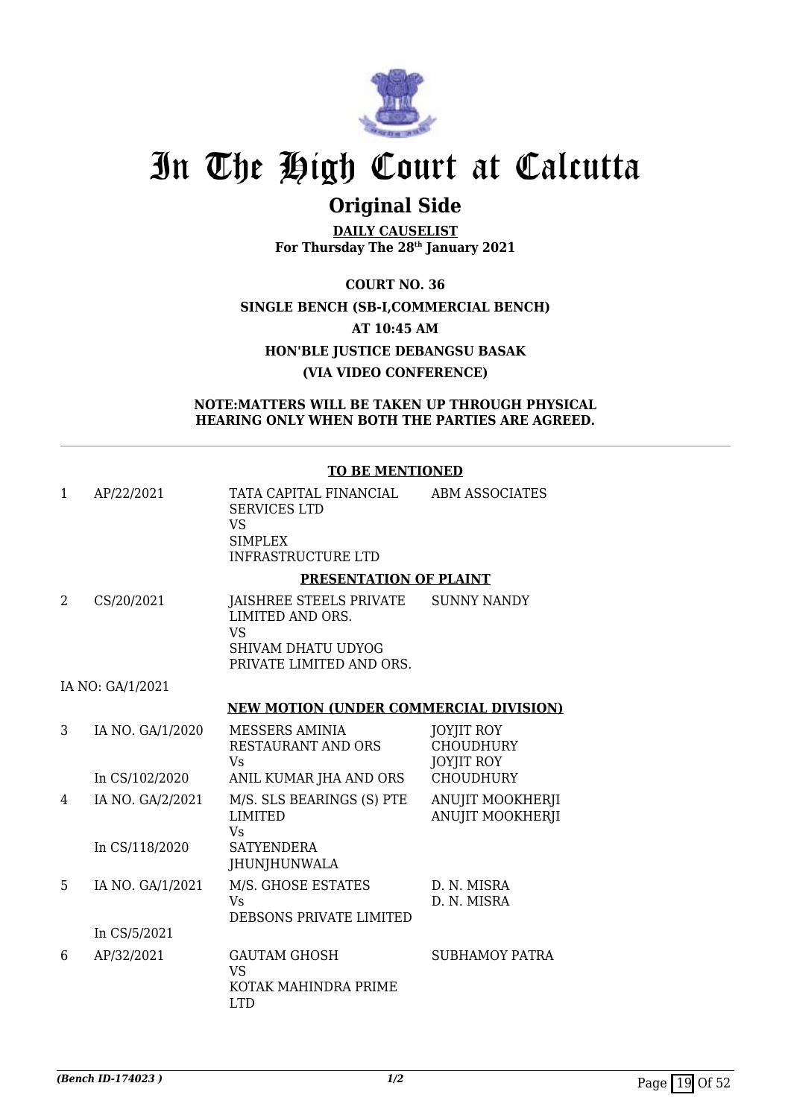

## **Original Side**

**DAILY CAUSELIST For Thursday The 28th January 2021**

**COURT NO. 36 SINGLE BENCH (SB-I,COMMERCIAL BENCH) AT 10:45 AM HON'BLE JUSTICE DEBANGSU BASAK (VIA VIDEO CONFERENCE)**

**NOTE:MATTERS WILL BE TAKEN UP THROUGH PHYSICAL HEARING ONLY WHEN BOTH THE PARTIES ARE AGREED.**

### **TO BE MENTIONED**

| 1 | AP/22/2021       | TATA CAPITAL FINANCIAL<br><b>SERVICES LTD</b><br><b>VS</b><br><b>SIMPLEX</b><br><b>INFRASTRUCTURE LTD</b>  | <b>ABM ASSOCIATES</b>                                      |
|---|------------------|------------------------------------------------------------------------------------------------------------|------------------------------------------------------------|
|   |                  | PRESENTATION OF PLAINT                                                                                     |                                                            |
| 2 | CS/20/2021       | JAISHREE STEELS PRIVATE<br>LIMITED AND ORS.<br><b>VS</b><br>SHIVAM DHATU UDYOG<br>PRIVATE LIMITED AND ORS. | <b>SUNNY NANDY</b>                                         |
|   | IA NO: GA/1/2021 |                                                                                                            |                                                            |
|   |                  | <b>NEW MOTION (UNDER COMMERCIAL DIVISION)</b>                                                              |                                                            |
| 3 | IA NO. GA/1/2020 | <b>MESSERS AMINIA</b><br><b>RESTAURANT AND ORS</b><br>Vs                                                   | <b>JOYJIT ROY</b><br><b>CHOUDHURY</b><br><b>JOYJIT ROY</b> |
|   | In CS/102/2020   | ANIL KUMAR JHA AND ORS                                                                                     | <b>CHOUDHURY</b>                                           |
| 4 | IA NO. GA/2/2021 | M/S. SLS BEARINGS (S) PTE<br><b>LIMITED</b><br><b>Vs</b>                                                   | ANUJIT MOOKHERJI<br>ANUJIT MOOKHERJI                       |
|   | In CS/118/2020   | <b>SATYENDERA</b><br>JHUNJHUNWALA                                                                          |                                                            |
| 5 | IA NO. GA/1/2021 | M/S. GHOSE ESTATES<br><b>Vs</b><br>DEBSONS PRIVATE LIMITED                                                 | D. N. MISRA<br>D. N. MISRA                                 |
|   | In CS/5/2021     |                                                                                                            |                                                            |
| 6 | AP/32/2021       | <b>GAUTAM GHOSH</b><br><b>VS</b><br>KOTAK MAHINDRA PRIME<br><b>LTD</b>                                     | <b>SUBHAMOY PATRA</b>                                      |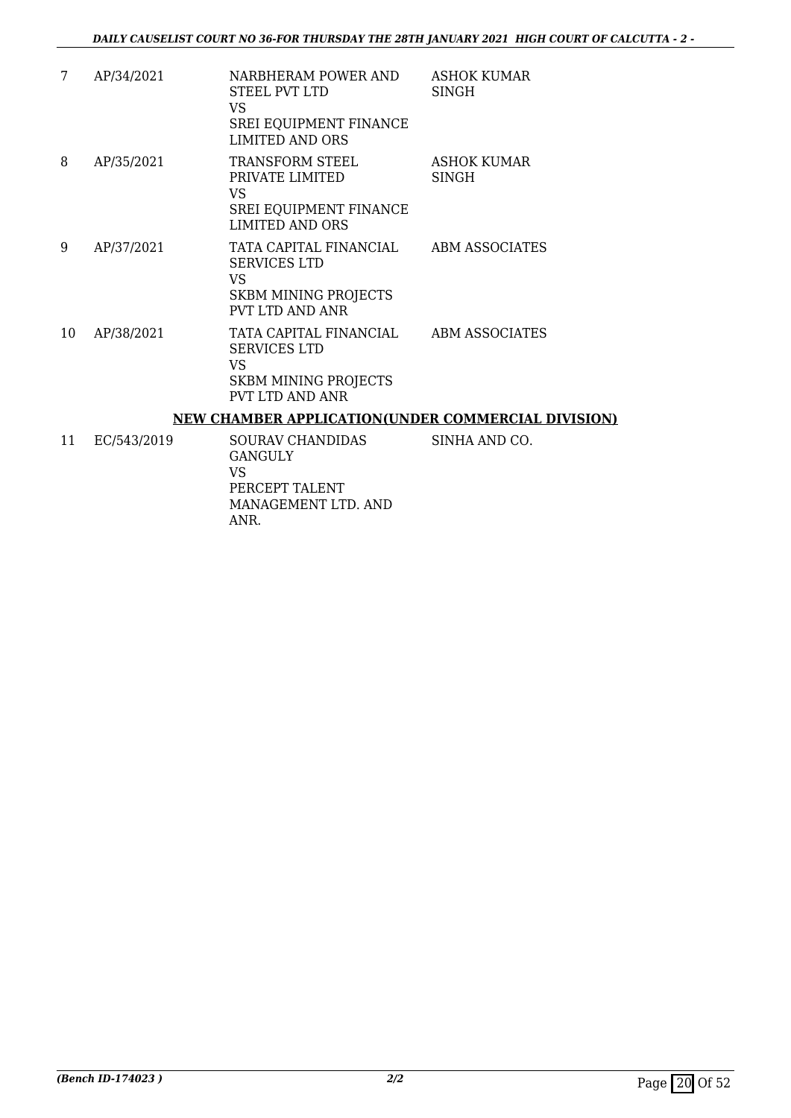| 7  | AP/34/2021 | NARBHERAM POWER AND<br>STEEL PVT LTD<br>VS<br><b>SREI EQUIPMENT FINANCE</b><br><b>LIMITED AND ORS</b>                | <b>ASHOK KUMAR</b><br><b>SINGH</b> |
|----|------------|----------------------------------------------------------------------------------------------------------------------|------------------------------------|
| 8  | AP/35/2021 | TRANSFORM STEEL<br>PRIVATE LIMITED<br>VS<br><b>SREI EQUIPMENT FINANCE</b><br><b>LIMITED AND ORS</b>                  | ASHOK KUMAR<br>SINGH               |
| 9  | AP/37/2021 | TATA CAPITAL FINANCIAL<br><b>SERVICES LTD</b><br>VS<br><b>SKBM MINING PROJECTS</b><br>PVT LTD AND ANR                | ABM ASSOCIATES                     |
| 10 | AP/38/2021 | TATA CAPITAL FINANCIAL ABM ASSOCIATES<br><b>SERVICES LTD</b><br>VS<br><b>SKBM MINING PROJECTS</b><br>PVT LTD AND ANR |                                    |
|    |            | <b>NEW CHAMBER APPLICATION(UNDER COMMERCIAL DIVISION)</b>                                                            |                                    |

11 EC/543/2019 SOURAV CHANDIDAS GANGULY VS PERCEPT TALENT MANAGEMENT LTD. AND ANR. SINHA AND CO.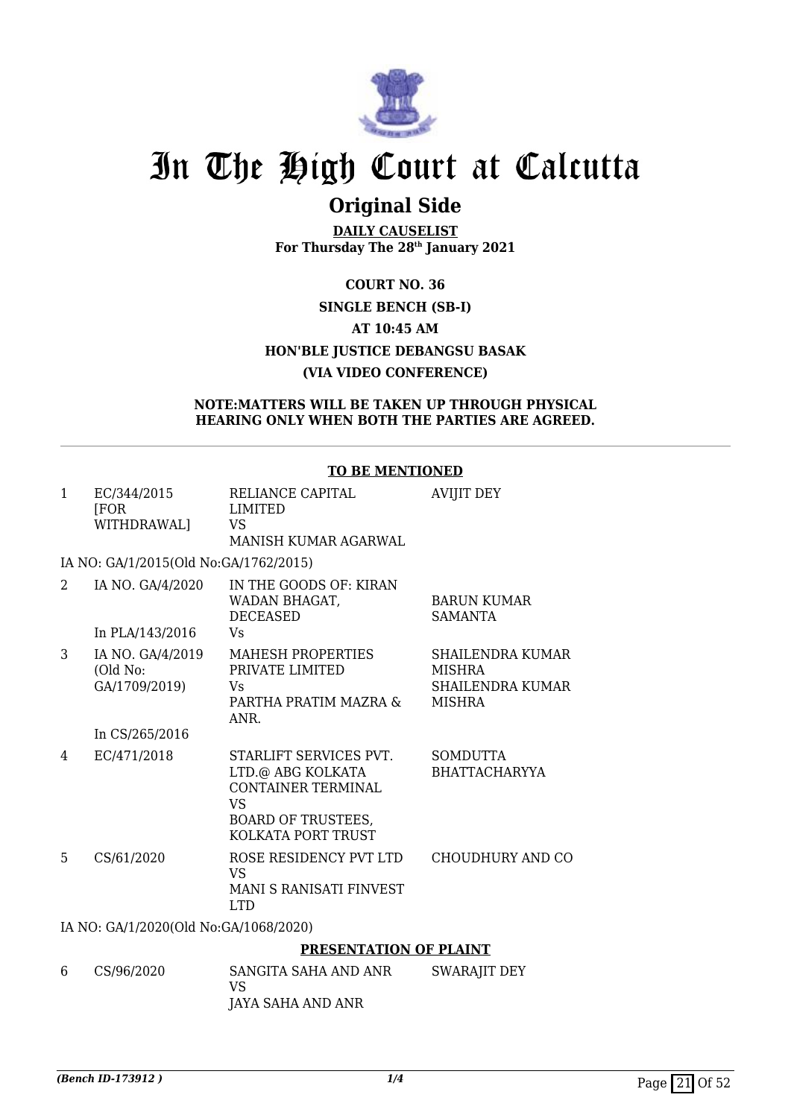

### **Original Side**

**DAILY CAUSELIST For Thursday The 28th January 2021**

### **COURT NO. 36 SINGLE BENCH (SB-I) AT 10:45 AM HON'BLE JUSTICE DEBANGSU BASAK (VIA VIDEO CONFERENCE)**

### **NOTE:MATTERS WILL BE TAKEN UP THROUGH PHYSICAL HEARING ONLY WHEN BOTH THE PARTIES ARE AGREED.**

|              |                                               | <b>TO BE MENTIONED</b>                                                                |                                                                                      |
|--------------|-----------------------------------------------|---------------------------------------------------------------------------------------|--------------------------------------------------------------------------------------|
| $\mathbf{1}$ | EC/344/2015<br><b>FOR</b><br>WITHDRAWAL]      | RELIANCE CAPITAL<br><b>LIMITED</b><br>VS.<br>MANISH KUMAR AGARWAL                     | <b>AVIJIT DEY</b>                                                                    |
|              | IA NO: GA/1/2015(Old No:GA/1762/2015)         |                                                                                       |                                                                                      |
| 2            | IA NO. GA/4/2020<br>In PLA/143/2016           | IN THE GOODS OF: KIRAN<br>WADAN BHAGAT,<br><b>DECEASED</b><br>Vs                      | <b>BARUN KUMAR</b><br><b>SAMANTA</b>                                                 |
| 3            | IA NO. GA/4/2019<br>(Old No:<br>GA/1709/2019) | <b>MAHESH PROPERTIES</b><br>PRIVATE LIMITED<br>Vs<br>PARTHA PRATIM MAZRA &<br>ANR.    | <b>SHAILENDRA KUMAR</b><br><b>MISHRA</b><br><b>SHAILENDRA KUMAR</b><br><b>MISHRA</b> |
|              | In CS/265/2016                                |                                                                                       |                                                                                      |
| 4            | EC/471/2018                                   | STARLIFT SERVICES PVT.<br>LTD.@ ABG KOLKATA<br><b>CONTAINER TERMINAL</b><br><b>VS</b> | <b>SOMDUTTA</b><br><b>BHATTACHARYYA</b>                                              |
|              |                                               | <b>BOARD OF TRUSTEES.</b><br>KOLKATA PORT TRUST                                       |                                                                                      |
| 5            | CS/61/2020                                    | ROSE RESIDENCY PVT LTD<br><b>VS</b><br><b>MANI S RANISATI FINVEST</b><br><b>LTD</b>   | <b>CHOUDHURY AND CO</b>                                                              |
|              | IA NO: GA/1/2020(Old No:GA/1068/2020)         |                                                                                       |                                                                                      |

### **PRESENTATION OF PLAINT**

6 CS/96/2020 SANGITA SAHA AND ANR VS JAYA SAHA AND ANR SWARAJIT DEY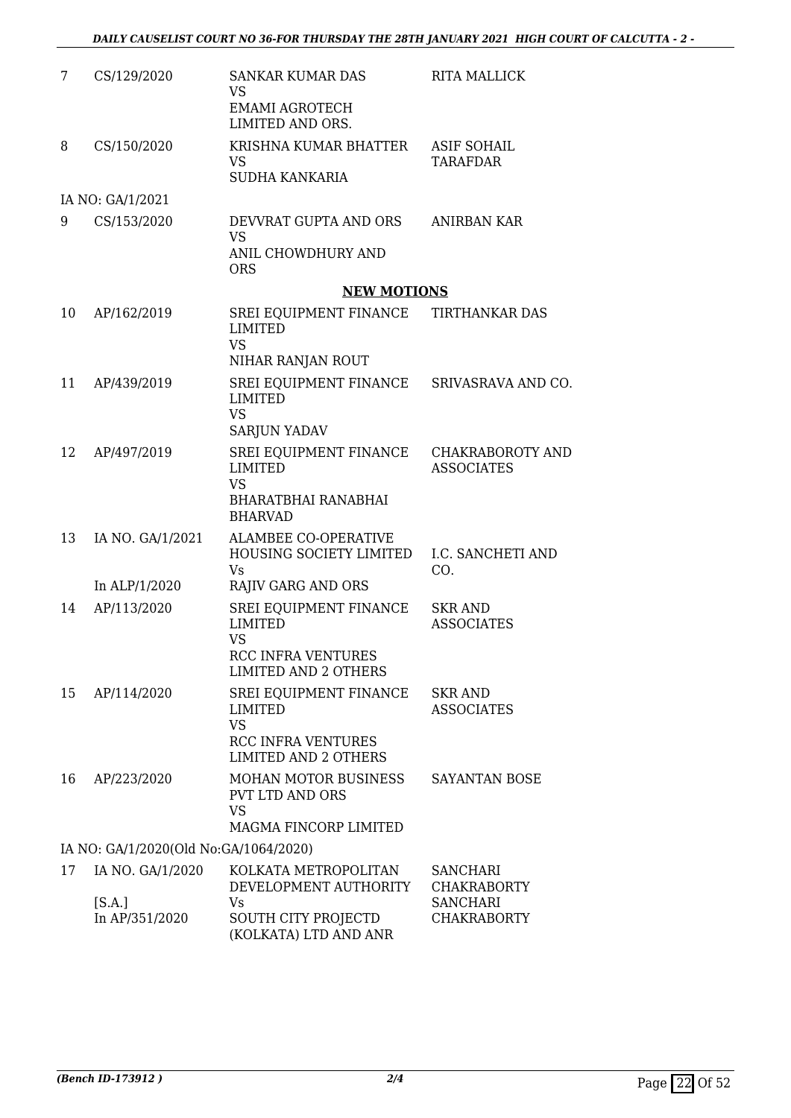| 7  | CS/129/2020                           | <b>SANKAR KUMAR DAS</b><br><b>VS</b><br><b>EMAMI AGROTECH</b><br>LIMITED AND ORS.                                 | <b>RITA MALLICK</b>                          |
|----|---------------------------------------|-------------------------------------------------------------------------------------------------------------------|----------------------------------------------|
| 8  | CS/150/2020                           | KRISHNA KUMAR BHATTER<br><b>VS</b><br><b>SUDHA KANKARIA</b>                                                       | <b>ASIF SOHAIL</b><br><b>TARAFDAR</b>        |
|    | IA NO: GA/1/2021                      |                                                                                                                   |                                              |
| 9  | CS/153/2020                           | DEVVRAT GUPTA AND ORS<br><b>VS</b><br>ANIL CHOWDHURY AND<br><b>ORS</b>                                            | ANIRBAN KAR                                  |
|    |                                       | <b>NEW MOTIONS</b>                                                                                                |                                              |
| 10 | AP/162/2019                           | SREI EQUIPMENT FINANCE<br><b>LIMITED</b><br><b>VS</b><br>NIHAR RANJAN ROUT                                        | TIRTHANKAR DAS                               |
| 11 | AP/439/2019                           | SREI EQUIPMENT FINANCE SRIVASRAVA AND CO.<br><b>LIMITED</b><br><b>VS</b><br><b>SARJUN YADAV</b>                   |                                              |
| 12 | AP/497/2019                           | SREI EQUIPMENT FINANCE<br><b>LIMITED</b><br><b>VS</b><br>BHARATBHAI RANABHAI<br><b>BHARVAD</b>                    | <b>CHAKRABOROTY AND</b><br><b>ASSOCIATES</b> |
| 13 | IA NO. GA/1/2021                      | <b>ALAMBEE CO-OPERATIVE</b><br>HOUSING SOCIETY LIMITED<br>Vs.                                                     | I.C. SANCHETI AND<br>CO.                     |
|    | In ALP/1/2020                         | <b>RAJIV GARG AND ORS</b>                                                                                         |                                              |
| 14 | AP/113/2020                           | SREI EQUIPMENT FINANCE<br><b>LIMITED</b><br><b>VS</b><br><b>RCC INFRA VENTURES</b><br><b>LIMITED AND 2 OTHERS</b> | <b>SKR AND</b><br><b>ASSOCIATES</b>          |
| 15 | AP/114/2020                           | SREI EQUIPMENT FINANCE<br><b>LIMITED</b><br><b>VS</b><br>RCC INFRA VENTURES<br><b>LIMITED AND 2 OTHERS</b>        | <b>SKR AND</b><br><b>ASSOCIATES</b>          |
| 16 | AP/223/2020                           | <b>MOHAN MOTOR BUSINESS</b><br><b>PVT LTD AND ORS</b><br><b>VS</b><br>MAGMA FINCORP LIMITED                       | SAYANTAN BOSE                                |
|    | IA NO: GA/1/2020(Old No:GA/1064/2020) |                                                                                                                   |                                              |
| 17 | IA NO. GA/1/2020                      | KOLKATA METROPOLITAN<br>DEVELOPMENT AUTHORITY                                                                     | <b>SANCHARI</b><br><b>CHAKRABORTY</b>        |
|    | [S.A.]<br>In AP/351/2020              | Vs<br>SOUTH CITY PROJECTD<br>(KOLKATA) LTD AND ANR                                                                | <b>SANCHARI</b><br><b>CHAKRABORTY</b>        |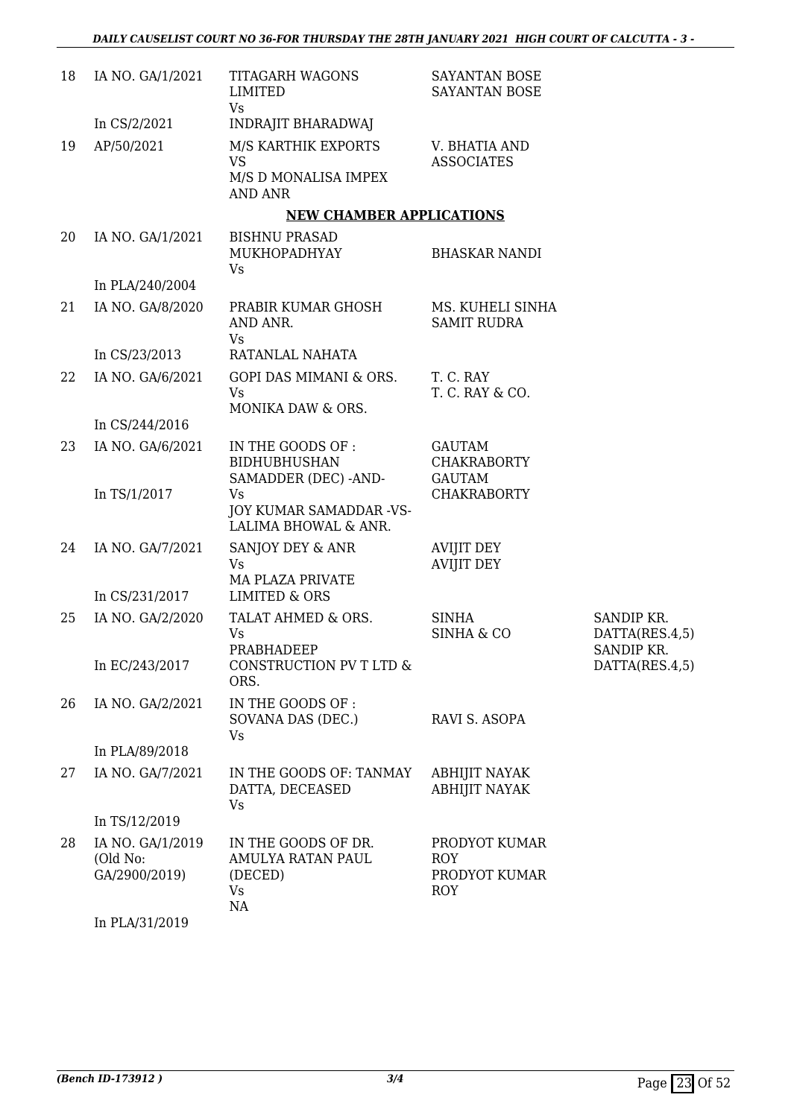| 18 | IA NO. GA/1/2021                              | <b>TITAGARH WAGONS</b><br>LIMITED<br><b>Vs</b>                             | SAYANTAN BOSE<br><b>SAYANTAN BOSE</b>                      |                                            |
|----|-----------------------------------------------|----------------------------------------------------------------------------|------------------------------------------------------------|--------------------------------------------|
|    | In CS/2/2021                                  | INDRAJIT BHARADWAJ                                                         |                                                            |                                            |
| 19 | AP/50/2021                                    | M/S KARTHIK EXPORTS<br><b>VS</b><br>M/S D MONALISA IMPEX<br><b>AND ANR</b> | V. BHATIA AND<br><b>ASSOCIATES</b>                         |                                            |
|    |                                               | <b>NEW CHAMBER APPLICATIONS</b>                                            |                                                            |                                            |
| 20 | IA NO. GA/1/2021                              | <b>BISHNU PRASAD</b><br>MUKHOPADHYAY<br>Vs                                 | <b>BHASKAR NANDI</b>                                       |                                            |
|    | In PLA/240/2004                               |                                                                            |                                                            |                                            |
| 21 | IA NO. GA/8/2020                              | PRABIR KUMAR GHOSH<br>AND ANR.<br><b>Vs</b>                                | MS. KUHELI SINHA<br><b>SAMIT RUDRA</b>                     |                                            |
|    | In CS/23/2013                                 | RATANLAL NAHATA                                                            |                                                            |                                            |
| 22 | IA NO. GA/6/2021                              | GOPI DAS MIMANI & ORS.<br>Vs<br>MONIKA DAW & ORS.                          | T. C. RAY<br>T. C. RAY & CO.                               |                                            |
|    | In CS/244/2016                                |                                                                            |                                                            |                                            |
| 23 | IA NO. GA/6/2021                              | IN THE GOODS OF :<br><b>BIDHUBHUSHAN</b><br>SAMADDER (DEC) -AND-           | <b>GAUTAM</b><br><b>CHAKRABORTY</b><br><b>GAUTAM</b>       |                                            |
|    | In TS/1/2017                                  | Vs<br>JOY KUMAR SAMADDAR -VS-<br>LALIMA BHOWAL & ANR.                      | <b>CHAKRABORTY</b>                                         |                                            |
| 24 | IA NO. GA/7/2021                              | SANJOY DEY & ANR<br>Vs<br><b>MA PLAZA PRIVATE</b>                          | <b>AVIJIT DEY</b><br><b>AVIJIT DEY</b>                     |                                            |
|    | In CS/231/2017                                | <b>LIMITED &amp; ORS</b>                                                   |                                                            |                                            |
| 25 | IA NO. GA/2/2020                              | TALAT AHMED & ORS.<br><b>Vs</b><br>PRABHADEEP                              | <b>SINHA</b><br><b>SINHA &amp; CO</b>                      | SANDIP KR.<br>DATTA(RES.4,5)<br>SANDIP KR. |
|    | In EC/243/2017                                | CONSTRUCTION PV T LTD &<br>ORS.                                            |                                                            | DATTA(RES.4,5)                             |
| 26 | IA NO. GA/2/2021                              | IN THE GOODS OF :<br>SOVANA DAS (DEC.)<br>Vs                               | RAVI S. ASOPA                                              |                                            |
|    | In PLA/89/2018                                |                                                                            |                                                            |                                            |
| 27 | IA NO. GA/7/2021                              | IN THE GOODS OF: TANMAY<br>DATTA, DECEASED<br>Vs                           | <b>ABHIJIT NAYAK</b><br><b>ABHIJIT NAYAK</b>               |                                            |
|    | In TS/12/2019                                 |                                                                            |                                                            |                                            |
| 28 | IA NO. GA/1/2019<br>(Old No:<br>GA/2900/2019) | IN THE GOODS OF DR.<br>AMULYA RATAN PAUL<br>(DECED)<br>Vs<br>NA            | PRODYOT KUMAR<br><b>ROY</b><br>PRODYOT KUMAR<br><b>ROY</b> |                                            |
|    | In PLA/31/2019                                |                                                                            |                                                            |                                            |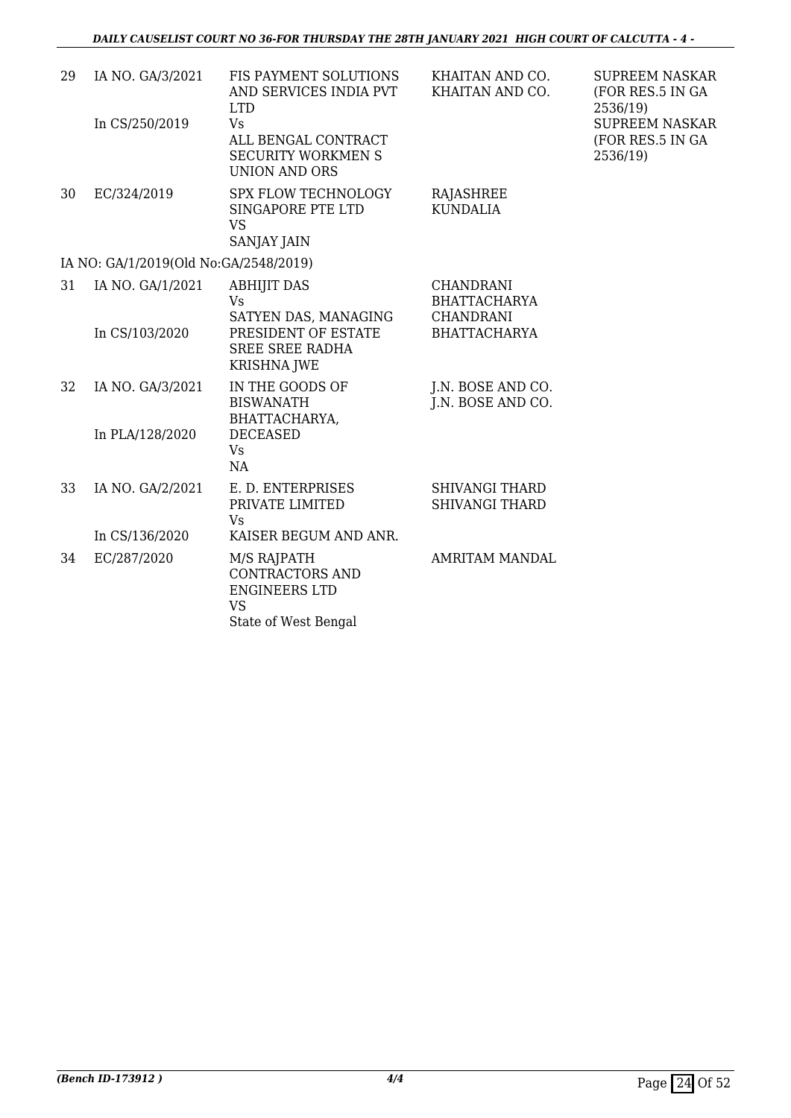| 29 | IA NO. GA/3/2021                      | FIS PAYMENT SOLUTIONS<br>AND SERVICES INDIA PVT<br><b>LTD</b>                         | KHAITAN AND CO.<br>KHAITAN AND CO.                          | <b>SUPREEM NASKAR</b><br>(FOR RES.5 IN GA<br>2536/19) |
|----|---------------------------------------|---------------------------------------------------------------------------------------|-------------------------------------------------------------|-------------------------------------------------------|
|    | In CS/250/2019                        | <b>Vs</b><br>ALL BENGAL CONTRACT<br><b>SECURITY WORKMEN S</b><br><b>UNION AND ORS</b> |                                                             | <b>SUPREEM NASKAR</b><br>(FOR RES.5 IN GA<br>2536/19) |
| 30 | EC/324/2019                           | <b>SPX FLOW TECHNOLOGY</b><br>SINGAPORE PTE LTD<br><b>VS</b><br><b>SANJAY JAIN</b>    | <b>RAJASHREE</b><br><b>KUNDALIA</b>                         |                                                       |
|    | IA NO: GA/1/2019(Old No:GA/2548/2019) |                                                                                       |                                                             |                                                       |
| 31 | IA NO. GA/1/2021                      | <b>ABHIJIT DAS</b><br><b>Vs</b><br>SATYEN DAS, MANAGING                               | <b>CHANDRANI</b><br><b>BHATTACHARYA</b><br><b>CHANDRANI</b> |                                                       |
|    | In CS/103/2020                        | PRESIDENT OF ESTATE<br><b>SREE SREE RADHA</b><br><b>KRISHNA JWE</b>                   | <b>BHATTACHARYA</b>                                         |                                                       |
| 32 | IA NO. GA/3/2021                      | IN THE GOODS OF<br><b>BISWANATH</b><br>BHATTACHARYA,                                  | J.N. BOSE AND CO.<br>J.N. BOSE AND CO.                      |                                                       |
|    | In PLA/128/2020                       | <b>DECEASED</b><br><b>Vs</b><br>NA                                                    |                                                             |                                                       |
| 33 | IA NO. GA/2/2021                      | E. D. ENTERPRISES<br>PRIVATE LIMITED<br>Vs                                            | <b>SHIVANGI THARD</b><br><b>SHIVANGI THARD</b>              |                                                       |
|    | In CS/136/2020                        | KAISER BEGUM AND ANR.                                                                 |                                                             |                                                       |
| 34 | EC/287/2020                           | M/S RAJPATH<br><b>CONTRACTORS AND</b><br><b>ENGINEERS LTD</b><br><b>VS</b>            | <b>AMRITAM MANDAL</b>                                       |                                                       |
|    |                                       | State of West Bengal                                                                  |                                                             |                                                       |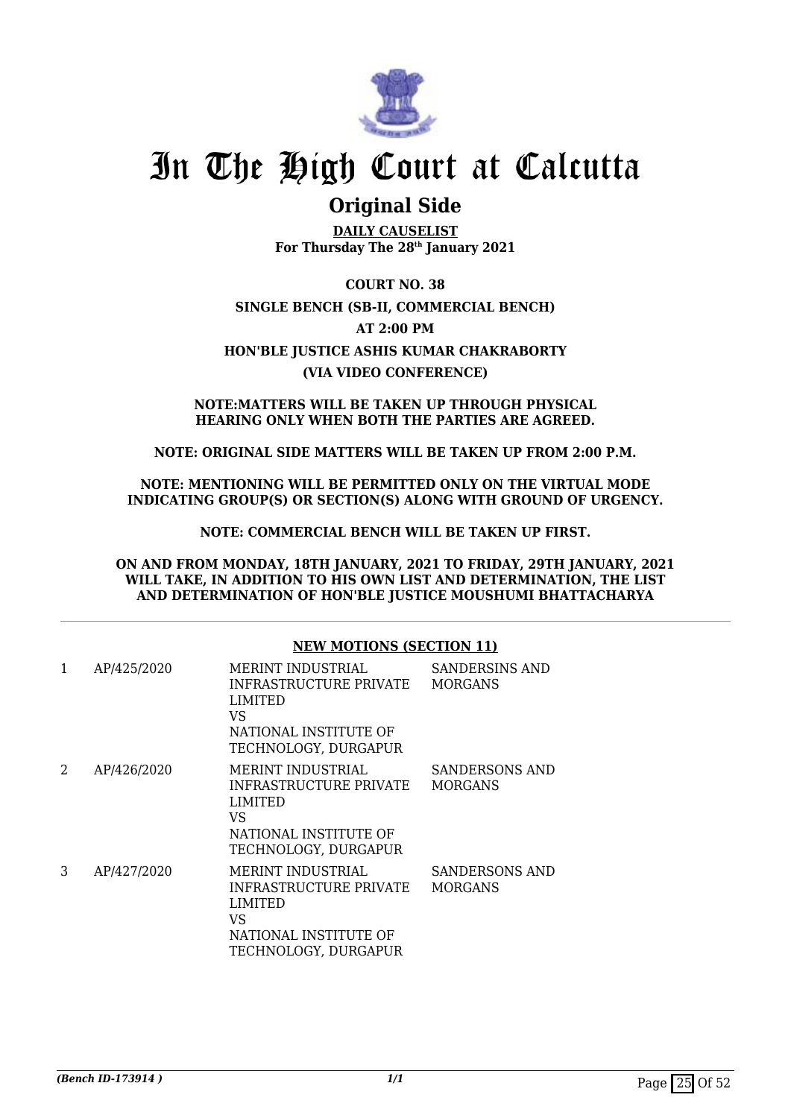

### **Original Side**

**DAILY CAUSELIST For Thursday The 28th January 2021**

**COURT NO. 38 SINGLE BENCH (SB-II, COMMERCIAL BENCH) AT 2:00 PM HON'BLE JUSTICE ASHIS KUMAR CHAKRABORTY (VIA VIDEO CONFERENCE)**

**NOTE:MATTERS WILL BE TAKEN UP THROUGH PHYSICAL HEARING ONLY WHEN BOTH THE PARTIES ARE AGREED.**

**NOTE: ORIGINAL SIDE MATTERS WILL BE TAKEN UP FROM 2:00 P.M.**

**NOTE: MENTIONING WILL BE PERMITTED ONLY ON THE VIRTUAL MODE INDICATING GROUP(S) OR SECTION(S) ALONG WITH GROUND OF URGENCY.**

**NOTE: COMMERCIAL BENCH WILL BE TAKEN UP FIRST.**

**ON AND FROM MONDAY, 18TH JANUARY, 2021 TO FRIDAY, 29TH JANUARY, 2021 WILL TAKE, IN ADDITION TO HIS OWN LIST AND DETERMINATION, THE LIST AND DETERMINATION OF HON'BLE JUSTICE MOUSHUMI BHATTACHARYA**

|   |             | <b>NEW MOTIONS (SECTION 11)</b>                                                                                              |                                         |  |
|---|-------------|------------------------------------------------------------------------------------------------------------------------------|-----------------------------------------|--|
| 1 | AP/425/2020 | MERINT INDUSTRIAL<br>INFRASTRUCTURE PRIVATE<br><b>LIMITED</b><br>VS.<br>NATIONAL INSTITUTE OF<br>TECHNOLOGY, DURGAPUR        | <b>SANDERSINS AND</b><br><b>MORGANS</b> |  |
| 2 | AP/426/2020 | <b>MERINT INDUSTRIAL</b><br>INFRASTRUCTURE PRIVATE<br><b>LIMITED</b><br>VS.<br>NATIONAL INSTITUTE OF<br>TECHNOLOGY, DURGAPUR | SANDERSONS AND<br><b>MORGANS</b>        |  |
| 3 | AP/427/2020 | <b>MERINT INDUSTRIAL</b><br>INFRASTRUCTURE PRIVATE<br><b>LIMITED</b><br>VS.<br>NATIONAL INSTITUTE OF<br>TECHNOLOGY, DURGAPUR | SANDERSONS AND<br><b>MORGANS</b>        |  |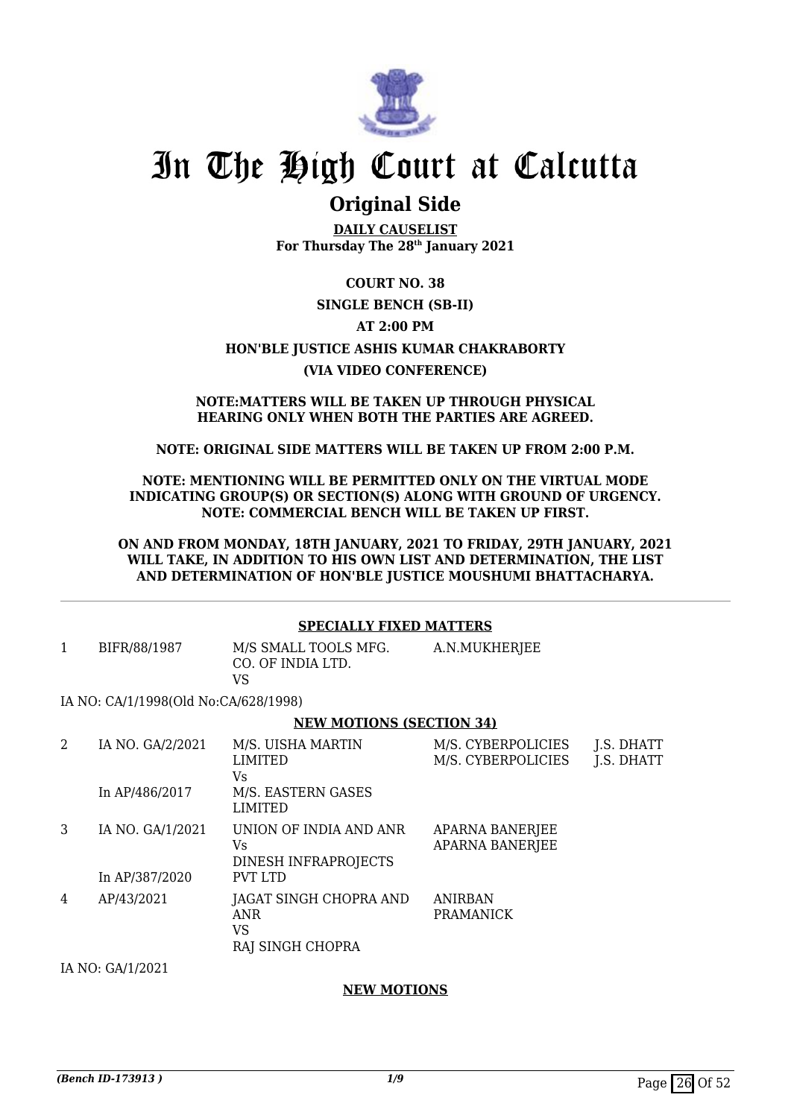

### **Original Side**

**DAILY CAUSELIST For Thursday The 28th January 2021**

**COURT NO. 38 SINGLE BENCH (SB-II) AT 2:00 PM HON'BLE JUSTICE ASHIS KUMAR CHAKRABORTY (VIA VIDEO CONFERENCE)**

#### **NOTE:MATTERS WILL BE TAKEN UP THROUGH PHYSICAL HEARING ONLY WHEN BOTH THE PARTIES ARE AGREED.**

### **NOTE: ORIGINAL SIDE MATTERS WILL BE TAKEN UP FROM 2:00 P.M.**

### **NOTE: MENTIONING WILL BE PERMITTED ONLY ON THE VIRTUAL MODE INDICATING GROUP(S) OR SECTION(S) ALONG WITH GROUND OF URGENCY. NOTE: COMMERCIAL BENCH WILL BE TAKEN UP FIRST.**

**ON AND FROM MONDAY, 18TH JANUARY, 2021 TO FRIDAY, 29TH JANUARY, 2021 WILL TAKE, IN ADDITION TO HIS OWN LIST AND DETERMINATION, THE LIST AND DETERMINATION OF HON'BLE JUSTICE MOUSHUMI BHATTACHARYA.**

### **SPECIALLY FIXED MATTERS**

| BIFR/88/1987                         | M/S SMALL TOOLS MFG.<br>CO. OF INDIA LTD. | A.N.MUKHERJEE |
|--------------------------------------|-------------------------------------------|---------------|
|                                      | VS.                                       |               |
| IA NO: CA/1/1998(Old No:CA/628/1998) |                                           |               |

### IA NO: CA/1/1998(Old No:CA/628/1998)

### **NEW MOTIONS (SECTION 34)**

| 2 | IA NO. GA/2/2021                   | M/S. UISHA MARTIN<br><b>LIMITED</b><br>Vs.                              | M/S. CYBERPOLICIES<br>M/S. CYBERPOLICIES | J.S. DHATT<br>J.S. DHATT |
|---|------------------------------------|-------------------------------------------------------------------------|------------------------------------------|--------------------------|
|   | In AP/486/2017                     | M/S. EASTERN GASES<br><b>LIMITED</b>                                    |                                          |                          |
| 3 | IA NO. GA/1/2021<br>In AP/387/2020 | UNION OF INDIA AND ANR<br>Vs.<br>DINESH INFRAPROJECTS<br><b>PVT LTD</b> | APARNA BANERJEE<br>APARNA BANERJEE       |                          |
| 4 | AP/43/2021                         | JAGAT SINGH CHOPRA AND<br>ANR<br>VS<br>RAJ SINGH CHOPRA                 | ANIRBAN<br><b>PRAMANICK</b>              |                          |

IA NO: GA/1/2021

### **NEW MOTIONS**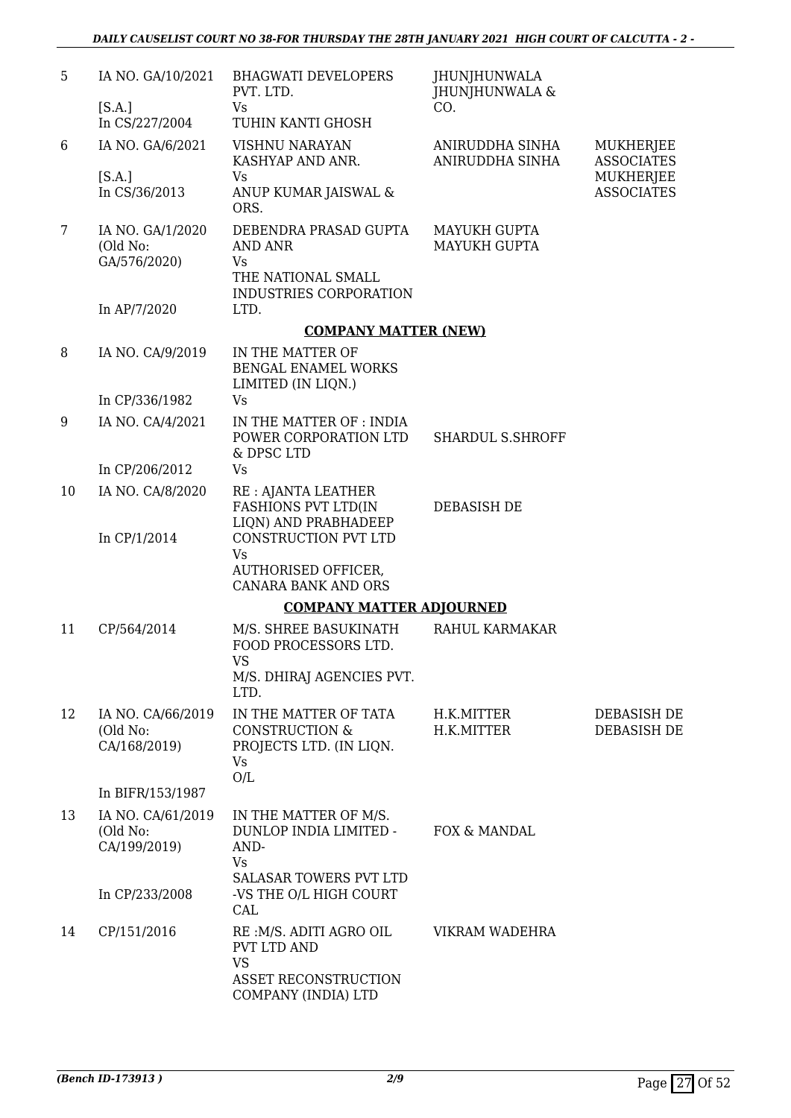| 5  | IA NO. GA/10/2021                             | <b>BHAGWATI DEVELOPERS</b><br>PVT. LTD.                                                           | <b>JHUNJHUNWALA</b><br>JHUNJHUNWALA & |                                       |
|----|-----------------------------------------------|---------------------------------------------------------------------------------------------------|---------------------------------------|---------------------------------------|
|    | [S.A.]<br>In CS/227/2004                      | Vs<br>TUHIN KANTI GHOSH                                                                           | CO.                                   |                                       |
| 6  | IA NO. GA/6/2021                              | <b>VISHNU NARAYAN</b><br>KASHYAP AND ANR.                                                         | ANIRUDDHA SINHA<br>ANIRUDDHA SINHA    | MUKHERJEE<br><b>ASSOCIATES</b>        |
|    | [S.A.]<br>In CS/36/2013                       | Vs<br>ANUP KUMAR JAISWAL &<br>ORS.                                                                |                                       | <b>MUKHERJEE</b><br><b>ASSOCIATES</b> |
| 7  | IA NO. GA/1/2020<br>(Old No:<br>GA/576/2020)  | DEBENDRA PRASAD GUPTA<br><b>AND ANR</b><br>Vs<br>THE NATIONAL SMALL<br>INDUSTRIES CORPORATION     | <b>MAYUKH GUPTA</b><br>MAYUKH GUPTA   |                                       |
|    | In AP/7/2020                                  | LTD.                                                                                              |                                       |                                       |
|    |                                               | <b>COMPANY MATTER (NEW)</b>                                                                       |                                       |                                       |
| 8  | IA NO. CA/9/2019                              | IN THE MATTER OF<br>BENGAL ENAMEL WORKS<br>LIMITED (IN LIQN.)                                     |                                       |                                       |
|    | In CP/336/1982                                | Vs                                                                                                |                                       |                                       |
| 9  | IA NO. CA/4/2021                              | IN THE MATTER OF : INDIA<br>POWER CORPORATION LTD<br>& DPSC LTD                                   | SHARDUL S.SHROFF                      |                                       |
|    | In CP/206/2012                                | Vs                                                                                                |                                       |                                       |
| 10 | IA NO. CA/8/2020<br>In CP/1/2014              | RE : AJANTA LEATHER<br><b>FASHIONS PVT LTD(IN</b><br>LIQN) AND PRABHADEEP<br>CONSTRUCTION PVT LTD | DEBASISH DE                           |                                       |
|    |                                               | <b>Vs</b><br><b>AUTHORISED OFFICER,</b><br><b>CANARA BANK AND ORS</b>                             |                                       |                                       |
|    |                                               | <b>COMPANY MATTER ADJOURNED</b>                                                                   |                                       |                                       |
| 11 | CP/564/2014                                   | M/S. SHREE BASUKINATH<br>FOOD PROCESSORS LTD.<br>VS<br>M/S. DHIRAJ AGENCIES PVT.<br>LTD.          | RAHUL KARMAKAR                        |                                       |
| 12 | IA NO. CA/66/2019<br>(Old No:<br>CA/168/2019) | IN THE MATTER OF TATA<br><b>CONSTRUCTION &amp;</b><br>PROJECTS LTD. (IN LIQN.<br><b>Vs</b><br>O/L | H.K.MITTER<br>H.K.MITTER              | DEBASISH DE<br>DEBASISH DE            |
|    | In BIFR/153/1987                              |                                                                                                   |                                       |                                       |
| 13 | IA NO. CA/61/2019<br>(Old No:<br>CA/199/2019) | IN THE MATTER OF M/S.<br>DUNLOP INDIA LIMITED -<br>AND-<br><b>Vs</b>                              | FOX & MANDAL                          |                                       |
|    | In CP/233/2008                                | SALASAR TOWERS PVT LTD<br>-VS THE O/L HIGH COURT<br>CAL                                           |                                       |                                       |
| 14 | CP/151/2016                                   | RE: M/S. ADITI AGRO OIL<br>PVT LTD AND<br><b>VS</b>                                               | VIKRAM WADEHRA                        |                                       |
|    |                                               | <b>ASSET RECONSTRUCTION</b><br>COMPANY (INDIA) LTD                                                |                                       |                                       |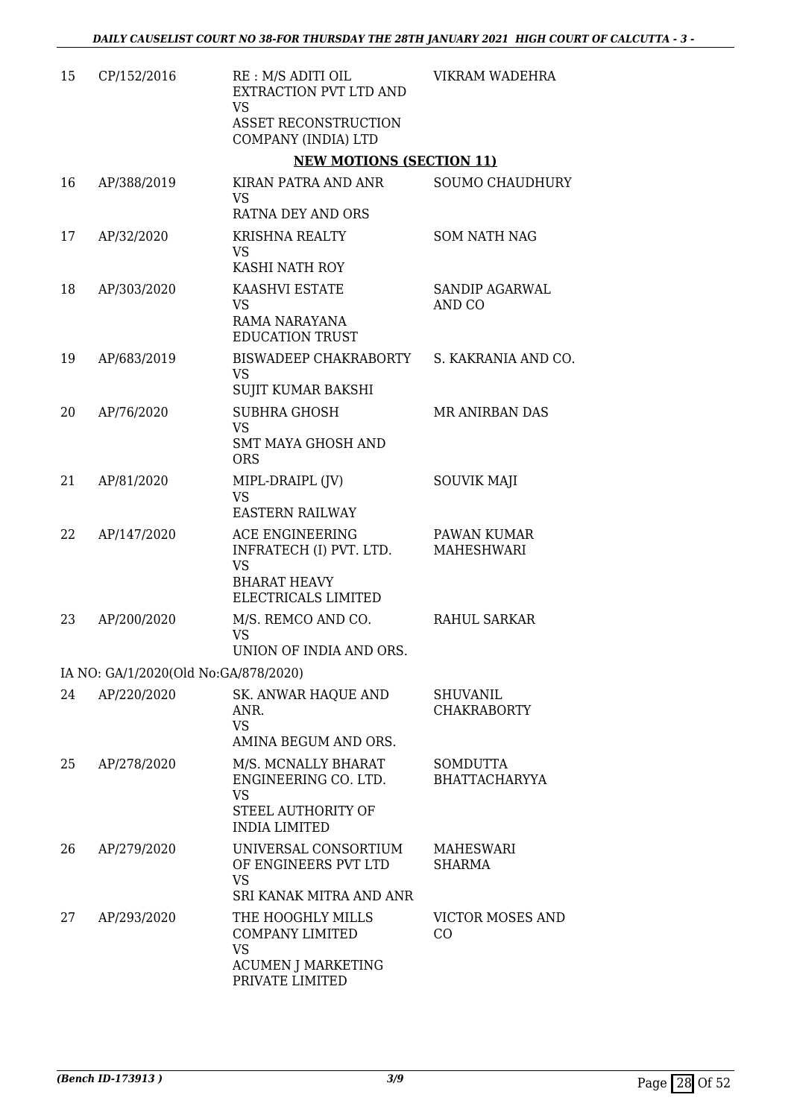| 15 | CP/152/2016                          | RE : M/S ADITI OIL<br>EXTRACTION PVT LTD AND<br><b>VS</b><br>ASSET RECONSTRUCTION                        | VIKRAM WADEHRA                        |
|----|--------------------------------------|----------------------------------------------------------------------------------------------------------|---------------------------------------|
|    |                                      | COMPANY (INDIA) LTD<br><b>NEW MOTIONS (SECTION 11)</b>                                                   |                                       |
| 16 | AP/388/2019                          | KIRAN PATRA AND ANR                                                                                      | SOUMO CHAUDHURY                       |
|    |                                      | <b>VS</b><br>RATNA DEY AND ORS                                                                           |                                       |
| 17 | AP/32/2020                           | <b>KRISHNA REALTY</b><br><b>VS</b>                                                                       | <b>SOM NATH NAG</b>                   |
|    |                                      | KASHI NATH ROY                                                                                           |                                       |
| 18 | AP/303/2020                          | <b>KAASHVI ESTATE</b><br><b>VS</b><br>RAMA NARAYANA<br><b>EDUCATION TRUST</b>                            | SANDIP AGARWAL<br>AND CO              |
| 19 | AP/683/2019                          | BISWADEEP CHAKRABORTY<br><b>VS</b>                                                                       | S. KAKRANIA AND CO.                   |
|    |                                      | <b>SUJIT KUMAR BAKSHI</b><br><b>SUBHRA GHOSH</b>                                                         |                                       |
| 20 | AP/76/2020                           | <b>VS</b>                                                                                                | MR ANIRBAN DAS                        |
|    |                                      | <b>SMT MAYA GHOSH AND</b><br><b>ORS</b>                                                                  |                                       |
| 21 | AP/81/2020                           | MIPL-DRAIPL (JV)<br><b>VS</b><br><b>EASTERN RAILWAY</b>                                                  | <b>SOUVIK MAJI</b>                    |
| 22 | AP/147/2020                          | ACE ENGINEERING<br>INFRATECH (I) PVT. LTD.<br><b>VS</b><br><b>BHARAT HEAVY</b><br>ELECTRICALS LIMITED    | PAWAN KUMAR<br><b>MAHESHWARI</b>      |
| 23 | AP/200/2020                          | M/S. REMCO AND CO.<br><b>VS</b><br>UNION OF INDIA AND ORS.                                               | RAHUL SARKAR                          |
|    | IA NO: GA/1/2020(Old No:GA/878/2020) |                                                                                                          |                                       |
| 24 | AP/220/2020                          | SK. ANWAR HAQUE AND<br>ANR.<br><b>VS</b><br>AMINA BEGUM AND ORS.                                         | <b>SHUVANIL</b><br><b>CHAKRABORTY</b> |
| 25 | AP/278/2020                          | M/S. MCNALLY BHARAT<br>ENGINEERING CO. LTD.<br><b>VS</b><br>STEEL AUTHORITY OF                           | SOMDUTTA<br><b>BHATTACHARYYA</b>      |
|    |                                      | <b>INDIA LIMITED</b>                                                                                     |                                       |
| 26 | AP/279/2020                          | UNIVERSAL CONSORTIUM<br>OF ENGINEERS PVT LTD<br><b>VS</b><br>SRI KANAK MITRA AND ANR                     | MAHESWARI<br><b>SHARMA</b>            |
| 27 | AP/293/2020                          | THE HOOGHLY MILLS<br><b>COMPANY LIMITED</b><br><b>VS</b><br><b>ACUMEN J MARKETING</b><br>PRIVATE LIMITED | VICTOR MOSES AND<br>CO                |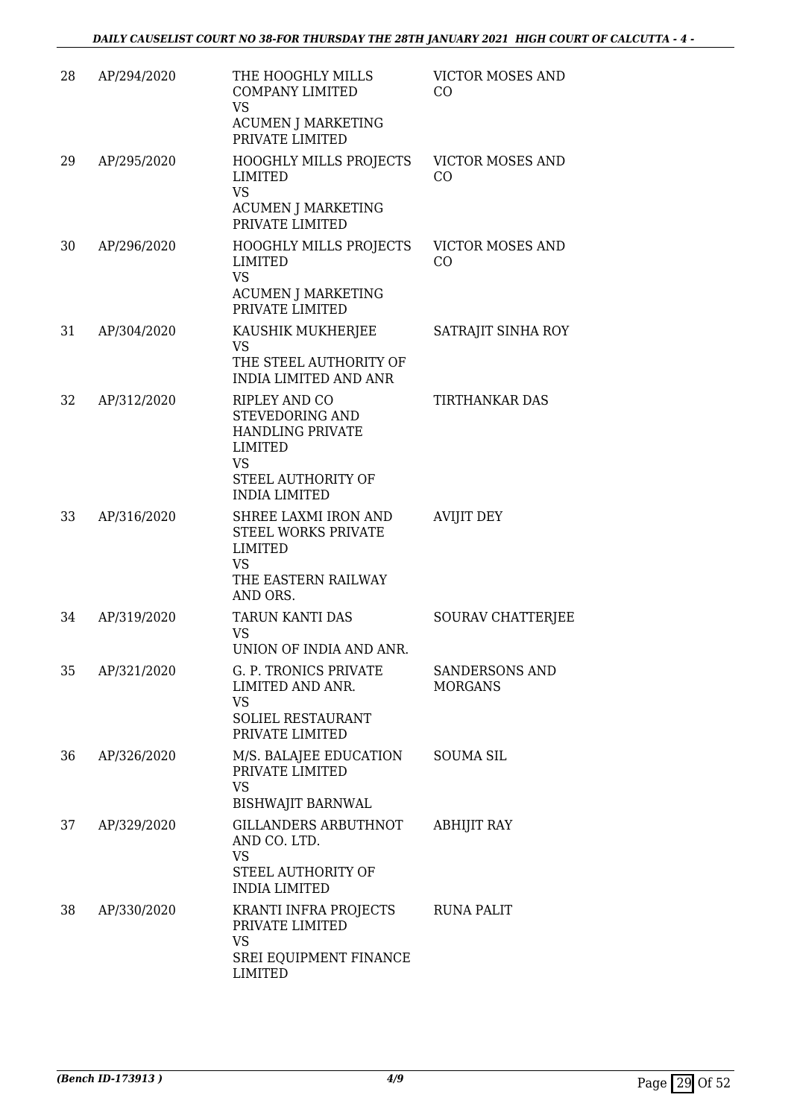| 28 | AP/294/2020 | THE HOOGHLY MILLS<br><b>COMPANY LIMITED</b><br><b>VS</b>                                               | <b>VICTOR MOSES AND</b><br>CO             |
|----|-------------|--------------------------------------------------------------------------------------------------------|-------------------------------------------|
|    |             | <b>ACUMEN J MARKETING</b><br>PRIVATE LIMITED                                                           |                                           |
| 29 | AP/295/2020 | HOOGHLY MILLS PROJECTS<br><b>LIMITED</b><br><b>VS</b>                                                  | <b>VICTOR MOSES AND</b><br>CO             |
|    |             | <b>ACUMEN J MARKETING</b><br>PRIVATE LIMITED                                                           |                                           |
| 30 | AP/296/2020 | <b>HOOGHLY MILLS PROJECTS</b><br>LIMITED<br><b>VS</b><br><b>ACUMEN J MARKETING</b><br>PRIVATE LIMITED  | <b>VICTOR MOSES AND</b><br>C <sub>O</sub> |
| 31 | AP/304/2020 | KAUSHIK MUKHERJEE<br>VS                                                                                | SATRAJIT SINHA ROY                        |
|    |             | THE STEEL AUTHORITY OF<br><b>INDIA LIMITED AND ANR</b>                                                 |                                           |
| 32 | AP/312/2020 | <b>RIPLEY AND CO</b><br>STEVEDORING AND<br><b>HANDLING PRIVATE</b><br><b>LIMITED</b><br><b>VS</b>      | <b>TIRTHANKAR DAS</b>                     |
|    |             | STEEL AUTHORITY OF<br><b>INDIA LIMITED</b>                                                             |                                           |
| 33 | AP/316/2020 | SHREE LAXMI IRON AND<br>STEEL WORKS PRIVATE<br>LIMITED<br><b>VS</b><br>THE EASTERN RAILWAY<br>AND ORS. | <b>AVIJIT DEY</b>                         |
| 34 | AP/319/2020 | TARUN KANTI DAS<br>VS<br>UNION OF INDIA AND ANR.                                                       | SOURAV CHATTERJEE                         |
| 35 | AP/321/2020 | G. P. TRONICS PRIVATE<br>LIMITED AND ANR.<br><b>VS</b><br><b>SOLIEL RESTAURANT</b>                     | <b>SANDERSONS AND</b><br><b>MORGANS</b>   |
|    |             | PRIVATE LIMITED                                                                                        |                                           |
| 36 | AP/326/2020 | M/S. BALAJEE EDUCATION<br>PRIVATE LIMITED<br><b>VS</b>                                                 | <b>SOUMA SIL</b>                          |
| 37 | AP/329/2020 | <b>BISHWAJIT BARNWAL</b><br><b>GILLANDERS ARBUTHNOT</b>                                                | <b>ABHIJIT RAY</b>                        |
|    |             | AND CO. LTD.<br><b>VS</b><br>STEEL AUTHORITY OF<br><b>INDIA LIMITED</b>                                |                                           |
| 38 | AP/330/2020 | KRANTI INFRA PROJECTS<br>PRIVATE LIMITED<br><b>VS</b>                                                  | <b>RUNA PALIT</b>                         |
|    |             | <b>SREI EQUIPMENT FINANCE</b><br><b>LIMITED</b>                                                        |                                           |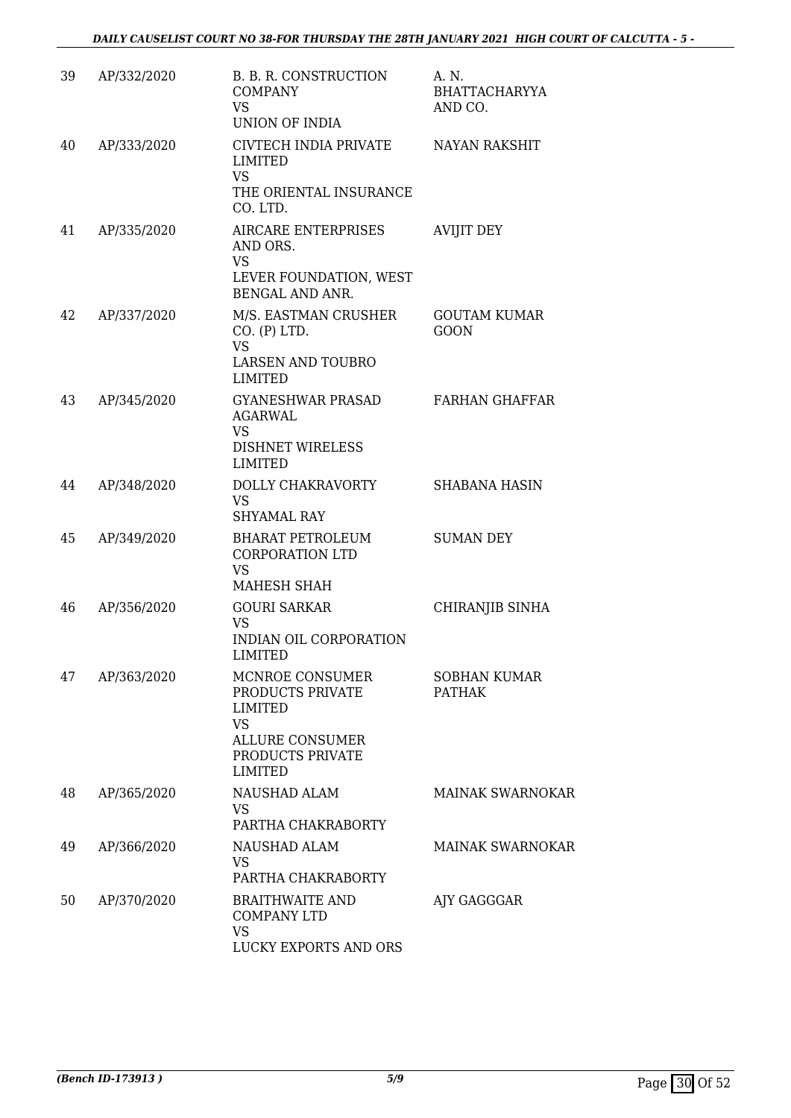*DAILY CAUSELIST COURT NO 38-FOR THURSDAY THE 28TH JANUARY 2021 HIGH COURT OF CALCUTTA - 5 -* 

| 39 | AP/332/2020 | B. B. R. CONSTRUCTION<br><b>COMPANY</b><br><b>VS</b><br>UNION OF INDIA                                                      | A. N.<br><b>BHATTACHARYYA</b><br>AND CO. |
|----|-------------|-----------------------------------------------------------------------------------------------------------------------------|------------------------------------------|
| 40 | AP/333/2020 | CIVTECH INDIA PRIVATE<br>LIMITED<br><b>VS</b><br>THE ORIENTAL INSURANCE<br>CO. LTD.                                         | <b>NAYAN RAKSHIT</b>                     |
| 41 | AP/335/2020 | <b>AIRCARE ENTERPRISES</b><br>AND ORS.<br><b>VS</b><br>LEVER FOUNDATION, WEST<br>BENGAL AND ANR.                            | <b>AVIJIT DEY</b>                        |
| 42 | AP/337/2020 | M/S. EASTMAN CRUSHER<br>CO. (P) LTD.<br><b>VS</b><br><b>LARSEN AND TOUBRO</b><br><b>LIMITED</b>                             | <b>GOUTAM KUMAR</b><br><b>GOON</b>       |
| 43 | AP/345/2020 | GYANESHWAR PRASAD<br>AGARWAL<br><b>VS</b><br><b>DISHNET WIRELESS</b><br><b>LIMITED</b>                                      | <b>FARHAN GHAFFAR</b>                    |
| 44 | AP/348/2020 | DOLLY CHAKRAVORTY<br><b>VS</b><br><b>SHYAMAL RAY</b>                                                                        | <b>SHABANA HASIN</b>                     |
| 45 | AP/349/2020 | <b>BHARAT PETROLEUM</b><br><b>CORPORATION LTD</b><br><b>VS</b><br>MAHESH SHAH                                               | <b>SUMAN DEY</b>                         |
| 46 | AP/356/2020 | <b>GOURI SARKAR</b><br><b>VS</b><br><b>INDIAN OIL CORPORATION</b><br>LIMITED                                                | CHIRANJIB SINHA                          |
| 47 | AP/363/2020 | MCNROE CONSUMER<br>PRODUCTS PRIVATE<br>LIMITED<br><b>VS</b><br><b>ALLURE CONSUMER</b><br>PRODUCTS PRIVATE<br><b>LIMITED</b> | <b>SOBHAN KUMAR</b><br><b>PATHAK</b>     |
| 48 | AP/365/2020 | NAUSHAD ALAM<br><b>VS</b><br>PARTHA CHAKRABORTY                                                                             | <b>MAINAK SWARNOKAR</b>                  |
| 49 | AP/366/2020 | NAUSHAD ALAM<br><b>VS</b><br>PARTHA CHAKRABORTY                                                                             | <b>MAINAK SWARNOKAR</b>                  |
| 50 | AP/370/2020 | <b>BRAITHWAITE AND</b><br><b>COMPANY LTD</b><br><b>VS</b><br>LUCKY EXPORTS AND ORS                                          | AJY GAGGGAR                              |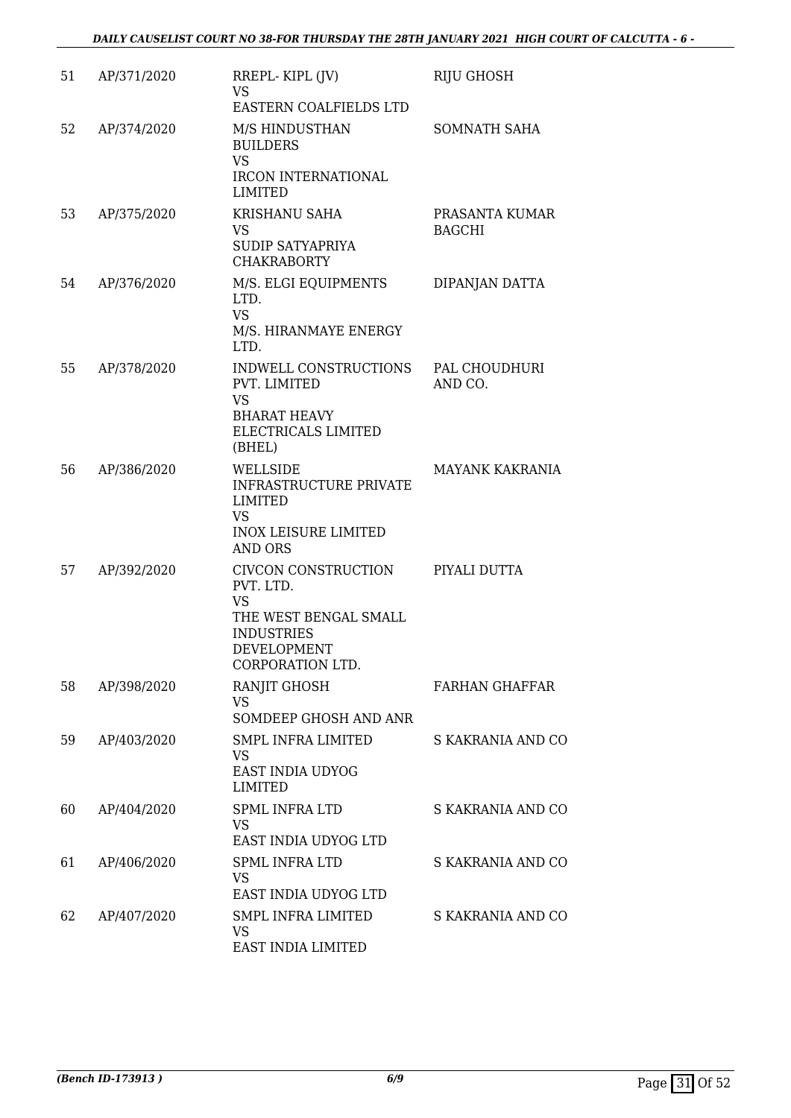| 51 | AP/371/2020 | RREPL-KIPL (JV)<br><b>VS</b><br>EASTERN COALFIELDS LTD                                                                         | RIJU GHOSH                      |
|----|-------------|--------------------------------------------------------------------------------------------------------------------------------|---------------------------------|
| 52 | AP/374/2020 | M/S HINDUSTHAN<br><b>BUILDERS</b><br><b>VS</b><br><b>IRCON INTERNATIONAL</b><br><b>LIMITED</b>                                 | <b>SOMNATH SAHA</b>             |
| 53 | AP/375/2020 | KRISHANU SAHA<br><b>VS</b><br><b>SUDIP SATYAPRIYA</b><br><b>CHAKRABORTY</b>                                                    | PRASANTA KUMAR<br><b>BAGCHI</b> |
| 54 | AP/376/2020 | M/S. ELGI EQUIPMENTS<br>LTD.<br><b>VS</b><br>M/S. HIRANMAYE ENERGY<br>LTD.                                                     | DIPANJAN DATTA                  |
| 55 | AP/378/2020 | INDWELL CONSTRUCTIONS<br>PVT. LIMITED<br><b>VS</b><br><b>BHARAT HEAVY</b><br>ELECTRICALS LIMITED<br>(BHEL)                     | PAL CHOUDHURI<br>AND CO.        |
| 56 | AP/386/2020 | WELLSIDE<br><b>INFRASTRUCTURE PRIVATE</b><br>LIMITED<br><b>VS</b><br><b>INOX LEISURE LIMITED</b><br><b>AND ORS</b>             | <b>MAYANK KAKRANIA</b>          |
| 57 | AP/392/2020 | CIVCON CONSTRUCTION<br>PVT. LTD.<br><b>VS</b><br>THE WEST BENGAL SMALL<br><b>INDUSTRIES</b><br>DEVELOPMENT<br>CORPORATION LTD. | PIYALI DUTTA                    |
| 58 | AP/398/2020 | RANJIT GHOSH<br><b>VS</b><br>SOMDEEP GHOSH AND ANR                                                                             | <b>FARHAN GHAFFAR</b>           |
| 59 | AP/403/2020 | <b>SMPL INFRA LIMITED</b><br>VS<br><b>EAST INDIA UDYOG</b><br><b>LIMITED</b>                                                   | S KAKRANIA AND CO               |
| 60 | AP/404/2020 | <b>SPML INFRA LTD</b><br>VS.<br>EAST INDIA UDYOG LTD                                                                           | S KAKRANIA AND CO               |
| 61 | AP/406/2020 | <b>SPML INFRA LTD</b><br><b>VS</b><br>EAST INDIA UDYOG LTD                                                                     | S KAKRANIA AND CO               |
| 62 | AP/407/2020 | <b>SMPL INFRA LIMITED</b><br>VS<br>EAST INDIA LIMITED                                                                          | S KAKRANIA AND CO               |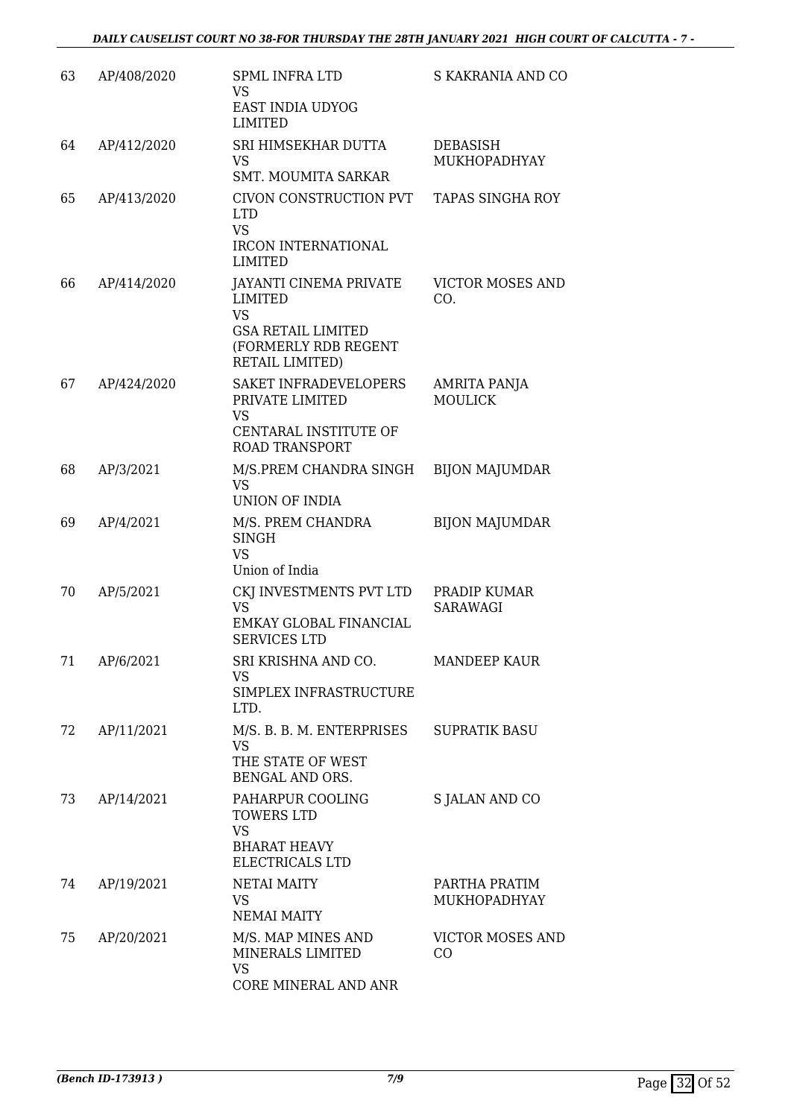| 63 | AP/408/2020 | <b>SPML INFRA LTD</b><br>VS<br><b>EAST INDIA UDYOG</b><br><b>LIMITED</b>                                                      | S KAKRANIA AND CO                     |
|----|-------------|-------------------------------------------------------------------------------------------------------------------------------|---------------------------------------|
| 64 | AP/412/2020 | SRI HIMSEKHAR DUTTA<br><b>VS</b><br><b>SMT. MOUMITA SARKAR</b>                                                                | <b>DEBASISH</b><br>MUKHOPADHYAY       |
| 65 | AP/413/2020 | CIVON CONSTRUCTION PVT<br><b>LTD</b><br><b>VS</b><br><b>IRCON INTERNATIONAL</b><br><b>LIMITED</b>                             | <b>TAPAS SINGHA ROY</b>               |
| 66 | AP/414/2020 | JAYANTI CINEMA PRIVATE<br><b>LIMITED</b><br><b>VS</b><br><b>GSA RETAIL LIMITED</b><br>(FORMERLY RDB REGENT<br>RETAIL LIMITED) | <b>VICTOR MOSES AND</b><br>CO.        |
| 67 | AP/424/2020 | SAKET INFRADEVELOPERS<br>PRIVATE LIMITED<br><b>VS</b><br><b>CENTARAL INSTITUTE OF</b><br><b>ROAD TRANSPORT</b>                | <b>AMRITA PANJA</b><br><b>MOULICK</b> |
| 68 | AP/3/2021   | M/S.PREM CHANDRA SINGH<br><b>VS</b><br>UNION OF INDIA                                                                         | <b>BIJON MAJUMDAR</b>                 |
| 69 | AP/4/2021   | M/S. PREM CHANDRA<br><b>SINGH</b><br><b>VS</b><br>Union of India                                                              | <b>BIJON MAJUMDAR</b>                 |
| 70 | AP/5/2021   | CKJ INVESTMENTS PVT LTD<br><b>VS</b><br>EMKAY GLOBAL FINANCIAL<br><b>SERVICES LTD</b>                                         | PRADIP KUMAR<br><b>SARAWAGI</b>       |
| 71 | AP/6/2021   | SRI KRISHNA AND CO.<br>VS<br>SIMPLEX INFRASTRUCTURE<br>LTD.                                                                   | <b>MANDEEP KAUR</b>                   |
| 72 | AP/11/2021  | M/S. B. B. M. ENTERPRISES<br><b>VS</b><br>THE STATE OF WEST<br>BENGAL AND ORS.                                                | <b>SUPRATIK BASU</b>                  |
| 73 | AP/14/2021  | PAHARPUR COOLING<br>TOWERS LTD<br><b>VS</b><br><b>BHARAT HEAVY</b><br>ELECTRICALS LTD                                         | S JALAN AND CO                        |
| 74 | AP/19/2021  | <b>NETAI MAITY</b><br>VS<br><b>NEMAI MAITY</b>                                                                                | PARTHA PRATIM<br>MUKHOPADHYAY         |
| 75 | AP/20/2021  | M/S. MAP MINES AND<br>MINERALS LIMITED<br><b>VS</b><br>CORE MINERAL AND ANR                                                   | VICTOR MOSES AND<br>CO                |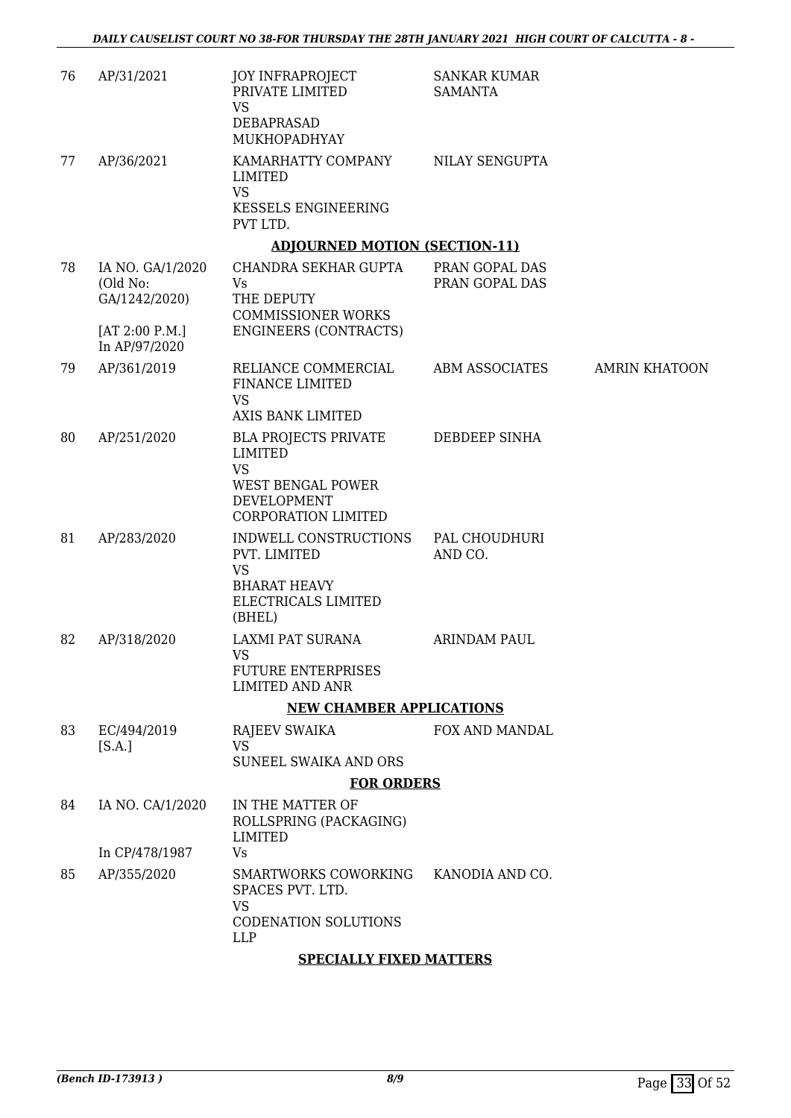| 76 | AP/31/2021                                                                       | <b>JOY INFRAPROJECT</b><br>PRIVATE LIMITED<br><b>VS</b><br>DEBAPRASAD<br>MUKHOPADHYAY                                               | <b>SANKAR KUMAR</b><br><b>SAMANTA</b> |                      |
|----|----------------------------------------------------------------------------------|-------------------------------------------------------------------------------------------------------------------------------------|---------------------------------------|----------------------|
| 77 | AP/36/2021                                                                       | KAMARHATTY COMPANY<br>LIMITED<br><b>VS</b><br><b>KESSELS ENGINEERING</b><br>PVT LTD.                                                | NILAY SENGUPTA                        |                      |
|    |                                                                                  | <b>ADJOURNED MOTION (SECTION-11)</b>                                                                                                |                                       |                      |
| 78 | IA NO. GA/1/2020<br>(Old No:<br>GA/1242/2020)<br>[AT 2:00 P.M.]<br>In AP/97/2020 | CHANDRA SEKHAR GUPTA<br>Vs<br>THE DEPUTY<br><b>COMMISSIONER WORKS</b><br><b>ENGINEERS (CONTRACTS)</b>                               | PRAN GOPAL DAS<br>PRAN GOPAL DAS      |                      |
| 79 | AP/361/2019                                                                      | RELIANCE COMMERCIAL<br>FINANCE LIMITED<br><b>VS</b>                                                                                 | ABM ASSOCIATES                        | <b>AMRIN KHATOON</b> |
|    |                                                                                  | <b>AXIS BANK LIMITED</b>                                                                                                            |                                       |                      |
| 80 | AP/251/2020                                                                      | BLA PROJECTS PRIVATE<br><b>LIMITED</b><br><b>VS</b><br><b>WEST BENGAL POWER</b><br><b>DEVELOPMENT</b><br><b>CORPORATION LIMITED</b> | DEBDEEP SINHA                         |                      |
| 81 | AP/283/2020                                                                      | INDWELL CONSTRUCTIONS<br>PVT. LIMITED<br><b>VS</b><br><b>BHARAT HEAVY</b><br>ELECTRICALS LIMITED<br>(BHEL)                          | PAL CHOUDHURI<br>AND CO.              |                      |
| 82 | AP/318/2020                                                                      | LAXMI PAT SURANA<br><b>VS</b><br><b>FUTURE ENTERPRISES</b><br><b>LIMITED AND ANR</b>                                                | <b>ARINDAM PAUL</b>                   |                      |
|    |                                                                                  | <b>NEW CHAMBER APPLICATIONS</b>                                                                                                     |                                       |                      |
| 83 | EC/494/2019<br>[S.A.]                                                            | RAJEEV SWAIKA<br><b>VS</b><br>SUNEEL SWAIKA AND ORS                                                                                 | FOX AND MANDAL                        |                      |
|    |                                                                                  | <b>FOR ORDERS</b>                                                                                                                   |                                       |                      |
| 84 | IA NO. CA/1/2020                                                                 | IN THE MATTER OF<br>ROLLSPRING (PACKAGING)<br>LIMITED                                                                               |                                       |                      |
|    | In CP/478/1987                                                                   | Vs                                                                                                                                  |                                       |                      |
| 85 | AP/355/2020                                                                      | SMARTWORKS COWORKING<br>SPACES PVT. LTD.<br><b>VS</b><br>CODENATION SOLUTIONS<br><b>LLP</b>                                         | KANODIA AND CO.                       |                      |
|    |                                                                                  | <b>SPECIALLY FIXED MATTERS</b>                                                                                                      |                                       |                      |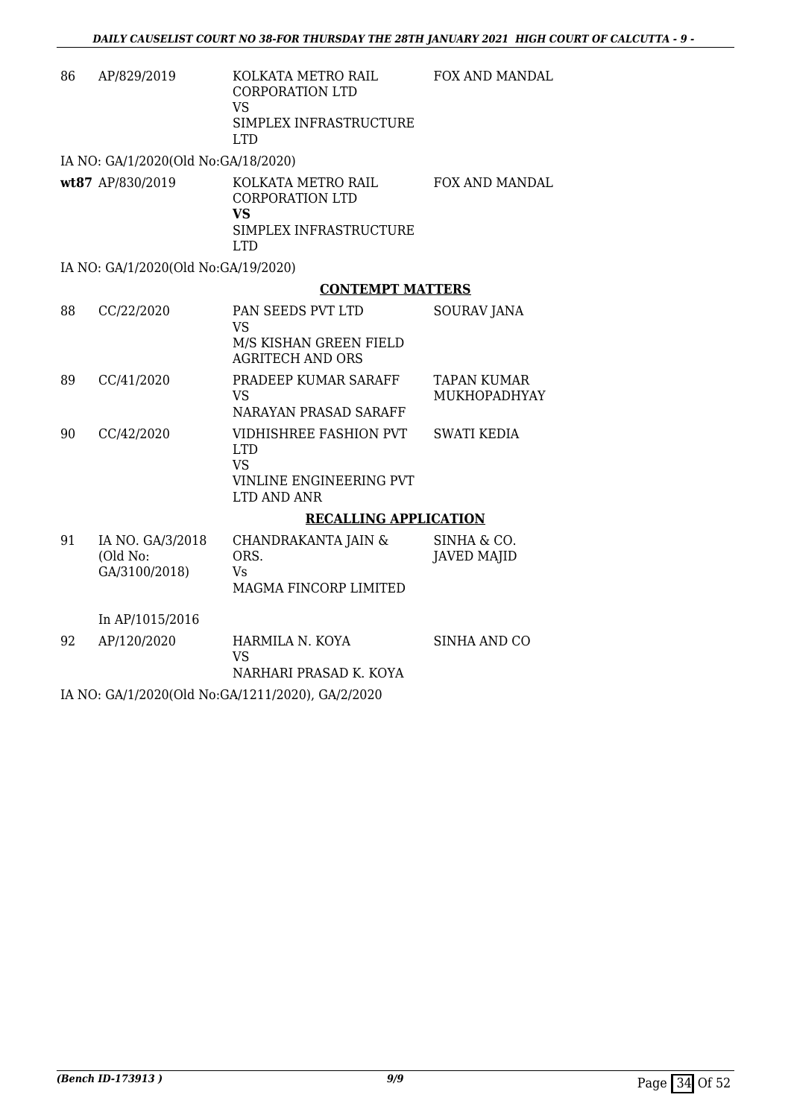| 86 | AP/829/2019                                   | KOLKATA METRO RAIL<br><b>CORPORATION LTD</b><br>VS<br>SIMPLEX INFRASTRUCTURE | <b>FOX AND MANDAL</b>                     |
|----|-----------------------------------------------|------------------------------------------------------------------------------|-------------------------------------------|
|    |                                               | LTD.                                                                         |                                           |
|    | IA NO: GA/1/2020(Old No:GA/18/2020)           |                                                                              |                                           |
|    | wt87 AP/830/2019                              | KOLKATA METRO RAIL<br><b>CORPORATION LTD</b><br><b>VS</b>                    | <b>FOX AND MANDAL</b>                     |
|    |                                               | SIMPLEX INFRASTRUCTURE<br><b>LTD</b>                                         |                                           |
|    | IA NO: GA/1/2020(Old No:GA/19/2020)           |                                                                              |                                           |
|    |                                               | <b>CONTEMPT MATTERS</b>                                                      |                                           |
| 88 | CC/22/2020                                    | PAN SEEDS PVT LTD<br><b>VS</b>                                               | <b>SOURAV JANA</b>                        |
|    |                                               | M/S KISHAN GREEN FIELD<br><b>AGRITECH AND ORS</b>                            |                                           |
| 89 | CC/41/2020                                    | PRADEEP KUMAR SARAFF<br><b>VS</b>                                            | <b>TAPAN KUMAR</b><br><b>MUKHOPADHYAY</b> |
|    |                                               | NARAYAN PRASAD SARAFF                                                        |                                           |
| 90 | CC/42/2020                                    | VIDHISHREE FASHION PVT<br><b>LTD</b><br><b>VS</b>                            | <b>SWATI KEDIA</b>                        |
|    |                                               | <b>VINLINE ENGINEERING PVT</b><br>LTD AND ANR                                |                                           |
|    |                                               | <b>RECALLING APPLICATION</b>                                                 |                                           |
| 91 | IA NO. GA/3/2018<br>(Old No:<br>GA/3100/2018) | CHANDRAKANTA JAIN &<br>ORS.<br>Vs<br>MAGMA FINCORP LIMITED                   | SINHA & CO.<br><b>JAVED MAJID</b>         |
|    |                                               |                                                                              |                                           |
|    | In AP/1015/2016                               |                                                                              |                                           |
| 92 | AP/120/2020                                   | HARMILA N. KOYA<br>VS                                                        | SINHA AND CO                              |
|    |                                               | NARHARI PRASAD K. KOYA                                                       |                                           |
|    | .                                             |                                                                              |                                           |

IA NO: GA/1/2020(Old No:GA/1211/2020), GA/2/2020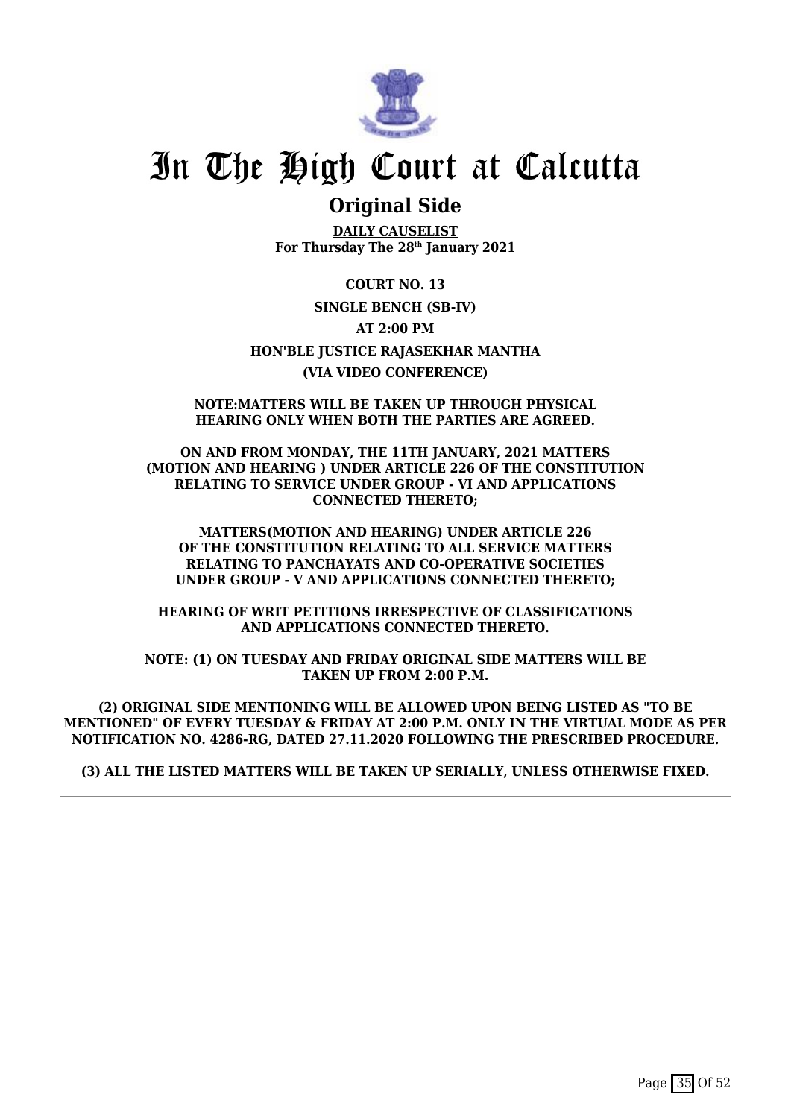

### **Original Side**

**DAILY CAUSELIST For Thursday The 28th January 2021**

**COURT NO. 13 SINGLE BENCH (SB-IV) AT 2:00 PM HON'BLE JUSTICE RAJASEKHAR MANTHA (VIA VIDEO CONFERENCE)**

### **NOTE:MATTERS WILL BE TAKEN UP THROUGH PHYSICAL HEARING ONLY WHEN BOTH THE PARTIES ARE AGREED.**

**ON AND FROM MONDAY, THE 11TH JANUARY, 2021 MATTERS (MOTION AND HEARING ) UNDER ARTICLE 226 OF THE CONSTITUTION RELATING TO SERVICE UNDER GROUP - VI AND APPLICATIONS CONNECTED THERETO;**

**MATTERS(MOTION AND HEARING) UNDER ARTICLE 226 OF THE CONSTITUTION RELATING TO ALL SERVICE MATTERS RELATING TO PANCHAYATS AND CO-OPERATIVE SOCIETIES UNDER GROUP - V AND APPLICATIONS CONNECTED THERETO;**

**HEARING OF WRIT PETITIONS IRRESPECTIVE OF CLASSIFICATIONS AND APPLICATIONS CONNECTED THERETO.**

**NOTE: (1) ON TUESDAY AND FRIDAY ORIGINAL SIDE MATTERS WILL BE TAKEN UP FROM 2:00 P.M.**

**(2) ORIGINAL SIDE MENTIONING WILL BE ALLOWED UPON BEING LISTED AS "TO BE MENTIONED" OF EVERY TUESDAY & FRIDAY AT 2:00 P.M. ONLY IN THE VIRTUAL MODE AS PER NOTIFICATION NO. 4286-RG, DATED 27.11.2020 FOLLOWING THE PRESCRIBED PROCEDURE.**

**(3) ALL THE LISTED MATTERS WILL BE TAKEN UP SERIALLY, UNLESS OTHERWISE FIXED.**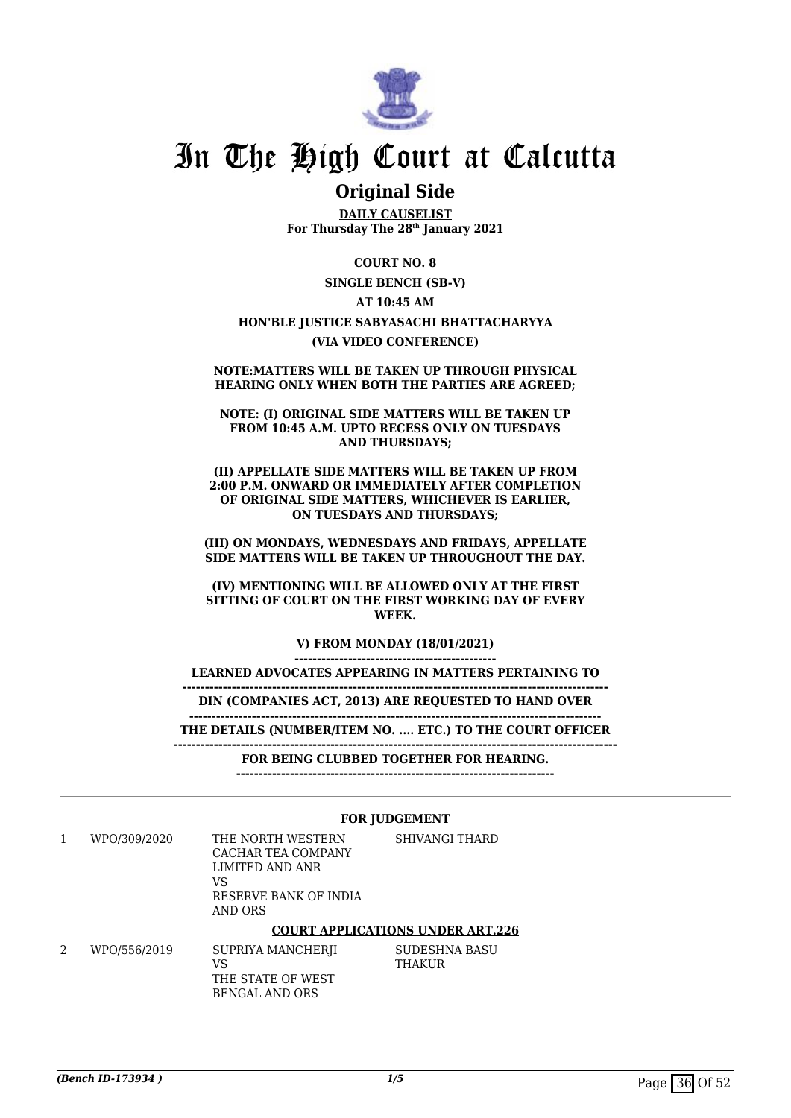

### **Original Side**

**DAILY CAUSELIST For Thursday The 28th January 2021**

**COURT NO. 8 SINGLE BENCH (SB-V) AT 10:45 AM HON'BLE JUSTICE SABYASACHI BHATTACHARYYA (VIA VIDEO CONFERENCE)**

#### **NOTE:MATTERS WILL BE TAKEN UP THROUGH PHYSICAL HEARING ONLY WHEN BOTH THE PARTIES ARE AGREED;**

**NOTE: (I) ORIGINAL SIDE MATTERS WILL BE TAKEN UP FROM 10:45 A.M. UPTO RECESS ONLY ON TUESDAYS AND THURSDAYS;**

**(II) APPELLATE SIDE MATTERS WILL BE TAKEN UP FROM 2:00 P.M. ONWARD OR IMMEDIATELY AFTER COMPLETION OF ORIGINAL SIDE MATTERS, WHICHEVER IS EARLIER, ON TUESDAYS AND THURSDAYS;**

**(III) ON MONDAYS, WEDNESDAYS AND FRIDAYS, APPELLATE SIDE MATTERS WILL BE TAKEN UP THROUGHOUT THE DAY.**

**(IV) MENTIONING WILL BE ALLOWED ONLY AT THE FIRST SITTING OF COURT ON THE FIRST WORKING DAY OF EVERY WEEK.**

> **V) FROM MONDAY (18/01/2021) ---------------------------------------------**

**LEARNED ADVOCATES APPEARING IN MATTERS PERTAINING TO**

**DIN (COMPANIES ACT, 2013) ARE REQUESTED TO HAND OVER**

**-----------------------------------------------------------------------------------------------**

**-------------------------------------------------------------------------------------------- THE DETAILS (NUMBER/ITEM NO. .... ETC.) TO THE COURT OFFICER**

**---------------------------------------------------------------------------------------------------**

**FOR BEING CLUBBED TOGETHER FOR HEARING.**

**-----------------------------------------------------------------------**

#### **FOR JUDGEMENT**

1 WPO/309/2020 THE NORTH WESTERN CACHAR TEA COMPANY LIMITED AND ANR VS RESERVE BANK OF INDIA AND ORS SHIVANGI THARD

#### **COURT APPLICATIONS UNDER ART.226**

2 WPO/556/2019 SUPRIYA MANCHERJI VS THE STATE OF WEST BENGAL AND ORS SUDESHNA BASU THAKUR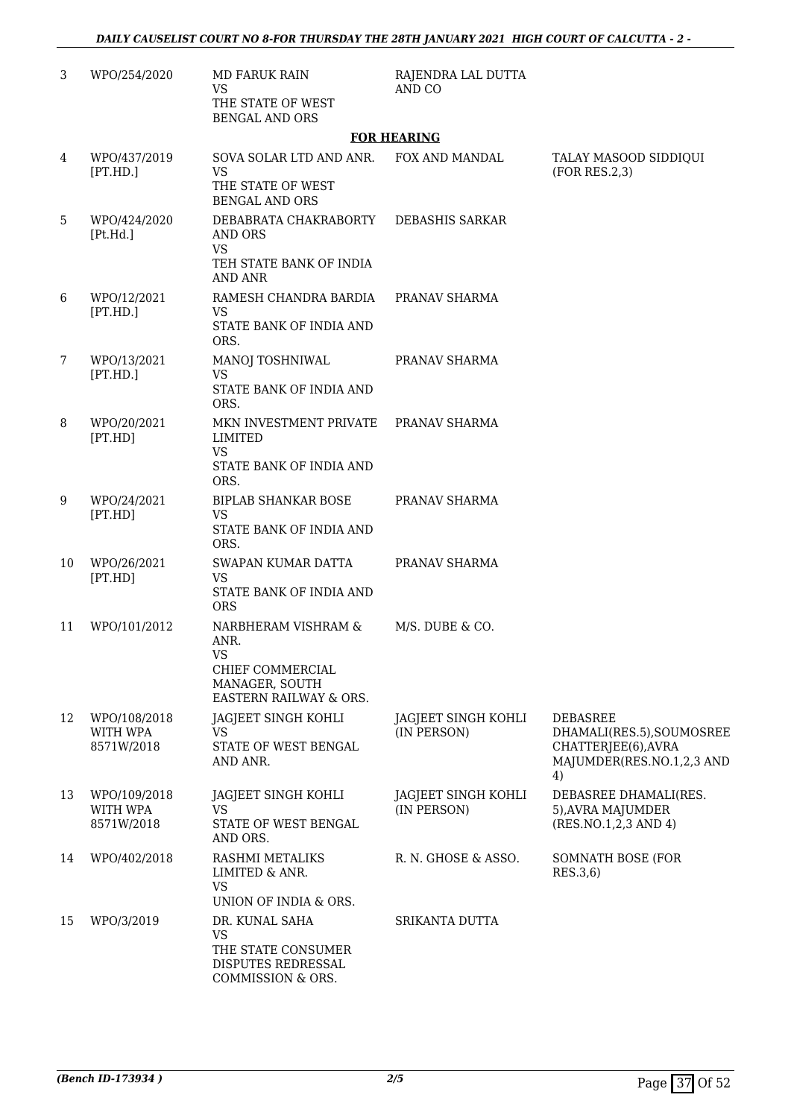| 3  | WPO/254/2020                           | <b>MD FARUK RAIN</b><br><b>VS</b><br>THE STATE OF WEST<br><b>BENGAL AND ORS</b>                          | RAJENDRA LAL DUTTA<br>AND CO       |                                                                                                        |
|----|----------------------------------------|----------------------------------------------------------------------------------------------------------|------------------------------------|--------------------------------------------------------------------------------------------------------|
|    |                                        |                                                                                                          | <b>FOR HEARING</b>                 |                                                                                                        |
| 4  | WPO/437/2019<br>[PT.HD.]               | SOVA SOLAR LTD AND ANR.<br><b>VS</b><br>THE STATE OF WEST<br><b>BENGAL AND ORS</b>                       | FOX AND MANDAL                     | TALAY MASOOD SIDDIQUI<br>(FOR RES.2,3)                                                                 |
| 5  | WPO/424/2020<br>[Pt.Hd.]               | DEBABRATA CHAKRABORTY<br><b>AND ORS</b><br><b>VS</b><br>TEH STATE BANK OF INDIA<br><b>AND ANR</b>        | DEBASHIS SARKAR                    |                                                                                                        |
| 6  | WPO/12/2021<br>[PT.HD.]                | RAMESH CHANDRA BARDIA<br><b>VS</b><br>STATE BANK OF INDIA AND<br>ORS.                                    | PRANAV SHARMA                      |                                                                                                        |
| 7  | WPO/13/2021<br>[PT.HD.]                | MANOJ TOSHNIWAL<br><b>VS</b><br>STATE BANK OF INDIA AND<br>ORS.                                          | PRANAV SHARMA                      |                                                                                                        |
| 8  | WPO/20/2021<br>[PT.HD]                 | MKN INVESTMENT PRIVATE<br><b>LIMITED</b><br><b>VS</b><br>STATE BANK OF INDIA AND<br>ORS.                 | PRANAV SHARMA                      |                                                                                                        |
| 9  | WPO/24/2021<br>[PT.HD]                 | <b>BIPLAB SHANKAR BOSE</b><br><b>VS</b><br>STATE BANK OF INDIA AND<br>ORS.                               | PRANAV SHARMA                      |                                                                                                        |
| 10 | WPO/26/2021<br>[PT.HD]                 | SWAPAN KUMAR DATTA<br><b>VS</b><br>STATE BANK OF INDIA AND<br><b>ORS</b>                                 | PRANAV SHARMA                      |                                                                                                        |
| 11 | WPO/101/2012                           | NARBHERAM VISHRAM &<br>ANR.<br><b>VS</b><br>CHIEF COMMERCIAL<br>MANAGER, SOUTH<br>EASTERN RAILWAY & ORS. | M/S. DUBE & CO.                    |                                                                                                        |
| 12 | WPO/108/2018<br>WITH WPA<br>8571W/2018 | JAGJEET SINGH KOHLI<br><b>VS</b><br>STATE OF WEST BENGAL<br>AND ANR.                                     | JAGJEET SINGH KOHLI<br>(IN PERSON) | <b>DEBASREE</b><br>DHAMALI(RES.5), SOUMOSREE<br>CHATTERJEE(6), AVRA<br>MAJUMDER(RES.NO.1,2,3 AND<br>4) |
| 13 | WPO/109/2018<br>WITH WPA<br>8571W/2018 | JAGJEET SINGH KOHLI<br><b>VS</b><br>STATE OF WEST BENGAL<br>AND ORS.                                     | JAGJEET SINGH KOHLI<br>(IN PERSON) | DEBASREE DHAMALI(RES.<br>5), AVRA MAJUMDER<br>(RES.NO.1,2,3 AND 4)                                     |
| 14 | WPO/402/2018                           | RASHMI METALIKS<br>LIMITED & ANR.<br><b>VS</b><br>UNION OF INDIA & ORS.                                  | R. N. GHOSE & ASSO.                | SOMNATH BOSE (FOR<br>RES.3,6)                                                                          |
| 15 | WPO/3/2019                             | DR. KUNAL SAHA<br><b>VS</b><br>THE STATE CONSUMER<br>DISPUTES REDRESSAL<br>COMMISSION & ORS.             | SRIKANTA DUTTA                     |                                                                                                        |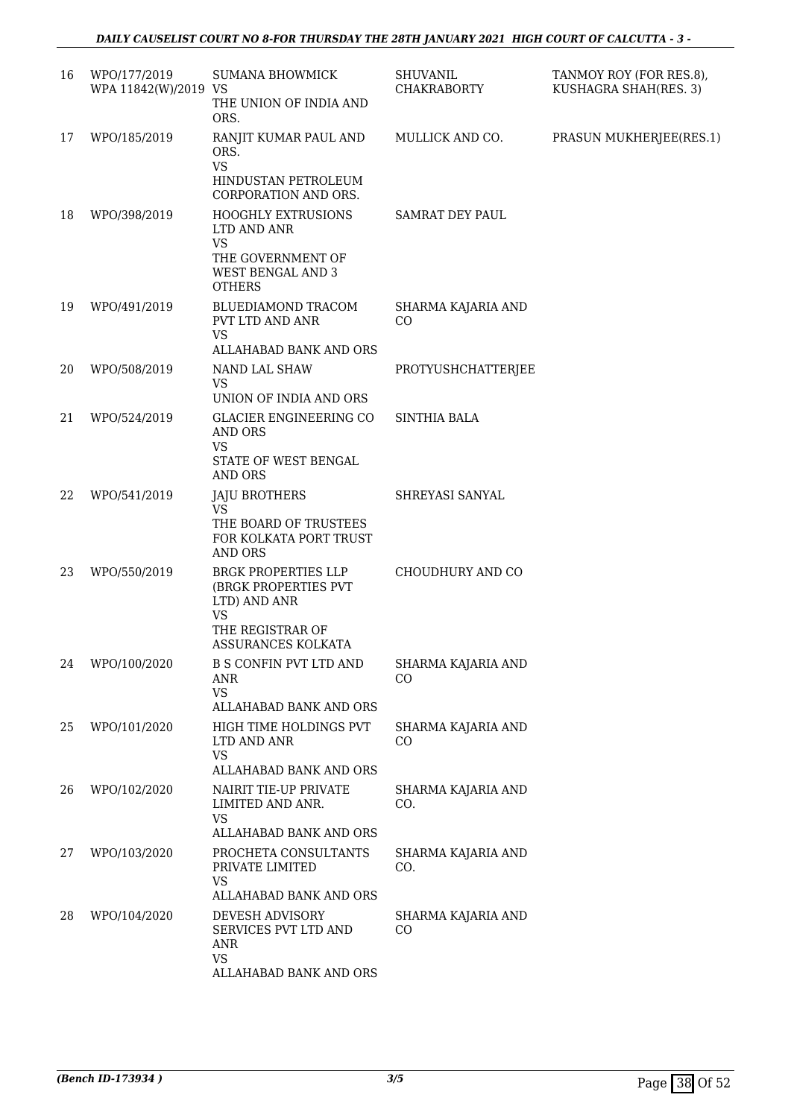| 16 | WPO/177/2019<br>WPA 11842(W)/2019 VS | SUMANA BHOWMICK<br>THE UNION OF INDIA AND<br>ORS.                                                                         | SHUVANIL<br><b>CHAKRABORTY</b> | TANMOY ROY (FOR RES.8),<br>KUSHAGRA SHAH(RES. 3) |
|----|--------------------------------------|---------------------------------------------------------------------------------------------------------------------------|--------------------------------|--------------------------------------------------|
| 17 | WPO/185/2019                         | RANJIT KUMAR PAUL AND<br>ORS.<br><b>VS</b><br>HINDUSTAN PETROLEUM<br>CORPORATION AND ORS.                                 | MULLICK AND CO.                | PRASUN MUKHERJEE(RES.1)                          |
| 18 | WPO/398/2019                         | <b>HOOGHLY EXTRUSIONS</b><br>LTD AND ANR<br><b>VS</b><br>THE GOVERNMENT OF<br>WEST BENGAL AND 3<br><b>OTHERS</b>          | SAMRAT DEY PAUL                |                                                  |
| 19 | WPO/491/2019                         | BLUEDIAMOND TRACOM<br>PVT LTD AND ANR<br><b>VS</b><br>ALLAHABAD BANK AND ORS                                              | SHARMA KAJARIA AND<br>CO       |                                                  |
| 20 | WPO/508/2019                         | NAND LAL SHAW<br><b>VS</b><br>UNION OF INDIA AND ORS                                                                      | PROTYUSHCHATTERJEE             |                                                  |
| 21 | WPO/524/2019                         | <b>GLACIER ENGINEERING CO</b><br><b>AND ORS</b><br><b>VS</b><br>STATE OF WEST BENGAL<br><b>AND ORS</b>                    | <b>SINTHIA BALA</b>            |                                                  |
| 22 | WPO/541/2019                         | <b>JAJU BROTHERS</b><br><b>VS</b><br>THE BOARD OF TRUSTEES<br>FOR KOLKATA PORT TRUST<br><b>AND ORS</b>                    | SHREYASI SANYAL                |                                                  |
| 23 | WPO/550/2019                         | BRGK PROPERTIES LLP<br>(BRGK PROPERTIES PVT<br>LTD) AND ANR<br><b>VS</b><br>THE REGISTRAR OF<br><b>ASSURANCES KOLKATA</b> | CHOUDHURY AND CO               |                                                  |
| 24 | WPO/100/2020                         | B S CONFIN PVT LTD AND<br>ANR<br>VS                                                                                       | SHARMA KAJARIA AND<br>CO       |                                                  |
| 25 | WPO/101/2020                         | ALLAHABAD BANK AND ORS<br>HIGH TIME HOLDINGS PVT<br>LTD AND ANR<br><b>VS</b><br>ALLAHABAD BANK AND ORS                    | SHARMA KAJARIA AND<br>CO       |                                                  |
| 26 | WPO/102/2020                         | NAIRIT TIE-UP PRIVATE<br>LIMITED AND ANR.<br>VS<br>ALLAHABAD BANK AND ORS                                                 | SHARMA KAJARIA AND<br>CO.      |                                                  |
| 27 | WPO/103/2020                         | PROCHETA CONSULTANTS<br>PRIVATE LIMITED<br><b>VS</b>                                                                      | SHARMA KAJARIA AND<br>CO.      |                                                  |
| 28 | WPO/104/2020                         | ALLAHABAD BANK AND ORS<br>DEVESH ADVISORY<br>SERVICES PVT LTD AND<br>ANR<br><b>VS</b><br>ALLAHABAD BANK AND ORS           | SHARMA KAJARIA AND<br>$\rm CO$ |                                                  |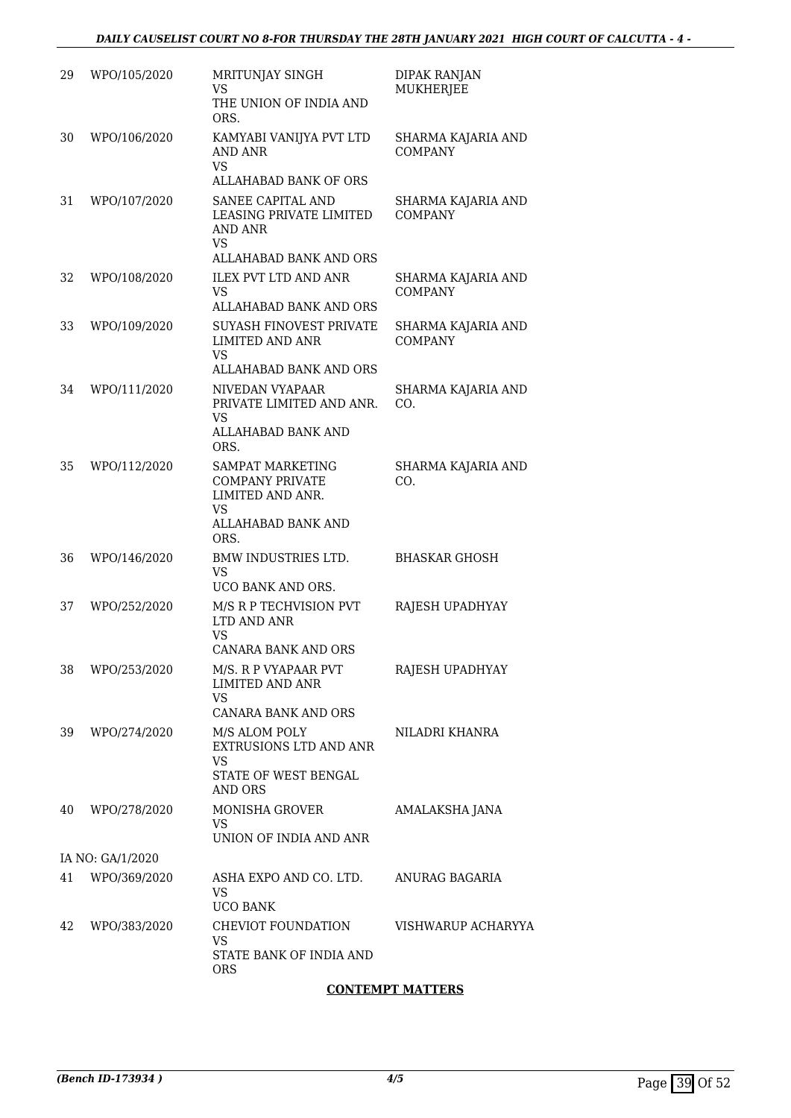| 29 | WPO/105/2020     | MRITUNJAY SINGH<br><b>VS</b><br>THE UNION OF INDIA AND<br>ORS.                                            | <b>DIPAK RANJAN</b><br><b>MUKHERJEE</b> |
|----|------------------|-----------------------------------------------------------------------------------------------------------|-----------------------------------------|
| 30 | WPO/106/2020     | KAMYABI VANIJYA PVT LTD<br><b>AND ANR</b><br><b>VS</b><br>ALLAHABAD BANK OF ORS                           | SHARMA KAJARIA AND<br><b>COMPANY</b>    |
| 31 | WPO/107/2020     | SANEE CAPITAL AND<br>LEASING PRIVATE LIMITED<br><b>AND ANR</b><br><b>VS</b><br>ALLAHABAD BANK AND ORS     | SHARMA KAJARIA AND<br><b>COMPANY</b>    |
| 32 | WPO/108/2020     | <b>ILEX PVT LTD AND ANR</b><br><b>VS</b><br>ALLAHABAD BANK AND ORS                                        | SHARMA KAJARIA AND<br><b>COMPANY</b>    |
| 33 | WPO/109/2020     | SUYASH FINOVEST PRIVATE<br><b>LIMITED AND ANR</b><br><b>VS</b><br>ALLAHABAD BANK AND ORS                  | SHARMA KAJARIA AND<br><b>COMPANY</b>    |
| 34 | WPO/111/2020     | NIVEDAN VYAPAAR<br>PRIVATE LIMITED AND ANR.<br>VS<br>ALLAHABAD BANK AND<br>ORS.                           | SHARMA KAJARIA AND<br>CO.               |
| 35 | WPO/112/2020     | SAMPAT MARKETING<br><b>COMPANY PRIVATE</b><br>LIMITED AND ANR.<br><b>VS</b><br>ALLAHABAD BANK AND<br>ORS. | SHARMA KAJARIA AND<br>CO.               |
| 36 | WPO/146/2020     | BMW INDUSTRIES LTD.<br><b>VS</b><br>UCO BANK AND ORS.                                                     | <b>BHASKAR GHOSH</b>                    |
| 37 | WPO/252/2020     | M/S R P TECHVISION PVT<br>LTD AND ANR<br><b>VS</b><br>CANARA BANK AND ORS                                 | RAJESH UPADHYAY                         |
| 38 | WPO/253/2020     | M/S. R P VYAPAAR PVT<br><b>LIMITED AND ANR</b><br><b>VS</b><br><b>CANARA BANK AND ORS</b>                 | RAJESH UPADHYAY                         |
| 39 | WPO/274/2020     | M/S ALOM POLY<br>EXTRUSIONS LTD AND ANR<br><b>VS</b><br>STATE OF WEST BENGAL<br>AND ORS                   | NILADRI KHANRA                          |
| 40 | WPO/278/2020     | <b>MONISHA GROVER</b><br>VS.<br>UNION OF INDIA AND ANR                                                    | AMALAKSHA JANA                          |
|    | IA NO: GA/1/2020 |                                                                                                           |                                         |
| 41 | WPO/369/2020     | ASHA EXPO AND CO. LTD.<br>VS.<br><b>UCO BANK</b>                                                          | ANURAG BAGARIA                          |
| 42 | WPO/383/2020     | CHEVIOT FOUNDATION<br>VS.<br>STATE BANK OF INDIA AND<br><b>ORS</b>                                        | VISHWARUP ACHARYYA                      |

### **CONTEMPT MATTERS**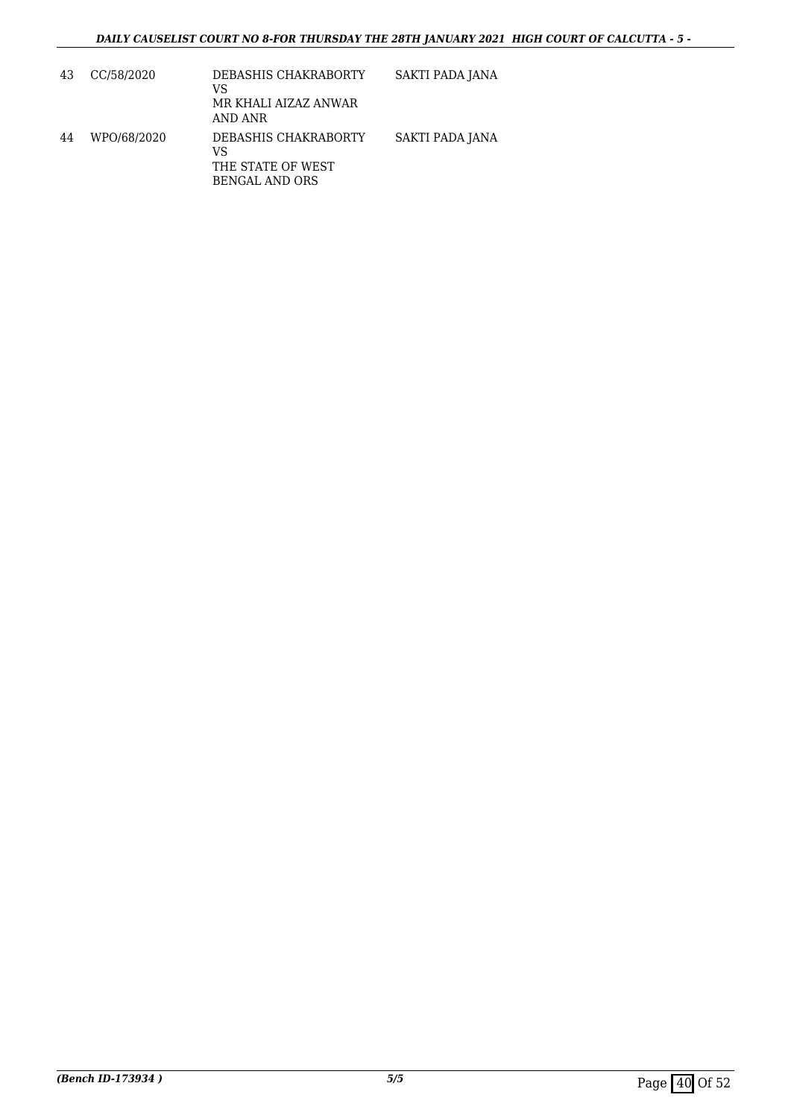| 43 | CC/58/2020  | DEBASHIS CHAKRABORTY<br>VS<br>MR KHALI AIZAZ ANWAR<br>AND ANR     | SAKTI PADA JANA |
|----|-------------|-------------------------------------------------------------------|-----------------|
| 44 | WPO/68/2020 | DEBASHIS CHAKRABORTY<br>VS<br>THE STATE OF WEST<br>BENGAL AND ORS | SAKTI PADA JANA |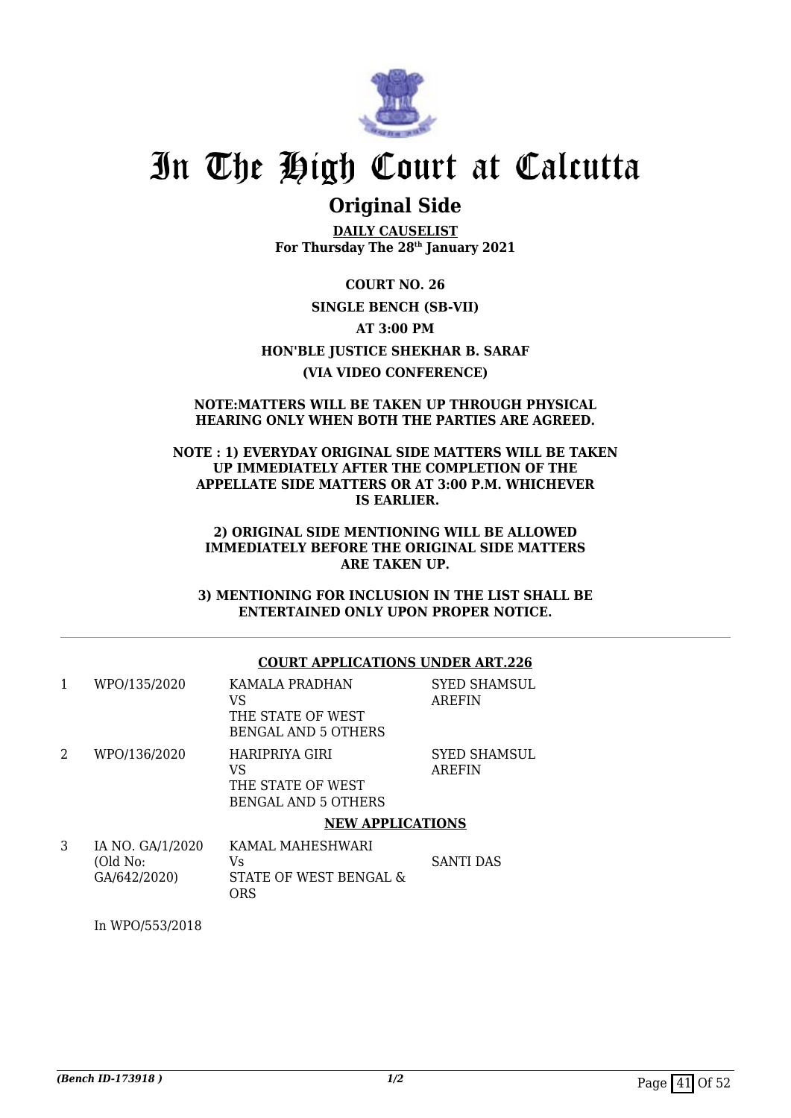

### **Original Side**

**DAILY CAUSELIST For Thursday The 28th January 2021**

**COURT NO. 26 SINGLE BENCH (SB-VII) AT 3:00 PM HON'BLE JUSTICE SHEKHAR B. SARAF (VIA VIDEO CONFERENCE)**

### **NOTE:MATTERS WILL BE TAKEN UP THROUGH PHYSICAL HEARING ONLY WHEN BOTH THE PARTIES ARE AGREED.**

### **NOTE : 1) EVERYDAY ORIGINAL SIDE MATTERS WILL BE TAKEN UP IMMEDIATELY AFTER THE COMPLETION OF THE APPELLATE SIDE MATTERS OR AT 3:00 P.M. WHICHEVER IS EARLIER.**

### **2) ORIGINAL SIDE MENTIONING WILL BE ALLOWED IMMEDIATELY BEFORE THE ORIGINAL SIDE MATTERS ARE TAKEN UP.**

**3) MENTIONING FOR INCLUSION IN THE LIST SHALL BE ENTERTAINED ONLY UPON PROPER NOTICE.**

### **COURT APPLICATIONS UNDER ART.226**

| 1 | WPO/135/2020                                 | KAMALA PRADHAN<br>VS<br>THE STATE OF WEST<br><b>BENGAL AND 5 OTHERS</b> | <b>SYED SHAMSUL</b><br><b>AREFIN</b> |
|---|----------------------------------------------|-------------------------------------------------------------------------|--------------------------------------|
| 2 | WPO/136/2020                                 | HARIPRIYA GIRI<br>VS<br>THE STATE OF WEST<br>BENGAL AND 5 OTHERS        | SYED SHAMSUL<br><b>AREFIN</b>        |
|   |                                              | <b>NEW APPLICATIONS</b>                                                 |                                      |
| 3 | IA NO. GA/1/2020<br>(Old No:<br>GA/642/2020) | KAMAL MAHESHWARI<br>Vs<br>STATE OF WEST BENGAL &<br><b>ORS</b>          | <b>SANTI DAS</b>                     |

In WPO/553/2018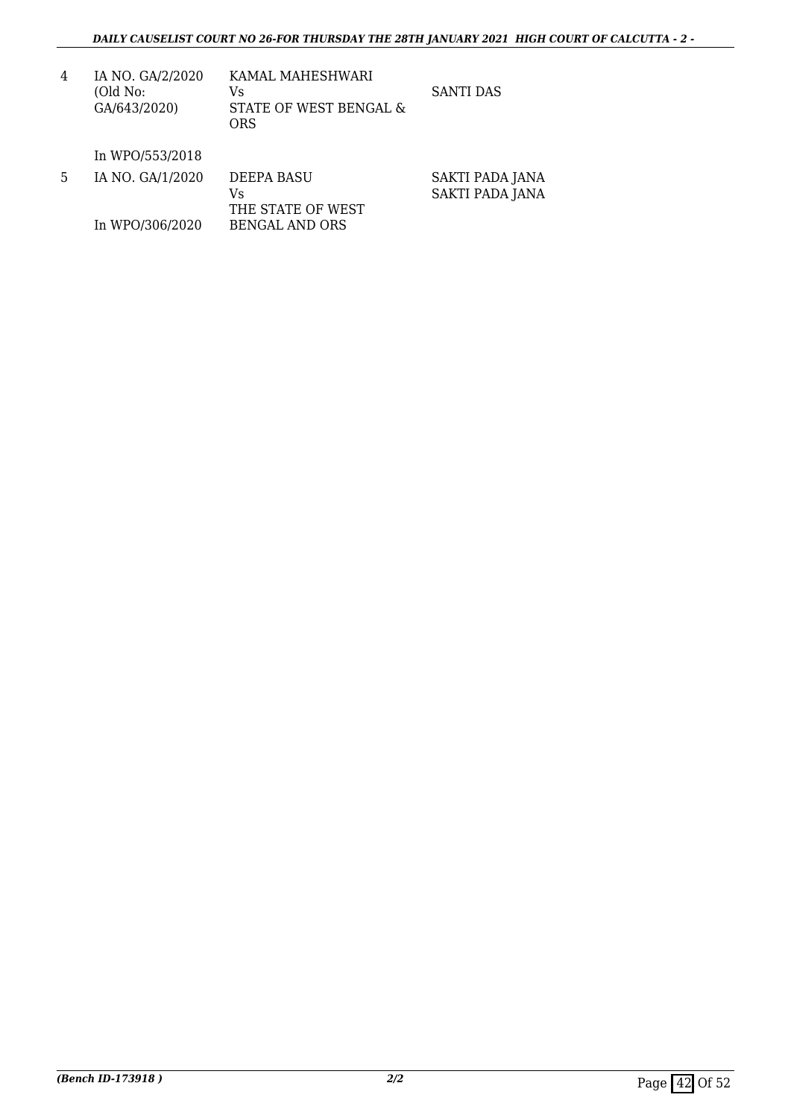| 4 | IA NO. GA/2/2020<br>(Old No:<br>GA/643/2020) | KAMAL MAHESHWARI<br>Vs<br>STATE OF WEST BENGAL &<br>ORS | SANTI DAS |
|---|----------------------------------------------|---------------------------------------------------------|-----------|
|   | In WPO/553/2018                              |                                                         |           |

| -5. | IA NO. GA/1/2020 | DEEPA BASU<br>Vs  | SAKTI PADA JANA<br>SAKTI PADA JANA |
|-----|------------------|-------------------|------------------------------------|
|     |                  | THE STATE OF WEST |                                    |
|     | In WPO/306/2020  | BENGAL AND ORS    |                                    |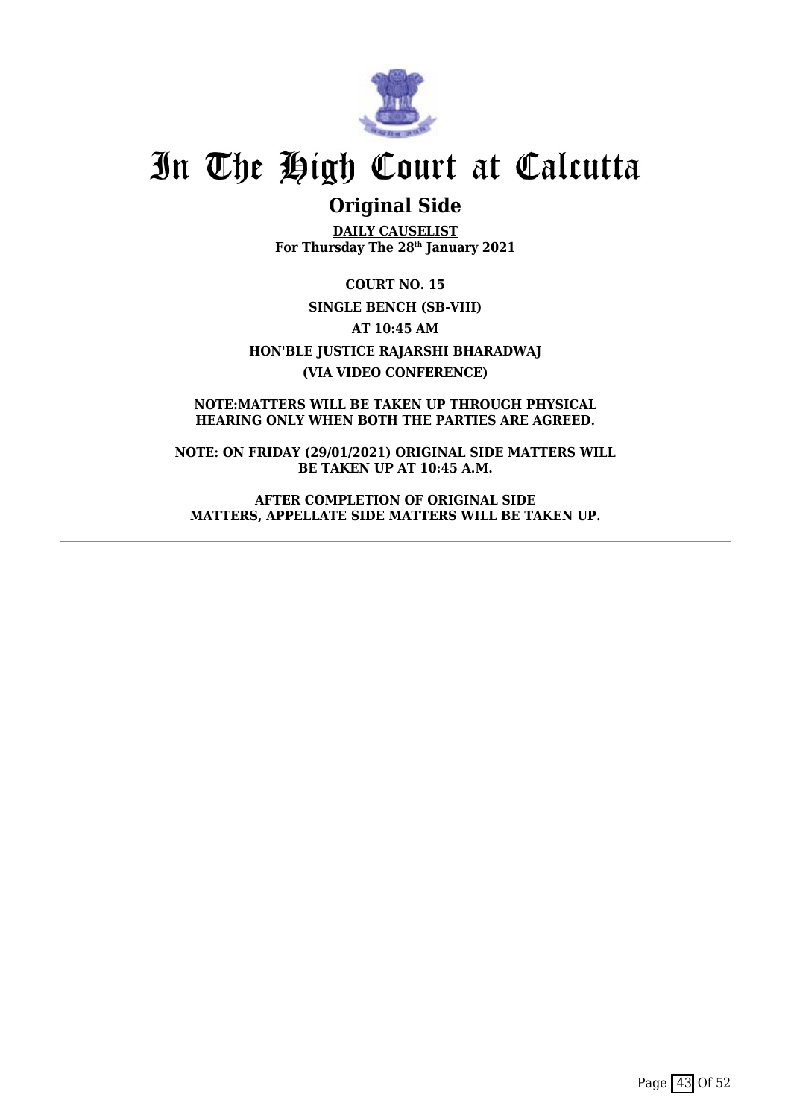

### **Original Side**

**DAILY CAUSELIST For Thursday The 28th January 2021**

**COURT NO. 15 SINGLE BENCH (SB-VIII) AT 10:45 AM HON'BLE JUSTICE RAJARSHI BHARADWAJ (VIA VIDEO CONFERENCE)**

**NOTE:MATTERS WILL BE TAKEN UP THROUGH PHYSICAL HEARING ONLY WHEN BOTH THE PARTIES ARE AGREED.**

**NOTE: ON FRIDAY (29/01/2021) ORIGINAL SIDE MATTERS WILL BE TAKEN UP AT 10:45 A.M.**

**AFTER COMPLETION OF ORIGINAL SIDE MATTERS, APPELLATE SIDE MATTERS WILL BE TAKEN UP.**

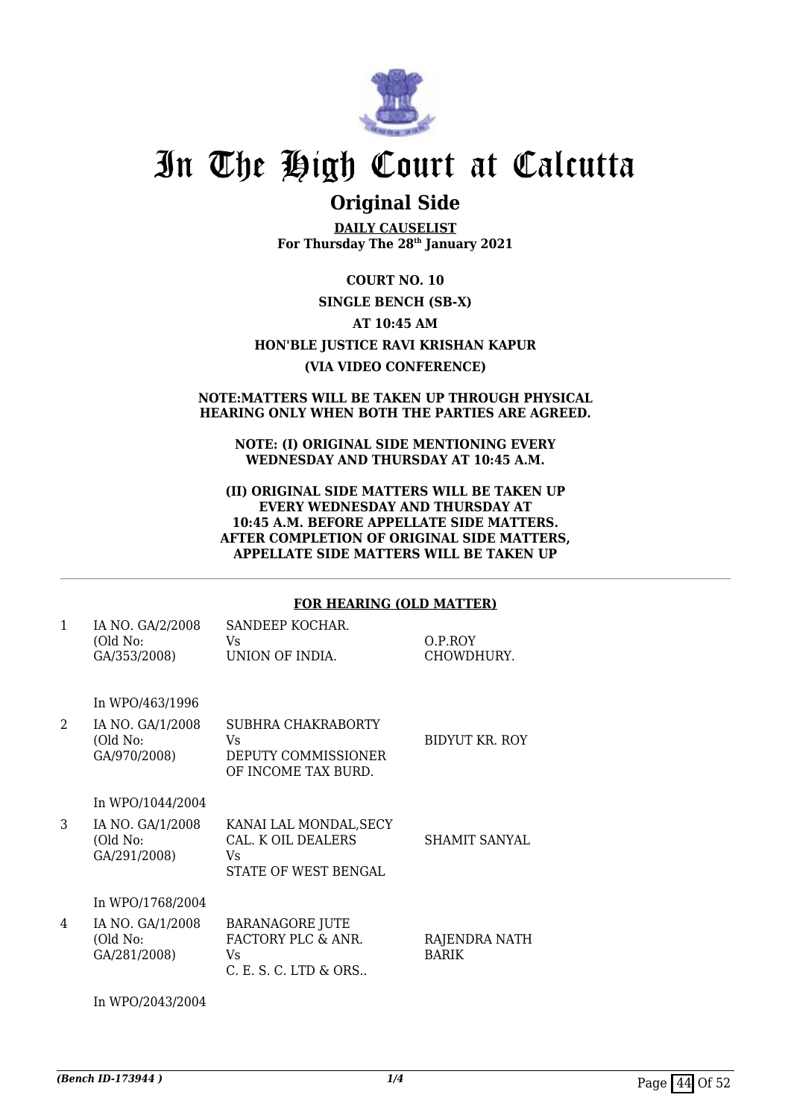

### **Original Side**

**DAILY CAUSELIST For Thursday The 28th January 2021**

### **COURT NO. 10**

### **SINGLE BENCH (SB-X)**

### **AT 10:45 AM**

### **HON'BLE JUSTICE RAVI KRISHAN KAPUR**

### **(VIA VIDEO CONFERENCE)**

#### **NOTE:MATTERS WILL BE TAKEN UP THROUGH PHYSICAL HEARING ONLY WHEN BOTH THE PARTIES ARE AGREED.**

### **NOTE: (I) ORIGINAL SIDE MENTIONING EVERY WEDNESDAY AND THURSDAY AT 10:45 A.M.**

#### **(II) ORIGINAL SIDE MATTERS WILL BE TAKEN UP EVERY WEDNESDAY AND THURSDAY AT 10:45 A.M. BEFORE APPELLATE SIDE MATTERS. AFTER COMPLETION OF ORIGINAL SIDE MATTERS, APPELLATE SIDE MATTERS WILL BE TAKEN UP**

### **FOR HEARING (OLD MATTER)**

| $\mathbf{1}$   | IA NO. GA/2/2008<br>(Old No:<br>GA/353/2008) | SANDEEP KOCHAR.<br>Vs<br>UNION OF INDIA.                                     | O.P.ROY<br>CHOWDHURY.         |
|----------------|----------------------------------------------|------------------------------------------------------------------------------|-------------------------------|
|                | In WPO/463/1996                              |                                                                              |                               |
| $\overline{2}$ | IA NO. GA/1/2008<br>(Old No:<br>GA/970/2008) | SUBHRA CHAKRABORTY<br>Vs<br>DEPUTY COMMISSIONER<br>OF INCOME TAX BURD.       | BIDYUT KR. ROY                |
|                | In WPO/1044/2004                             |                                                                              |                               |
| 3              | IA NO. GA/1/2008<br>(Old No:<br>GA/291/2008) | KANAI LAL MONDAL, SECY<br>CAL. K OIL DEALERS<br>Vs<br>STATE OF WEST BENGAL   | <b>SHAMIT SANYAL</b>          |
|                | In WPO/1768/2004                             |                                                                              |                               |
| 4              | IA NO. GA/1/2008<br>(Old No:<br>GA/281/2008) | <b>BARANAGORE JUTE</b><br>FACTORY PLC & ANR.<br>Vs.<br>C. E. S. C. LTD & ORS | RAJENDRA NATH<br><b>BARIK</b> |

In WPO/2043/2004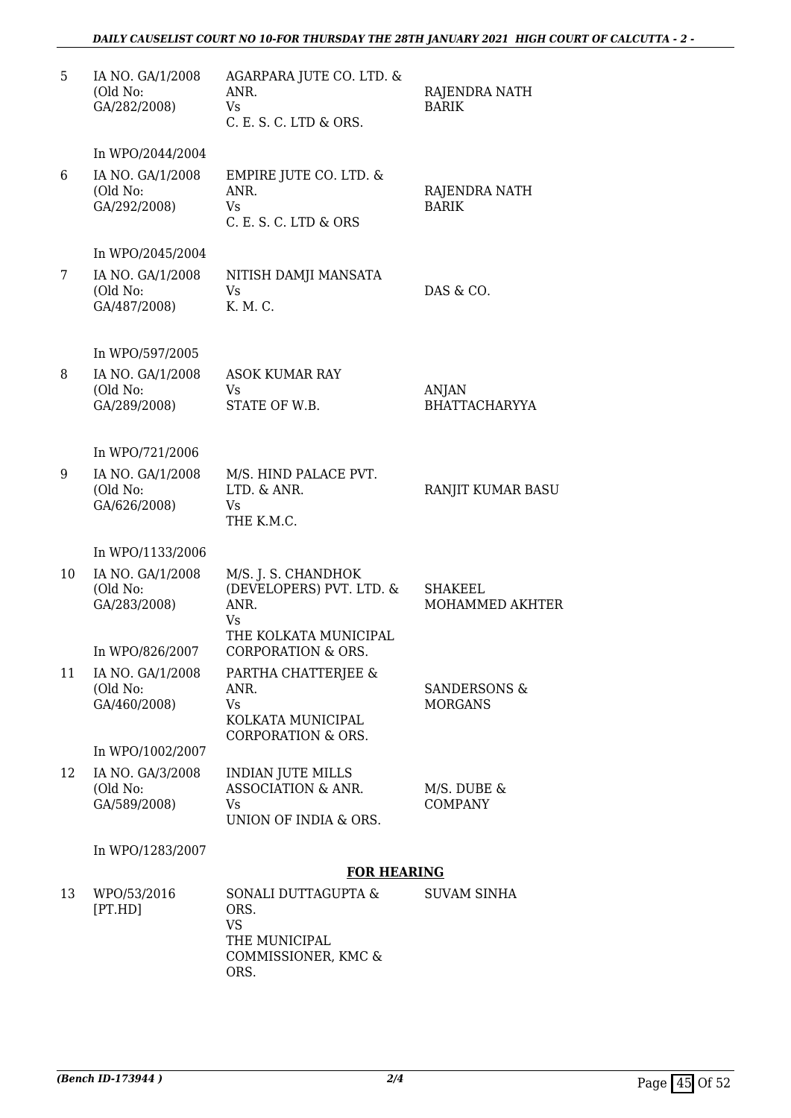### *DAILY CAUSELIST COURT NO 10-FOR THURSDAY THE 28TH JANUARY 2021 HIGH COURT OF CALCUTTA - 2 -*

| 5  | IA NO. GA/1/2008<br>(Old No:<br>GA/282/2008) | AGARPARA JUTE CO. LTD. &<br>ANR.<br>Vs<br>C. E. S. C. LTD & ORS.                          | RAJENDRA NATH<br><b>BARIK</b>             |
|----|----------------------------------------------|-------------------------------------------------------------------------------------------|-------------------------------------------|
|    | In WPO/2044/2004                             |                                                                                           |                                           |
| 6  | IA NO. GA/1/2008<br>(Old No:<br>GA/292/2008) | EMPIRE JUTE CO. LTD. &<br>ANR.<br><b>Vs</b><br>C. E. S. C. LTD & ORS                      | RAJENDRA NATH<br><b>BARIK</b>             |
|    | In WPO/2045/2004                             |                                                                                           |                                           |
| 7  | IA NO. GA/1/2008<br>(Old No:<br>GA/487/2008) | NITISH DAMJI MANSATA<br>Vs<br>K. M. C.                                                    | DAS & CO.                                 |
|    | In WPO/597/2005                              |                                                                                           |                                           |
| 8  | IA NO. GA/1/2008<br>(Old No:<br>GA/289/2008) | <b>ASOK KUMAR RAY</b><br>Vs.<br>STATE OF W.B.                                             | <b>ANJAN</b><br><b>BHATTACHARYYA</b>      |
|    | In WPO/721/2006                              |                                                                                           |                                           |
| 9  | IA NO. GA/1/2008<br>(Old No:<br>GA/626/2008) | M/S. HIND PALACE PVT.<br>LTD. & ANR.<br>Vs.<br>THE K.M.C.                                 | RANJIT KUMAR BASU                         |
|    | In WPO/1133/2006                             |                                                                                           |                                           |
| 10 | IA NO. GA/1/2008<br>(Old No:<br>GA/283/2008) | M/S. J. S. CHANDHOK<br>(DEVELOPERS) PVT. LTD. &<br>ANR.<br><b>Vs</b>                      | <b>SHAKEEL</b><br>MOHAMMED AKHTER         |
|    | In WPO/826/2007                              | THE KOLKATA MUNICIPAL<br>CORPORATION & ORS.                                               |                                           |
| 11 | IA NO. GA/1/2008<br>(Old No:<br>GA/460/2008) | PARTHA CHATTERJEE &<br>ANR.<br>Vs<br>KOLKATA MUNICIPAL<br>CORPORATION & ORS.              | <b>SANDERSONS &amp;</b><br><b>MORGANS</b> |
|    | In WPO/1002/2007                             |                                                                                           |                                           |
| 12 | IA NO. GA/3/2008<br>(Old No:<br>GA/589/2008) | <b>INDIAN JUTE MILLS</b><br><b>ASSOCIATION &amp; ANR.</b><br>Vs.<br>UNION OF INDIA & ORS. | M/S. DUBE &<br><b>COMPANY</b>             |
|    | In WPO/1283/2007                             |                                                                                           |                                           |
|    |                                              | <b>FOR HEARING</b>                                                                        |                                           |
| 13 | WPO/53/2016<br>[PT.HD]                       | SONALI DUTTAGUPTA &<br>ORS.<br>VS<br>THE MUNICIPAL                                        | <b>SUVAM SINHA</b>                        |

COMMISSIONER, KMC &

ORS.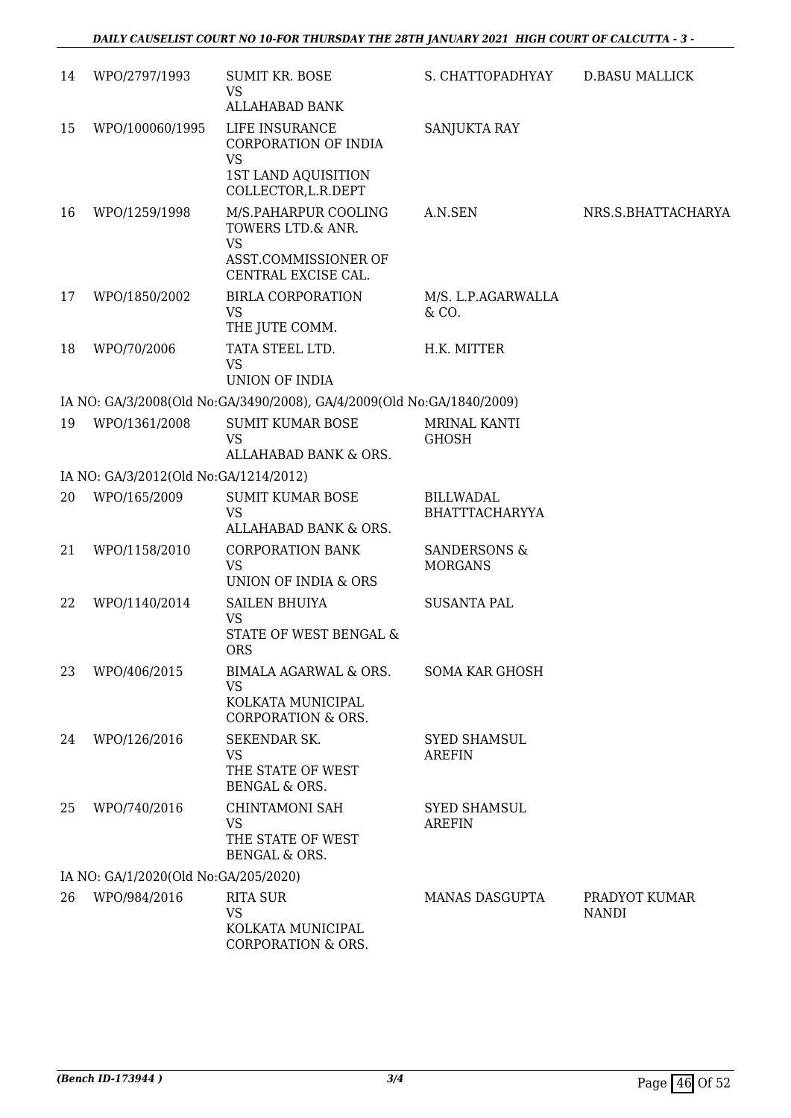| 14 | WPO/2797/1993                         | <b>SUMIT KR. BOSE</b><br><b>VS</b>                                    | S. CHATTOPADHYAY                          | <b>D.BASU MALLICK</b>         |
|----|---------------------------------------|-----------------------------------------------------------------------|-------------------------------------------|-------------------------------|
|    |                                       | <b>ALLAHABAD BANK</b>                                                 |                                           |                               |
| 15 | WPO/100060/1995                       | LIFE INSURANCE<br>CORPORATION OF INDIA<br><b>VS</b>                   | SANJUKTA RAY                              |                               |
|    |                                       | 1ST LAND AQUISITION<br>COLLECTOR, L.R. DEPT                           |                                           |                               |
| 16 | WPO/1259/1998                         | M/S.PAHARPUR COOLING<br>TOWERS LTD.& ANR.<br><b>VS</b>                | A.N.SEN                                   | NRS.S.BHATTACHARYA            |
|    |                                       | ASST.COMMISSIONER OF<br>CENTRAL EXCISE CAL.                           |                                           |                               |
| 17 | WPO/1850/2002                         | <b>BIRLA CORPORATION</b><br><b>VS</b><br>THE JUTE COMM.               | M/S. L.P.AGARWALLA<br>& CO.               |                               |
| 18 | WPO/70/2006                           | TATA STEEL LTD.<br>VS                                                 | H.K. MITTER                               |                               |
|    |                                       | UNION OF INDIA                                                        |                                           |                               |
|    |                                       | IA NO: GA/3/2008(Old No:GA/3490/2008), GA/4/2009(Old No:GA/1840/2009) |                                           |                               |
| 19 | WPO/1361/2008                         | <b>SUMIT KUMAR BOSE</b><br><b>VS</b><br>ALLAHABAD BANK & ORS.         | MRINAL KANTI<br><b>GHOSH</b>              |                               |
|    | IA NO: GA/3/2012(Old No:GA/1214/2012) |                                                                       |                                           |                               |
| 20 | WPO/165/2009                          | <b>SUMIT KUMAR BOSE</b><br><b>VS</b><br>ALLAHABAD BANK & ORS.         | <b>BILLWADAL</b><br><b>BHATTTACHARYYA</b> |                               |
| 21 | WPO/1158/2010                         | <b>CORPORATION BANK</b><br>VS<br>UNION OF INDIA & ORS                 | <b>SANDERSONS &amp;</b><br><b>MORGANS</b> |                               |
| 22 | WPO/1140/2014                         | <b>SAILEN BHUIYA</b><br><b>VS</b>                                     | <b>SUSANTA PAL</b>                        |                               |
|    |                                       | STATE OF WEST BENGAL &<br><b>ORS</b>                                  |                                           |                               |
| 23 | WPO/406/2015                          | BIMALA AGARWAL & ORS.<br><b>VS</b>                                    | <b>SOMA KAR GHOSH</b>                     |                               |
|    |                                       | KOLKATA MUNICIPAL<br><b>CORPORATION &amp; ORS.</b>                    |                                           |                               |
| 24 | WPO/126/2016                          | SEKENDAR SK.<br>VS<br>THE STATE OF WEST<br>BENGAL & ORS.              | <b>SYED SHAMSUL</b><br><b>AREFIN</b>      |                               |
| 25 | WPO/740/2016                          | CHINTAMONI SAH<br><b>VS</b><br>THE STATE OF WEST<br>BENGAL & ORS.     | SYED SHAMSUL<br><b>AREFIN</b>             |                               |
|    | IA NO: GA/1/2020(Old No:GA/205/2020)  |                                                                       |                                           |                               |
| 26 | WPO/984/2016                          | <b>RITA SUR</b><br>VS                                                 | <b>MANAS DASGUPTA</b>                     | PRADYOT KUMAR<br><b>NANDI</b> |
|    |                                       | KOLKATA MUNICIPAL<br>CORPORATION & ORS.                               |                                           |                               |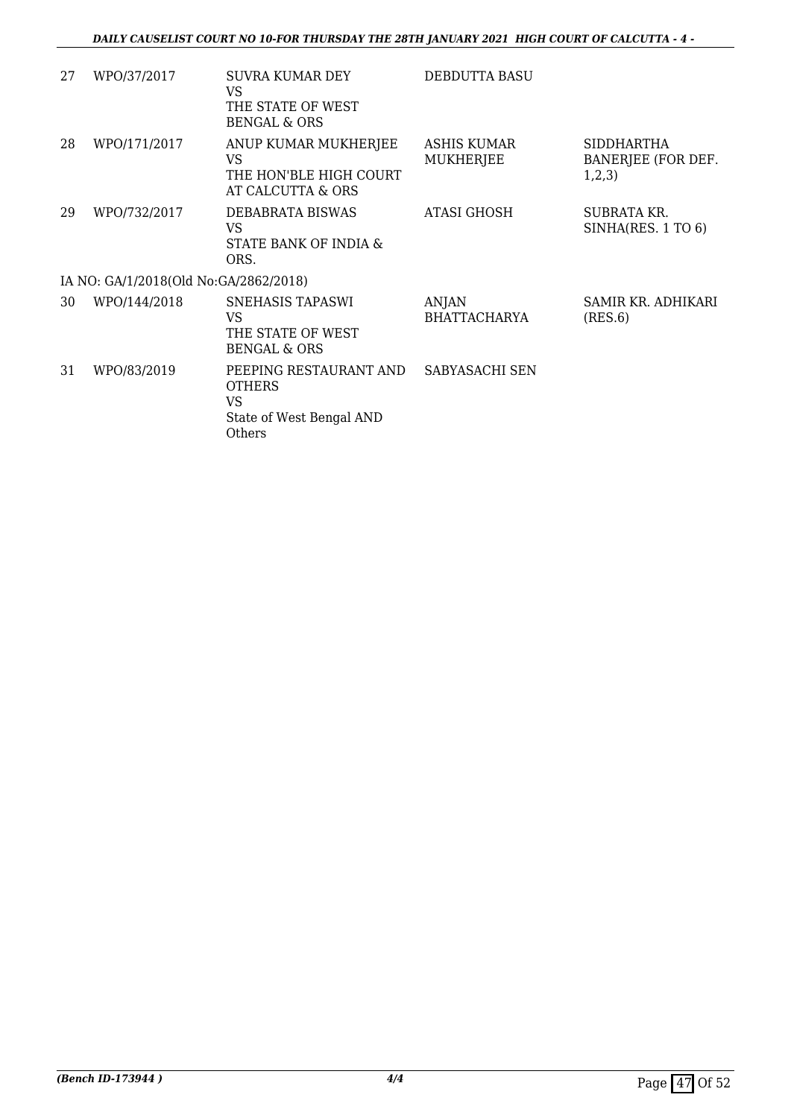| 27 | WPO/37/2017                           | <b>SUVRA KUMAR DEY</b><br>VS.<br>THE STATE OF WEST<br><b>BENGAL &amp; ORS</b>        | DEBDUTTA BASU                       |                                                   |  |  |
|----|---------------------------------------|--------------------------------------------------------------------------------------|-------------------------------------|---------------------------------------------------|--|--|
| 28 | WPO/171/2017                          | ANUP KUMAR MUKHERJEE<br>VS.<br>THE HON'BLE HIGH COURT<br>AT CALCUTTA & ORS           | ASHIS KUMAR<br>MUKHERJEE            | <b>SIDDHARTHA</b><br>BANERJEE (FOR DEF.<br>1,2,3) |  |  |
| 29 | WPO/732/2017                          | DEBABRATA BISWAS<br>VS.<br>STATE BANK OF INDIA &<br>ORS.                             | ATASI GHOSH                         | SUBRATA KR.<br>SINHA(RES. 1 TO 6)                 |  |  |
|    | IA NO: GA/1/2018(Old No:GA/2862/2018) |                                                                                      |                                     |                                                   |  |  |
| 30 | WPO/144/2018                          | SNEHASIS TAPASWI<br>VS<br>THE STATE OF WEST<br><b>BENGAL &amp; ORS</b>               | <b>ANJAN</b><br><b>BHATTACHARYA</b> | SAMIR KR. ADHIKARI<br>(RES.6)                     |  |  |
| 31 | WPO/83/2019                           | PEEPING RESTAURANT AND<br><b>OTHERS</b><br>VS.<br>State of West Bengal AND<br>Others | SABYASACHI SEN                      |                                                   |  |  |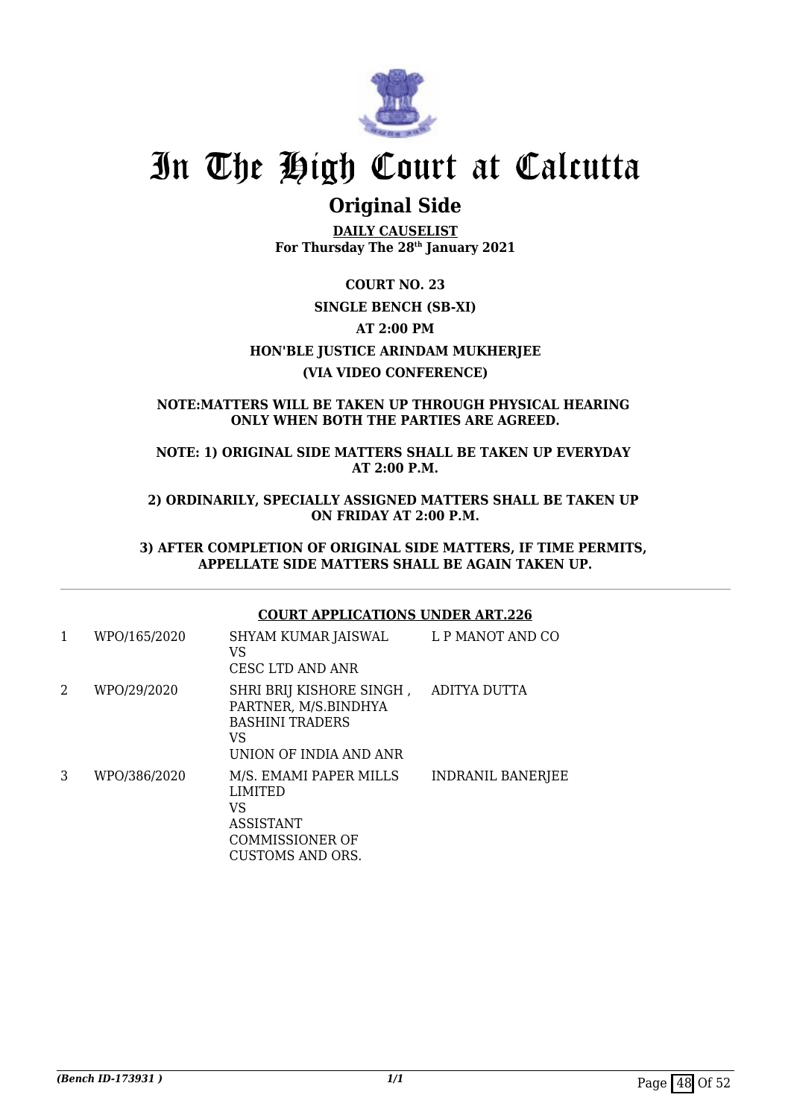

### **Original Side**

**DAILY CAUSELIST For Thursday The 28th January 2021**

### **COURT NO. 23 SINGLE BENCH (SB-XI) AT 2:00 PM HON'BLE JUSTICE ARINDAM MUKHERJEE (VIA VIDEO CONFERENCE)**

### **NOTE:MATTERS WILL BE TAKEN UP THROUGH PHYSICAL HEARING ONLY WHEN BOTH THE PARTIES ARE AGREED.**

**NOTE: 1) ORIGINAL SIDE MATTERS SHALL BE TAKEN UP EVERYDAY AT 2:00 P.M.**

**2) ORDINARILY, SPECIALLY ASSIGNED MATTERS SHALL BE TAKEN UP ON FRIDAY AT 2:00 P.M.**

**3) AFTER COMPLETION OF ORIGINAL SIDE MATTERS, IF TIME PERMITS, APPELLATE SIDE MATTERS SHALL BE AGAIN TAKEN UP.**

### **COURT APPLICATIONS UNDER ART.226**

| 1 | WPO/165/2020 | SHYAM KUMAR JAISWAL<br>VS<br>CESC LTD AND ANR                                                                    | L P MANOT AND CO  |
|---|--------------|------------------------------------------------------------------------------------------------------------------|-------------------|
| 2 | WPO/29/2020  | SHRI BRIJ KISHORE SINGH,<br>PARTNER, M/S.BINDHYA<br><b>BASHINI TRADERS</b><br>VS<br>UNION OF INDIA AND ANR       | ADITYA DUTTA      |
| 3 | WPO/386/2020 | M/S. EMAMI PAPER MILLS<br><b>LIMITED</b><br>VS<br><b>ASSISTANT</b><br>COMMISSIONER OF<br><b>CUSTOMS AND ORS.</b> | INDRANIL BANERJEE |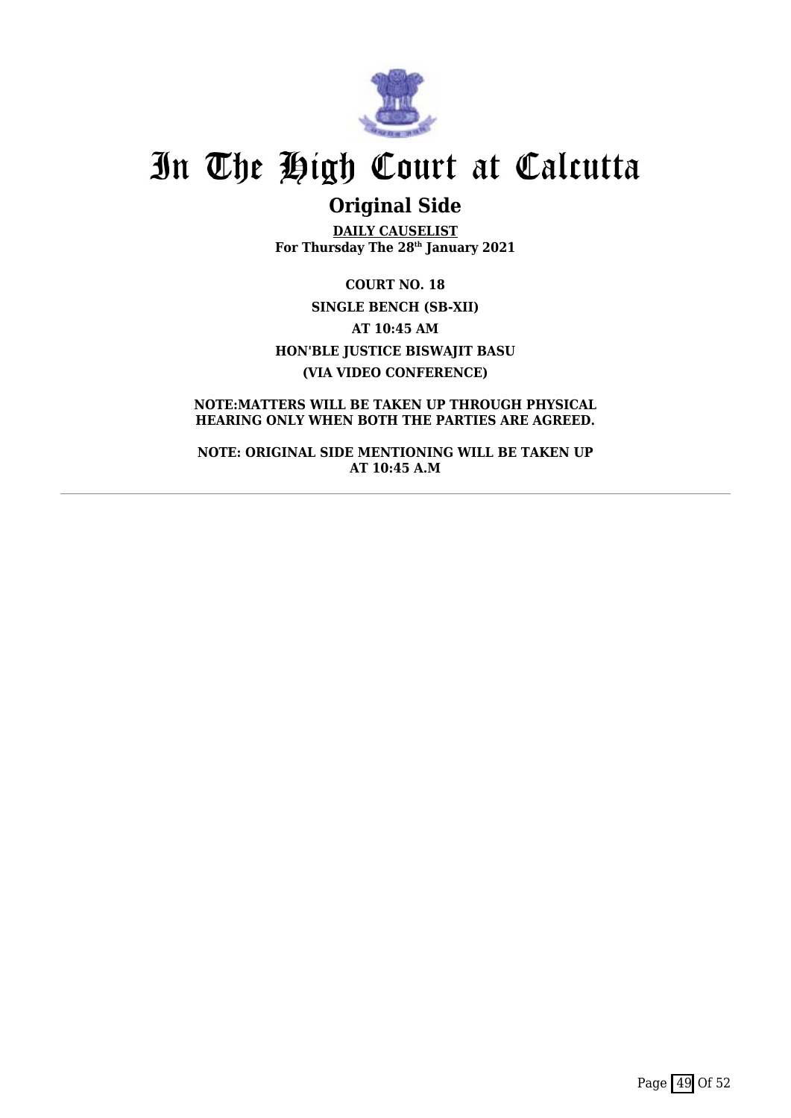

## **Original Side**

**DAILY CAUSELIST For Thursday The 28th January 2021**

**COURT NO. 18 SINGLE BENCH (SB-XII) AT 10:45 AM HON'BLE JUSTICE BISWAJIT BASU (VIA VIDEO CONFERENCE)**

### **NOTE:MATTERS WILL BE TAKEN UP THROUGH PHYSICAL HEARING ONLY WHEN BOTH THE PARTIES ARE AGREED.**

**NOTE: ORIGINAL SIDE MENTIONING WILL BE TAKEN UP AT 10:45 A.M**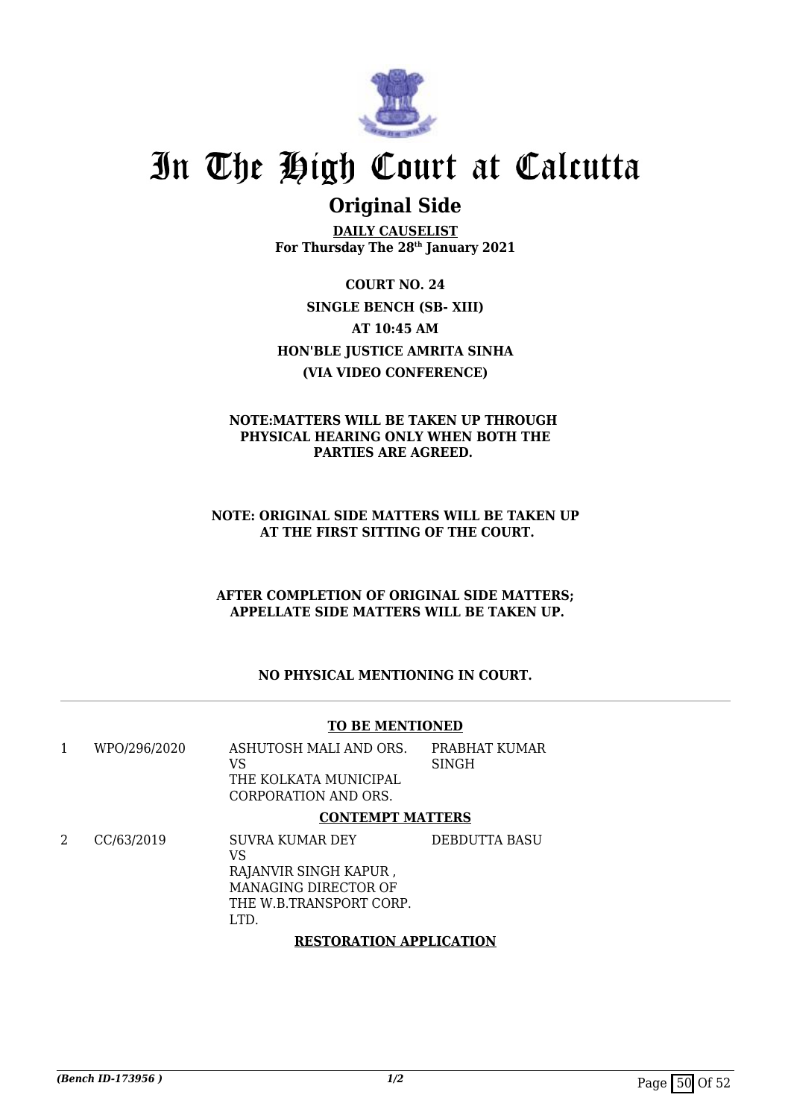

### **Original Side**

**DAILY CAUSELIST For Thursday The 28th January 2021**

**COURT NO. 24 SINGLE BENCH (SB- XIII) AT 10:45 AM HON'BLE JUSTICE AMRITA SINHA (VIA VIDEO CONFERENCE)**

### **NOTE:MATTERS WILL BE TAKEN UP THROUGH PHYSICAL HEARING ONLY WHEN BOTH THE PARTIES ARE AGREED.**

### **NOTE: ORIGINAL SIDE MATTERS WILL BE TAKEN UP AT THE FIRST SITTING OF THE COURT.**

### **AFTER COMPLETION OF ORIGINAL SIDE MATTERS; APPELLATE SIDE MATTERS WILL BE TAKEN UP.**

### **NO PHYSICAL MENTIONING IN COURT.**

### **TO BE MENTIONED**

1 WPO/296/2020 ASHUTOSH MALI AND ORS. VS THE KOLKATA MUNICIPAL CORPORATION AND ORS. PRABHAT KUMAR SINGH

### **CONTEMPT MATTERS**

2 CC/63/2019 SUVRA KUMAR DEY VS RAJANVIR SINGH KAPUR , MANAGING DIRECTOR OF THE W.B.TRANSPORT CORP. LTD. DEBDUTTA BASU

### **RESTORATION APPLICATION**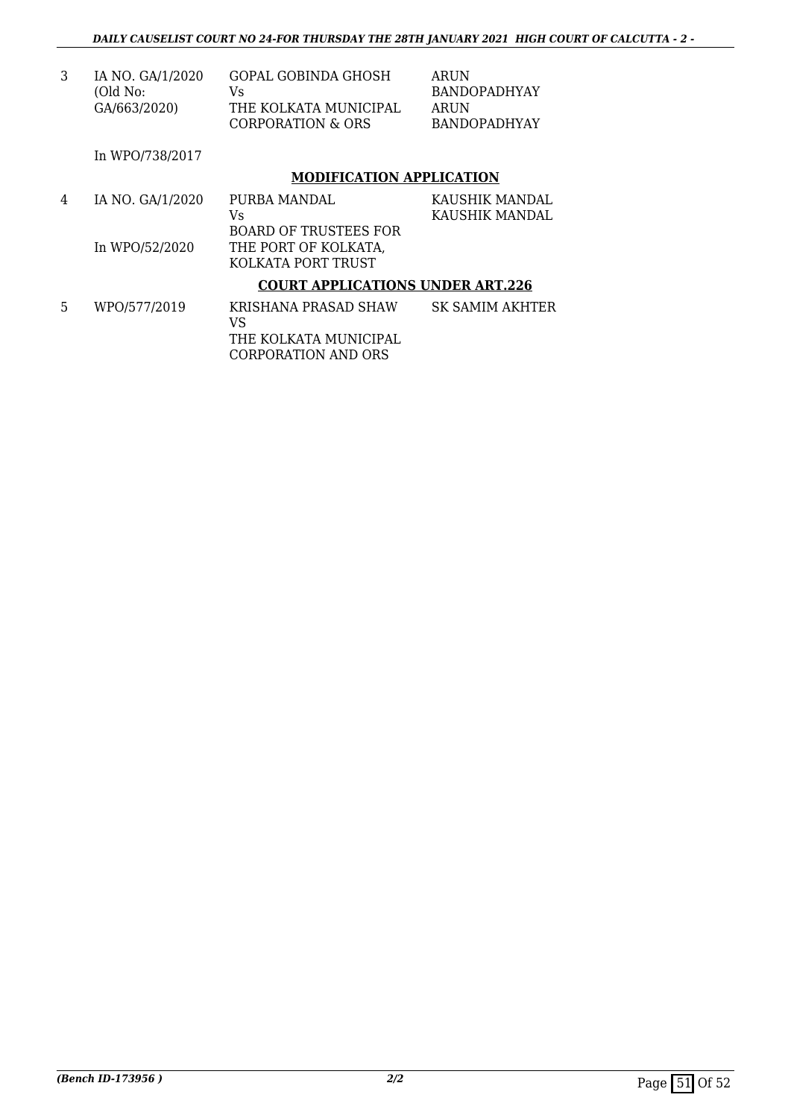| IA NO. GA/1/2020 | GOPAL GOBINDA GHOSH                        | ARUN         |
|------------------|--------------------------------------------|--------------|
| (Old No:         | Vs.                                        | BANDOPADHYAY |
| GA/663/2020)     | THE KOLKATA MUNICIPAL<br>CORPORATION & ORS |              |

In WPO/738/2017

### **MODIFICATION APPLICATION**

| 4 | IA NO. GA/1/2020 | PURBA MANDAL                            | KAUSHIK MANDAL         |
|---|------------------|-----------------------------------------|------------------------|
|   |                  | Vs                                      | KAUSHIK MANDAL         |
|   |                  | <b>BOARD OF TRUSTEES FOR</b>            |                        |
|   | In WPO/52/2020   | THE PORT OF KOLKATA,                    |                        |
|   |                  | KOLKATA PORT TRUST                      |                        |
|   |                  | <b>COURT APPLICATIONS UNDER ART.226</b> |                        |
| 5 | WPO/577/2019     | KRISHANA PRASAD SHAW<br>VS              | <b>SK SAMIM AKHTER</b> |

THE KOLKATA MUNICIPAL CORPORATION AND ORS